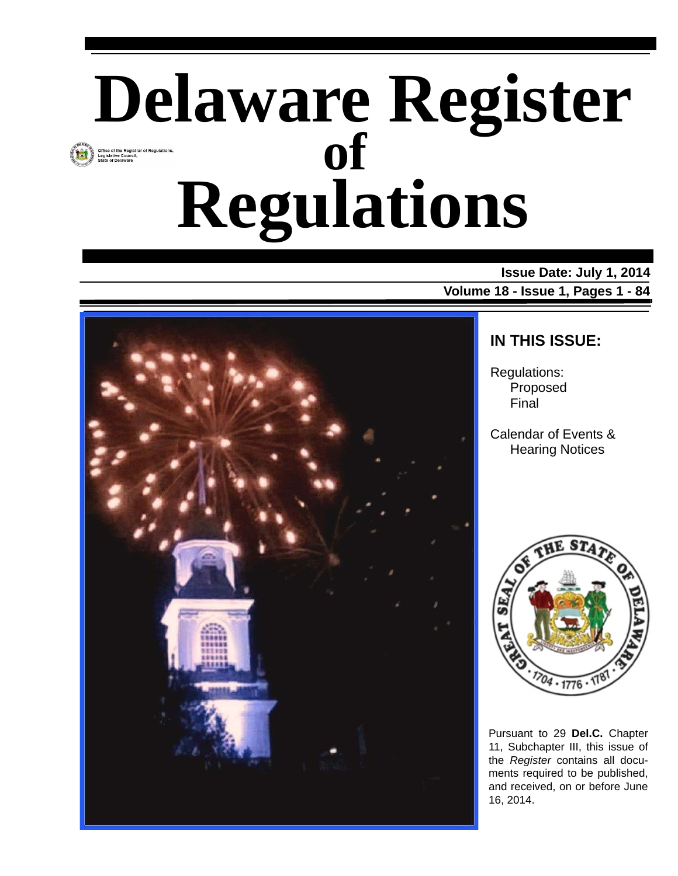# **Delaware Register of** Office of the Registrar of Regulations,<br>Legislative Council,<br>State of Delaware **Regulations**

**Issue Date: July 1, 2014 Volume 18 - Issue 1, Pages 1 - 84**



# **IN THIS ISSUE:**

Regulations: Proposed Final

Calendar of Events & Hearing Notices



Pursuant to 29 **Del.C.** Chapter 11, Subchapter III, this issue of the *Register* contains all documents required to be published, and received, on or before June 16, 2014.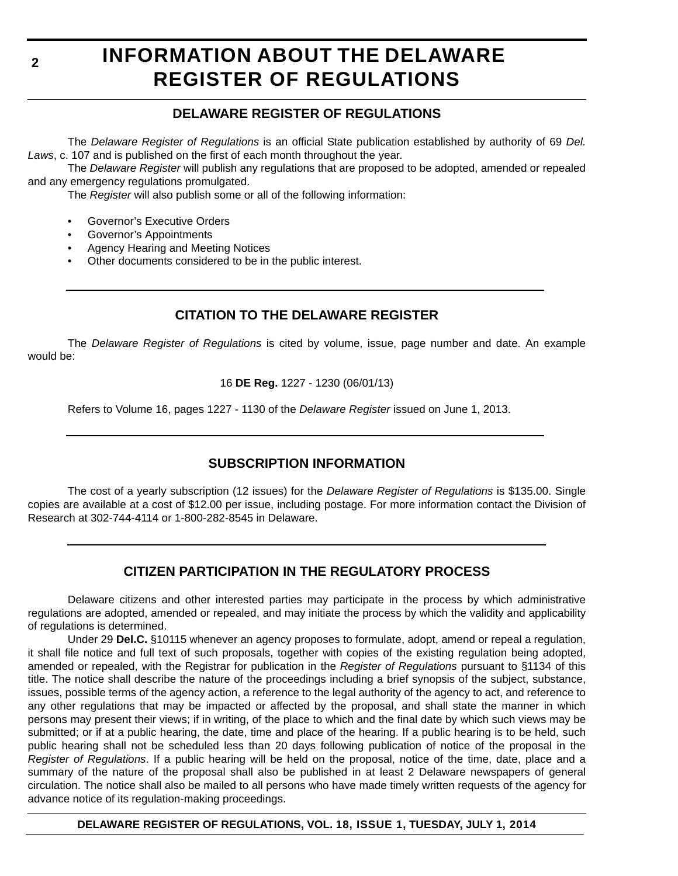# **INFORMATION ABOUT THE DELAWARE REGISTER OF REGULATIONS**

# **DELAWARE REGISTER OF REGULATIONS**

The *Delaware Register of Regulations* is an official State publication established by authority of 69 *Del. Laws*, c. 107 and is published on the first of each month throughout the year.

The *Delaware Register* will publish any regulations that are proposed to be adopted, amended or repealed and any emergency regulations promulgated.

The *Register* will also publish some or all of the following information:

- Governor's Executive Orders
- Governor's Appointments
- Agency Hearing and Meeting Notices
- Other documents considered to be in the public interest.

# **CITATION TO THE DELAWARE REGISTER**

The *Delaware Register of Regulations* is cited by volume, issue, page number and date. An example would be:

16 **DE Reg.** 1227 - 1230 (06/01/13)

Refers to Volume 16, pages 1227 - 1130 of the *Delaware Register* issued on June 1, 2013.

# **SUBSCRIPTION INFORMATION**

The cost of a yearly subscription (12 issues) for the *Delaware Register of Regulations* is \$135.00. Single copies are available at a cost of \$12.00 per issue, including postage. For more information contact the Division of Research at 302-744-4114 or 1-800-282-8545 in Delaware.

# **CITIZEN PARTICIPATION IN THE REGULATORY PROCESS**

Delaware citizens and other interested parties may participate in the process by which administrative regulations are adopted, amended or repealed, and may initiate the process by which the validity and applicability of regulations is determined.

Under 29 **Del.C.** §10115 whenever an agency proposes to formulate, adopt, amend or repeal a regulation, it shall file notice and full text of such proposals, together with copies of the existing regulation being adopted, amended or repealed, with the Registrar for publication in the *Register of Regulations* pursuant to §1134 of this title. The notice shall describe the nature of the proceedings including a brief synopsis of the subject, substance, issues, possible terms of the agency action, a reference to the legal authority of the agency to act, and reference to any other regulations that may be impacted or affected by the proposal, and shall state the manner in which persons may present their views; if in writing, of the place to which and the final date by which such views may be submitted; or if at a public hearing, the date, time and place of the hearing. If a public hearing is to be held, such public hearing shall not be scheduled less than 20 days following publication of notice of the proposal in the *Register of Regulations*. If a public hearing will be held on the proposal, notice of the time, date, place and a summary of the nature of the proposal shall also be published in at least 2 Delaware newspapers of general circulation. The notice shall also be mailed to all persons who have made timely written requests of the agency for advance notice of its regulation-making proceedings.

**DELAWARE REGISTER OF REGULATIONS, VOL. 18, ISSUE 1, TUESDAY, JULY 1, 2014**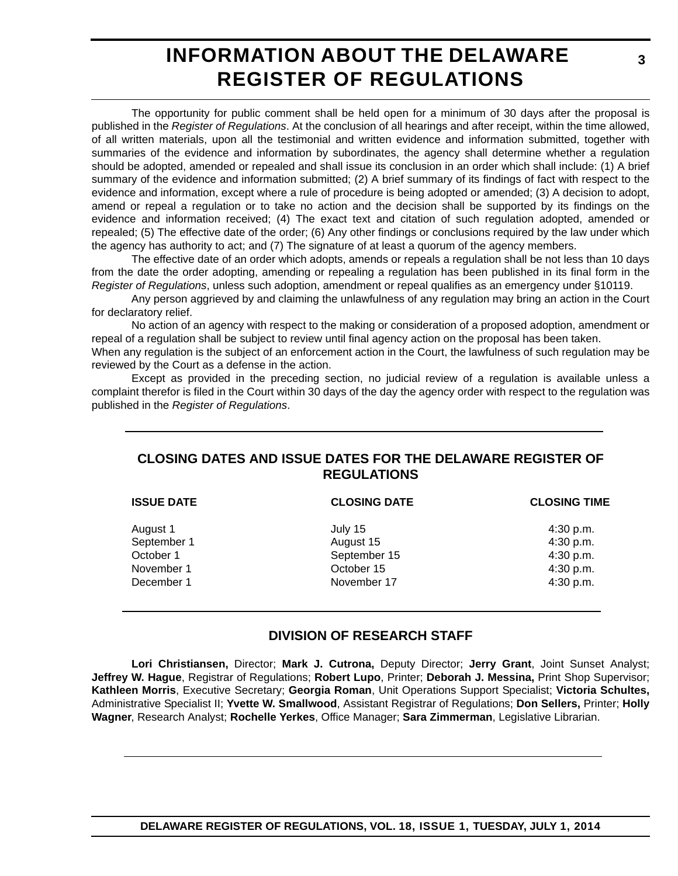# **INFORMATION ABOUT THE DELAWARE REGISTER OF REGULATIONS**

The opportunity for public comment shall be held open for a minimum of 30 days after the proposal is published in the *Register of Regulations*. At the conclusion of all hearings and after receipt, within the time allowed, of all written materials, upon all the testimonial and written evidence and information submitted, together with summaries of the evidence and information by subordinates, the agency shall determine whether a regulation should be adopted, amended or repealed and shall issue its conclusion in an order which shall include: (1) A brief summary of the evidence and information submitted; (2) A brief summary of its findings of fact with respect to the evidence and information, except where a rule of procedure is being adopted or amended; (3) A decision to adopt, amend or repeal a regulation or to take no action and the decision shall be supported by its findings on the evidence and information received; (4) The exact text and citation of such regulation adopted, amended or repealed; (5) The effective date of the order; (6) Any other findings or conclusions required by the law under which the agency has authority to act; and (7) The signature of at least a quorum of the agency members.

The effective date of an order which adopts, amends or repeals a regulation shall be not less than 10 days from the date the order adopting, amending or repealing a regulation has been published in its final form in the *Register of Regulations*, unless such adoption, amendment or repeal qualifies as an emergency under §10119.

Any person aggrieved by and claiming the unlawfulness of any regulation may bring an action in the Court for declaratory relief.

No action of an agency with respect to the making or consideration of a proposed adoption, amendment or repeal of a regulation shall be subject to review until final agency action on the proposal has been taken.

When any regulation is the subject of an enforcement action in the Court, the lawfulness of such regulation may be reviewed by the Court as a defense in the action.

Except as provided in the preceding section, no judicial review of a regulation is available unless a complaint therefor is filed in the Court within 30 days of the day the agency order with respect to the regulation was published in the *Register of Regulations*.

# **CLOSING DATES AND ISSUE DATES FOR THE DELAWARE REGISTER OF REGULATIONS**

| <b>ISSUE DATE</b> | <b>CLOSING DATE</b> | <b>CLOSING TIME</b> |
|-------------------|---------------------|---------------------|
| August 1          | July 15             | 4:30 p.m.           |
| September 1       | August 15           | 4:30 p.m.           |
| October 1         | September 15        | 4:30 p.m.           |
| November 1        | October 15          | 4:30 p.m.           |
| December 1        | November 17         | 4:30 p.m.           |
|                   |                     |                     |

# **DIVISION OF RESEARCH STAFF**

**Lori Christiansen,** Director; **Mark J. Cutrona,** Deputy Director; **Jerry Grant**, Joint Sunset Analyst; **Jeffrey W. Hague**, Registrar of Regulations; **Robert Lupo**, Printer; **Deborah J. Messina,** Print Shop Supervisor; **Kathleen Morris**, Executive Secretary; **Georgia Roman**, Unit Operations Support Specialist; **Victoria Schultes,** Administrative Specialist II; **Yvette W. Smallwood**, Assistant Registrar of Regulations; **Don Sellers,** Printer; **Holly Wagner**, Research Analyst; **Rochelle Yerkes**, Office Manager; **Sara Zimmerman**, Legislative Librarian.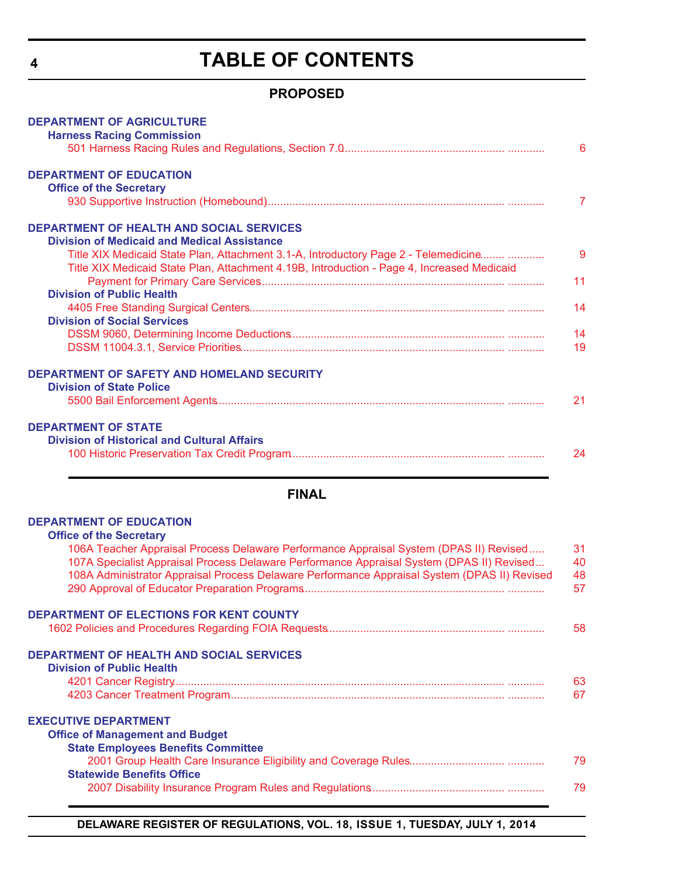# **TABLE OF CONTENTS**

# **PROPOSED**

<span id="page-3-0"></span>

| <b>DEPARTMENT OF AGRICULTURE</b>                                                                                                                                                    |          |
|-------------------------------------------------------------------------------------------------------------------------------------------------------------------------------------|----------|
| <b>Harness Racing Commission</b>                                                                                                                                                    | 6        |
|                                                                                                                                                                                     |          |
| <b>DEPARTMENT OF EDUCATION</b><br><b>Office of the Secretary</b>                                                                                                                    |          |
|                                                                                                                                                                                     | 7        |
| <b>DEPARTMENT OF HEALTH AND SOCIAL SERVICES</b>                                                                                                                                     |          |
| <b>Division of Medicaid and Medical Assistance</b>                                                                                                                                  |          |
| Title XIX Medicaid State Plan, Attachment 3.1-A, Introductory Page 2 - Telemedicine                                                                                                 | 9        |
| Title XIX Medicaid State Plan, Attachment 4.19B, Introduction - Page 4, Increased Medicaid                                                                                          |          |
| <b>Division of Public Health</b>                                                                                                                                                    | 11       |
|                                                                                                                                                                                     | 14       |
| <b>Division of Social Services</b>                                                                                                                                                  |          |
|                                                                                                                                                                                     | 14       |
|                                                                                                                                                                                     | 19       |
| DEPARTMENT OF SAFETY AND HOMELAND SECURITY                                                                                                                                          |          |
| <b>Division of State Police</b>                                                                                                                                                     |          |
|                                                                                                                                                                                     | 21       |
| <b>DEPARTMENT OF STATE</b>                                                                                                                                                          |          |
| <b>Division of Historical and Cultural Affairs</b>                                                                                                                                  |          |
|                                                                                                                                                                                     | 24       |
|                                                                                                                                                                                     |          |
| <b>FINAL</b>                                                                                                                                                                        |          |
| <b>DEPARTMENT OF EDUCATION</b>                                                                                                                                                      |          |
| <b>Office of the Secretary</b>                                                                                                                                                      |          |
| 106A Teacher Appraisal Process Delaware Performance Appraisal System (DPAS II) Revised<br>107A Specialist Appraisal Process Delaware Performance Appraisal System (DPAS II) Revised | 31<br>40 |
| 108A Administrator Appraisal Process Delaware Performance Appraisal System (DPAS II) Revised                                                                                        | 48       |
|                                                                                                                                                                                     | 57       |
| <b>DEPARTMENT OF ELECTIONS FOR KENT COUNTY</b>                                                                                                                                      |          |
|                                                                                                                                                                                     | 58       |
|                                                                                                                                                                                     |          |
| <b>DEPARTMENT OF HEALTH AND SOCIAL SERVICES</b><br><b>Division of Public Health</b>                                                                                                 |          |
|                                                                                                                                                                                     | 63       |
|                                                                                                                                                                                     | 67       |
| <b>EXECUTIVE DEPARTMENT</b>                                                                                                                                                         |          |
| <b>Office of Management and Budget</b>                                                                                                                                              |          |
| <b>State Employees Benefits Committee</b>                                                                                                                                           |          |
| <b>Statewide Benefits Office</b>                                                                                                                                                    | 79       |
|                                                                                                                                                                                     | 79       |
|                                                                                                                                                                                     |          |

**DELAWARE REGISTER OF REGULATIONS, VOL. 18, ISSUE 1, TUESDAY, JULY 1, 2014**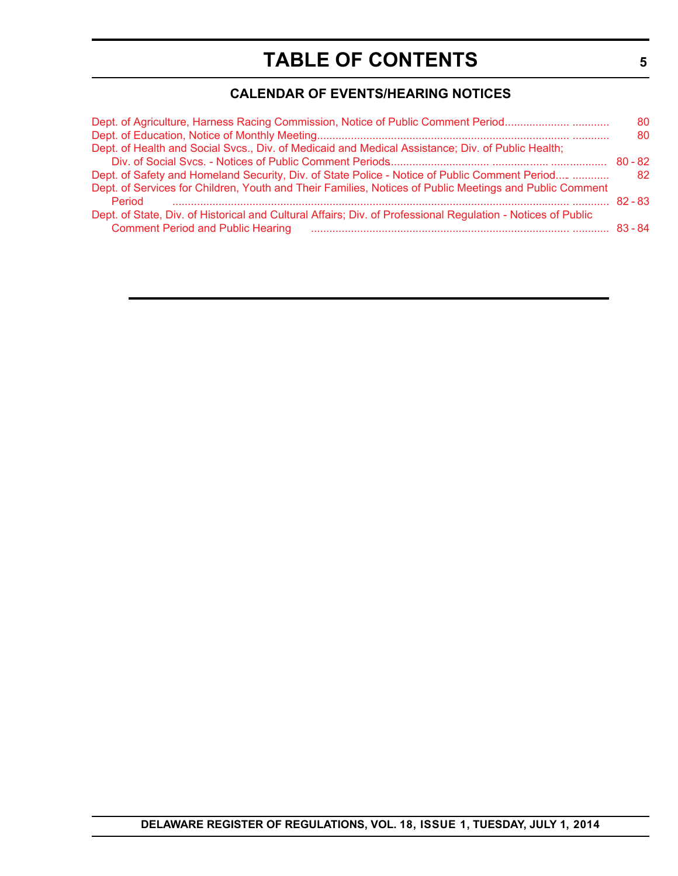# **TABLE OF CONTENTS**

# **CALENDAR OF EVENTS/HEARING NOTICES**

| Dept. of Agriculture, Harness Racing Commission, Notice of Public Comment Period                             | 80.       |
|--------------------------------------------------------------------------------------------------------------|-----------|
|                                                                                                              | 80.       |
| Dept. of Health and Social Svcs., Div. of Medicaid and Medical Assistance; Div. of Public Health;            |           |
|                                                                                                              | $80 - 82$ |
| Dept. of Safety and Homeland Security, Div. of State Police - Notice of Public Comment Period                | 82        |
| Dept. of Services for Children, Youth and Their Families, Notices of Public Meetings and Public Comment      |           |
| Period                                                                                                       | $82 - 83$ |
| Dept. of State, Div. of Historical and Cultural Affairs; Div. of Professional Regulation - Notices of Public |           |
| <b>Comment Period and Public Hearing</b>                                                                     |           |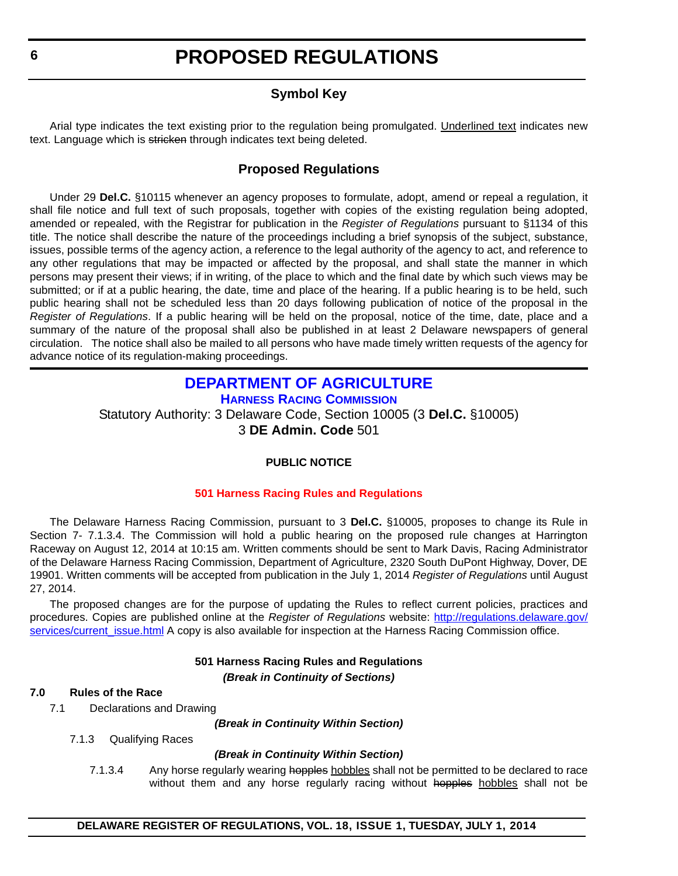# **Symbol Key**

<span id="page-5-0"></span>Arial type indicates the text existing prior to the regulation being promulgated. Underlined text indicates new text. Language which is stricken through indicates text being deleted.

# **Proposed Regulations**

Under 29 **Del.C.** §10115 whenever an agency proposes to formulate, adopt, amend or repeal a regulation, it shall file notice and full text of such proposals, together with copies of the existing regulation being adopted, amended or repealed, with the Registrar for publication in the *Register of Regulations* pursuant to §1134 of this title. The notice shall describe the nature of the proceedings including a brief synopsis of the subject, substance, issues, possible terms of the agency action, a reference to the legal authority of the agency to act, and reference to any other regulations that may be impacted or affected by the proposal, and shall state the manner in which persons may present their views; if in writing, of the place to which and the final date by which such views may be submitted; or if at a public hearing, the date, time and place of the hearing. If a public hearing is to be held, such public hearing shall not be scheduled less than 20 days following publication of notice of the proposal in the *Register of Regulations*. If a public hearing will be held on the proposal, notice of the time, date, place and a summary of the nature of the proposal shall also be published in at least 2 Delaware newspapers of general circulation. The notice shall also be mailed to all persons who have made timely written requests of the agency for advance notice of its regulation-making proceedings.

# **[DEPARTMENT OF AGRICULTURE](http://dda.delaware.gov/harness/) HARNESS RACING COMMISSION**

Statutory Authority: 3 Delaware Code, Section 10005 (3 **Del.C.** §10005) 3 **DE Admin. Code** 501

# **PUBLIC NOTICE**

### **[501 Harness Racing Rules and Regulations](#page-3-0)**

The Delaware Harness Racing Commission, pursuant to 3 **Del.C.** §10005, proposes to change its Rule in Section 7- 7.1.3.4. The Commission will hold a public hearing on the proposed rule changes at Harrington Raceway on August 12, 2014 at 10:15 am. Written comments should be sent to Mark Davis, Racing Administrator of the Delaware Harness Racing Commission, Department of Agriculture, 2320 South DuPont Highway, Dover, DE 19901. Written comments will be accepted from publication in the July 1, 2014 *Register of Regulations* until August 27, 2014.

The proposed changes are for the purpose of updating the Rules to reflect current policies, practices and procedures. Copies are published online at the *Register of Regulations* website: [http://regulations.delaware.gov/](http://regulations.delaware.gov/services/current_issue.html) [services/current\\_issue.html](http://regulations.delaware.gov/services/current_issue.html) A copy is also available for inspection at the Harness Racing Commission office.

# **501 Harness Racing Rules and Regulations** *(Break in Continuity of Sections)*

## **7.0 Rules of the Race**

7.1 Declarations and Drawing

#### *(Break in Continuity Within Section)*

7.1.3 Qualifying Races

### *(Break in Continuity Within Section)*

7.1.3.4 Any horse regularly wearing hopples hobbles shall not be permitted to be declared to race without them and any horse regularly racing without hopples hobbles shall not be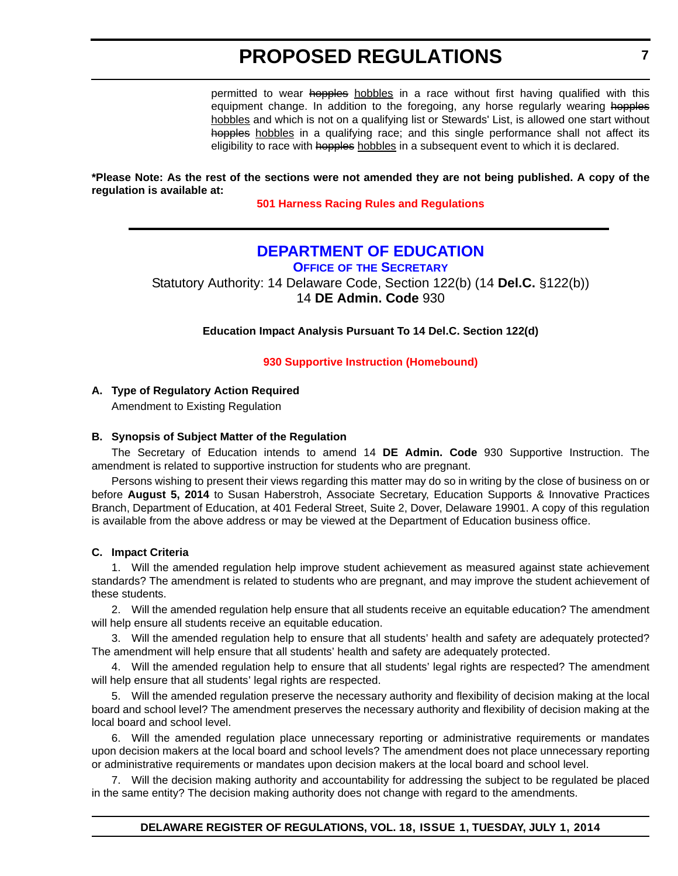<span id="page-6-0"></span>permitted to wear hopples hobbles in a race without first having qualified with this equipment change. In addition to the foregoing, any horse regularly wearing hopples hobbles and which is not on a qualifying list or Stewards' List, is allowed one start without hopples hobbles in a qualifying race; and this single performance shall not affect its eligibility to race with hopples hobbles in a subsequent event to which it is declared.

**\*Please Note: As the rest of the sections were not amended they are not being published. A copy of the regulation is available at:**

**[501 Harness Racing Rules and Regulations](http://regulations.delaware.gov/register/july2014/proposed/18 DE Reg 6 07-01-14.htm)**

# **[DEPARTMENT OF EDUCATION](http://www.doe.k12.de.us/)**

**OFFICE OF THE SECRETARY**

Statutory Authority: 14 Delaware Code, Section 122(b) (14 **Del.C.** §122(b)) 14 **DE Admin. Code** 930

**Education Impact Analysis Pursuant To 14 Del.C. Section 122(d)**

### **[930 Supportive Instruction \(Homebound\)](#page-3-0)**

### **A. Type of Regulatory Action Required**

Amendment to Existing Regulation

### **B. Synopsis of Subject Matter of the Regulation**

The Secretary of Education intends to amend 14 **DE Admin. Code** 930 Supportive Instruction. The amendment is related to supportive instruction for students who are pregnant.

Persons wishing to present their views regarding this matter may do so in writing by the close of business on or before **August 5, 2014** to Susan Haberstroh, Associate Secretary, Education Supports & Innovative Practices Branch, Department of Education, at 401 Federal Street, Suite 2, Dover, Delaware 19901. A copy of this regulation is available from the above address or may be viewed at the Department of Education business office.

#### **C. Impact Criteria**

1. Will the amended regulation help improve student achievement as measured against state achievement standards? The amendment is related to students who are pregnant, and may improve the student achievement of these students.

2. Will the amended regulation help ensure that all students receive an equitable education? The amendment will help ensure all students receive an equitable education.

3. Will the amended regulation help to ensure that all students' health and safety are adequately protected? The amendment will help ensure that all students' health and safety are adequately protected.

4. Will the amended regulation help to ensure that all students' legal rights are respected? The amendment will help ensure that all students' legal rights are respected.

5. Will the amended regulation preserve the necessary authority and flexibility of decision making at the local board and school level? The amendment preserves the necessary authority and flexibility of decision making at the local board and school level.

6. Will the amended regulation place unnecessary reporting or administrative requirements or mandates upon decision makers at the local board and school levels? The amendment does not place unnecessary reporting or administrative requirements or mandates upon decision makers at the local board and school level.

7. Will the decision making authority and accountability for addressing the subject to be regulated be placed in the same entity? The decision making authority does not change with regard to the amendments.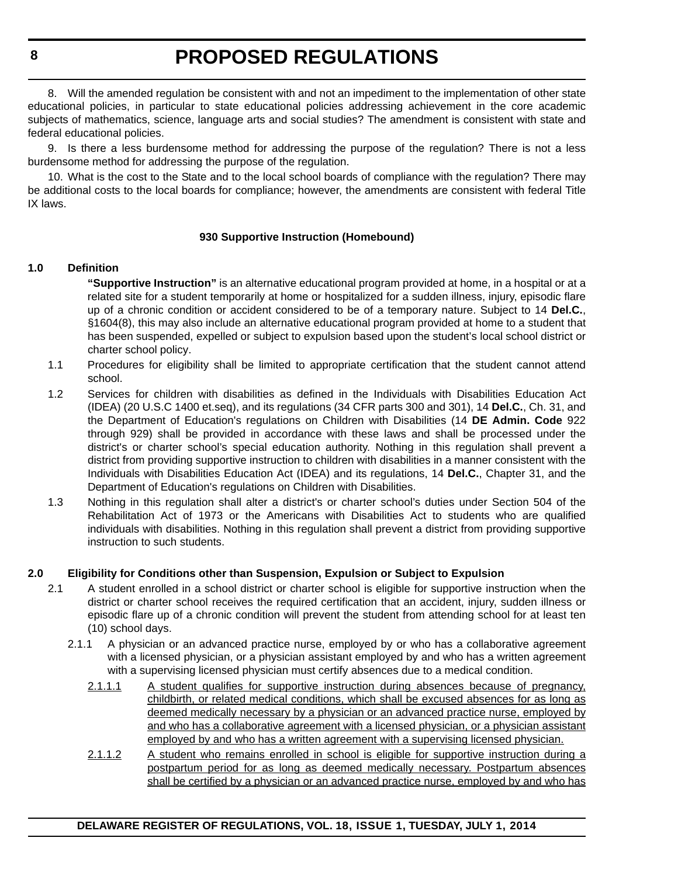8. Will the amended regulation be consistent with and not an impediment to the implementation of other state educational policies, in particular to state educational policies addressing achievement in the core academic subjects of mathematics, science, language arts and social studies? The amendment is consistent with state and federal educational policies.

9. Is there a less burdensome method for addressing the purpose of the regulation? There is not a less burdensome method for addressing the purpose of the regulation.

10. What is the cost to the State and to the local school boards of compliance with the regulation? There may be additional costs to the local boards for compliance; however, the amendments are consistent with federal Title IX laws.

### **930 Supportive Instruction (Homebound)**

### **1.0 Definition**

**"Supportive Instruction"** is an alternative educational program provided at home, in a hospital or at a related site for a student temporarily at home or hospitalized for a sudden illness, injury, episodic flare up of a chronic condition or accident considered to be of a temporary nature. Subject to 14 **Del.C.**, §1604(8), this may also include an alternative educational program provided at home to a student that has been suspended, expelled or subject to expulsion based upon the student's local school district or charter school policy.

- 1.1 Procedures for eligibility shall be limited to appropriate certification that the student cannot attend school.
- 1.2 Services for children with disabilities as defined in the Individuals with Disabilities Education Act (IDEA) (20 U.S.C 1400 et.seq), and its regulations (34 CFR parts 300 and 301), 14 **Del.C.**, Ch. 31, and the Department of Education's regulations on Children with Disabilities (14 **DE Admin. Code** 922 through 929) shall be provided in accordance with these laws and shall be processed under the district's or charter school's special education authority. Nothing in this regulation shall prevent a district from providing supportive instruction to children with disabilities in a manner consistent with the Individuals with Disabilities Education Act (IDEA) and its regulations, 14 **Del.C.**, Chapter 31, and the Department of Education's regulations on Children with Disabilities.
- 1.3 Nothing in this regulation shall alter a district's or charter school's duties under Section 504 of the Rehabilitation Act of 1973 or the Americans with Disabilities Act to students who are qualified individuals with disabilities. Nothing in this regulation shall prevent a district from providing supportive instruction to such students.

### **2.0 Eligibility for Conditions other than Suspension, Expulsion or Subject to Expulsion**

- 2.1 A student enrolled in a school district or charter school is eligible for supportive instruction when the district or charter school receives the required certification that an accident, injury, sudden illness or episodic flare up of a chronic condition will prevent the student from attending school for at least ten (10) school days.
	- 2.1.1 A physician or an advanced practice nurse, employed by or who has a collaborative agreement with a licensed physician, or a physician assistant employed by and who has a written agreement with a supervising licensed physician must certify absences due to a medical condition.
		- 2.1.1.1 A student qualifies for supportive instruction during absences because of pregnancy, childbirth, or related medical conditions, which shall be excused absences for as long as deemed medically necessary by a physician or an advanced practice nurse, employed by and who has a collaborative agreement with a licensed physician, or a physician assistant employed by and who has a written agreement with a supervising licensed physician.
		- 2.1.1.2 A student who remains enrolled in school is eligible for supportive instruction during a postpartum period for as long as deemed medically necessary. Postpartum absences shall be certified by a physician or an advanced practice nurse, employed by and who has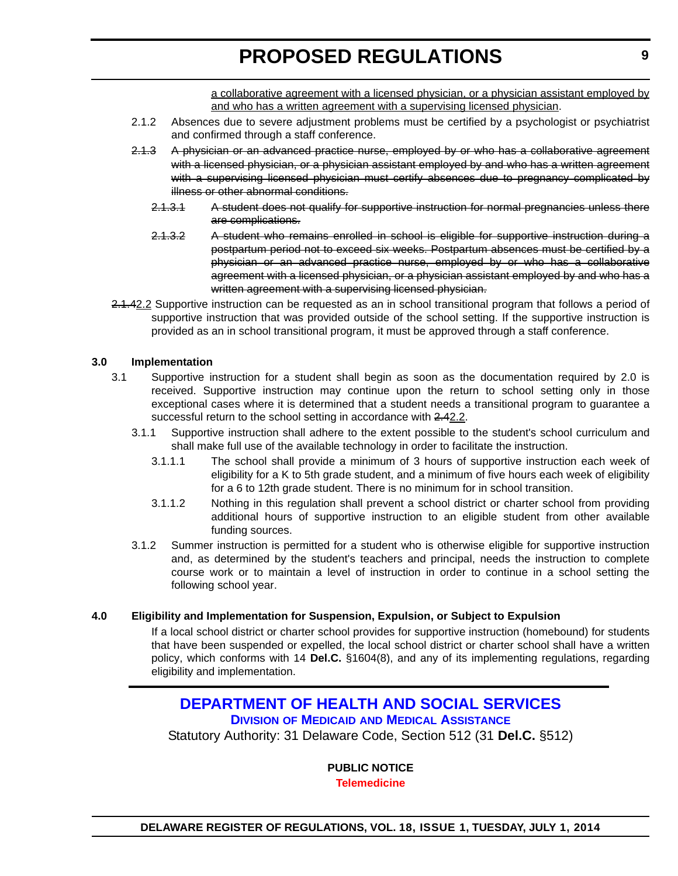a collaborative agreement with a licensed physician, or a physician assistant employed by and who has a written agreement with a supervising licensed physician.

- <span id="page-8-0"></span>2.1.2 Absences due to severe adjustment problems must be certified by a psychologist or psychiatrist and confirmed through a staff conference.
- 2.1.3 A physician or an advanced practice nurse, employed by or who has a collaborative agreement with a licensed physician, or a physician assistant employed by and who has a written agreement with a supervising licensed physician must certify absences due to pregnancy complicated by illness or other abnormal conditions.
	- 2.1.3.1 A student does not qualify for supportive instruction for normal pregnancies unless there are complications.
	- 2.1.3.2 A student who remains enrolled in school is eligible for supportive instruction during a postpartum period not to exceed six weeks. Postpartum absences must be certified by a physician or an advanced practice nurse, employed by or who has a collaborative agreement with a licensed physician, or a physician assistant employed by and who has a written agreement with a supervising licensed physician.
- 2.1.42.2 Supportive instruction can be requested as an in school transitional program that follows a period of supportive instruction that was provided outside of the school setting. If the supportive instruction is provided as an in school transitional program, it must be approved through a staff conference.

# **3.0 Implementation**

- 3.1 Supportive instruction for a student shall begin as soon as the documentation required by 2.0 is received. Supportive instruction may continue upon the return to school setting only in those exceptional cases where it is determined that a student needs a transitional program to guarantee a successful return to the school setting in accordance with 2.42.2.
	- 3.1.1 Supportive instruction shall adhere to the extent possible to the student's school curriculum and shall make full use of the available technology in order to facilitate the instruction.
		- 3.1.1.1 The school shall provide a minimum of 3 hours of supportive instruction each week of eligibility for a K to 5th grade student, and a minimum of five hours each week of eligibility for a 6 to 12th grade student. There is no minimum for in school transition.
		- 3.1.1.2 Nothing in this regulation shall prevent a school district or charter school from providing additional hours of supportive instruction to an eligible student from other available funding sources.
	- 3.1.2 Summer instruction is permitted for a student who is otherwise eligible for supportive instruction and, as determined by the student's teachers and principal, needs the instruction to complete course work or to maintain a level of instruction in order to continue in a school setting the following school year.

### **4.0 Eligibility and Implementation for Suspension, Expulsion, or Subject to Expulsion**

If a local school district or charter school provides for supportive instruction (homebound) for students that have been suspended or expelled, the local school district or charter school shall have a written policy, which conforms with 14 **Del.C.** §1604(8), and any of its implementing regulations, regarding eligibility and implementation.

# **[DEPARTMENT OF HEALTH AND SOCIAL SERVICES](http://www.dhss.delaware.gov/dhss/dmma/) DIVISION OF MEDICAID AND MEDICAL ASSISTANCE**

Statutory Authority: 31 Delaware Code, Section 512 (31 **Del.C.** §512)

**PUBLIC NOTICE [Telemedicine](#page-3-0)**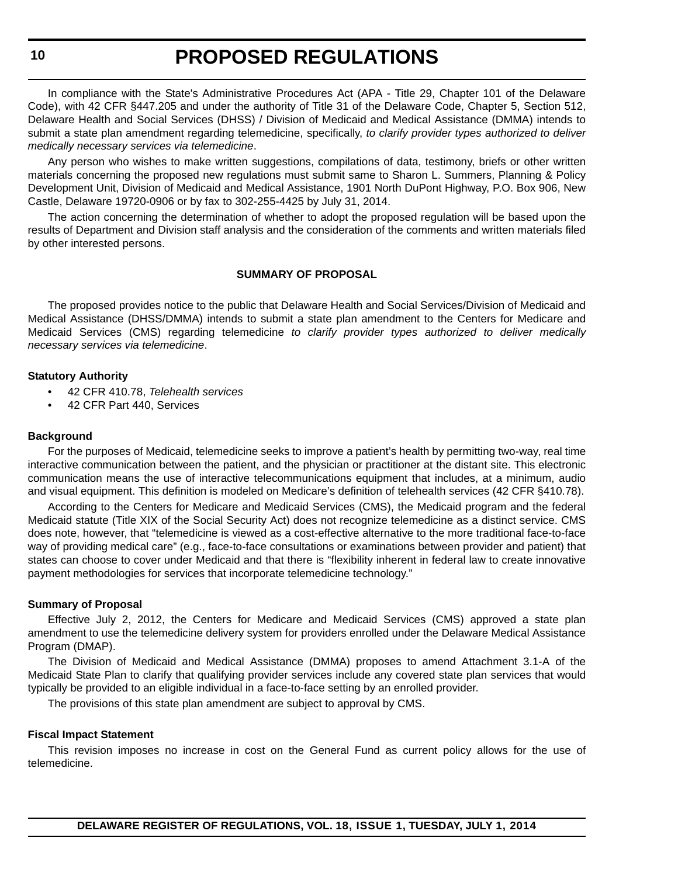**10**

# **PROPOSED REGULATIONS**

In compliance with the State's Administrative Procedures Act (APA - Title 29, Chapter 101 of the Delaware Code), with 42 CFR §447.205 and under the authority of Title 31 of the Delaware Code, Chapter 5, Section 512, Delaware Health and Social Services (DHSS) / Division of Medicaid and Medical Assistance (DMMA) intends to submit a state plan amendment regarding telemedicine, specifically, *to clarify provider types authorized to deliver medically necessary services via telemedicine*.

Any person who wishes to make written suggestions, compilations of data, testimony, briefs or other written materials concerning the proposed new regulations must submit same to Sharon L. Summers, Planning & Policy Development Unit, Division of Medicaid and Medical Assistance, 1901 North DuPont Highway, P.O. Box 906, New Castle, Delaware 19720-0906 or by fax to 302-255-4425 by July 31, 2014.

The action concerning the determination of whether to adopt the proposed regulation will be based upon the results of Department and Division staff analysis and the consideration of the comments and written materials filed by other interested persons.

### **SUMMARY OF PROPOSAL**

The proposed provides notice to the public that Delaware Health and Social Services/Division of Medicaid and Medical Assistance (DHSS/DMMA) intends to submit a state plan amendment to the Centers for Medicare and Medicaid Services (CMS) regarding telemedicine *to clarify provider types authorized to deliver medically necessary services via telemedicine*.

### **Statutory Authority**

- 42 CFR 410.78, *Telehealth services*
- 42 CFR Part 440, Services

#### **Background**

For the purposes of Medicaid, telemedicine seeks to improve a patient's health by permitting two-way, real time interactive communication between the patient, and the physician or practitioner at the distant site. This electronic communication means the use of interactive telecommunications equipment that includes, at a minimum, audio and visual equipment. This definition is modeled on Medicare's definition of telehealth services (42 CFR §410.78).

According to the Centers for Medicare and Medicaid Services (CMS), the Medicaid program and the federal Medicaid statute (Title XIX of the Social Security Act) does not recognize telemedicine as a distinct service. CMS does note, however, that "telemedicine is viewed as a cost-effective alternative to the more traditional face-to-face way of providing medical care" (e.g., face-to-face consultations or examinations between provider and patient) that states can choose to cover under Medicaid and that there is "flexibility inherent in federal law to create innovative payment methodologies for services that incorporate telemedicine technology."

#### **Summary of Proposal**

Effective July 2, 2012, the Centers for Medicare and Medicaid Services (CMS) approved a state plan amendment to use the telemedicine delivery system for providers enrolled under the Delaware Medical Assistance Program (DMAP).

The Division of Medicaid and Medical Assistance (DMMA) proposes to amend Attachment 3.1-A of the Medicaid State Plan to clarify that qualifying provider services include any covered state plan services that would typically be provided to an eligible individual in a face-to-face setting by an enrolled provider.

The provisions of this state plan amendment are subject to approval by CMS.

#### **Fiscal Impact Statement**

This revision imposes no increase in cost on the General Fund as current policy allows for the use of telemedicine.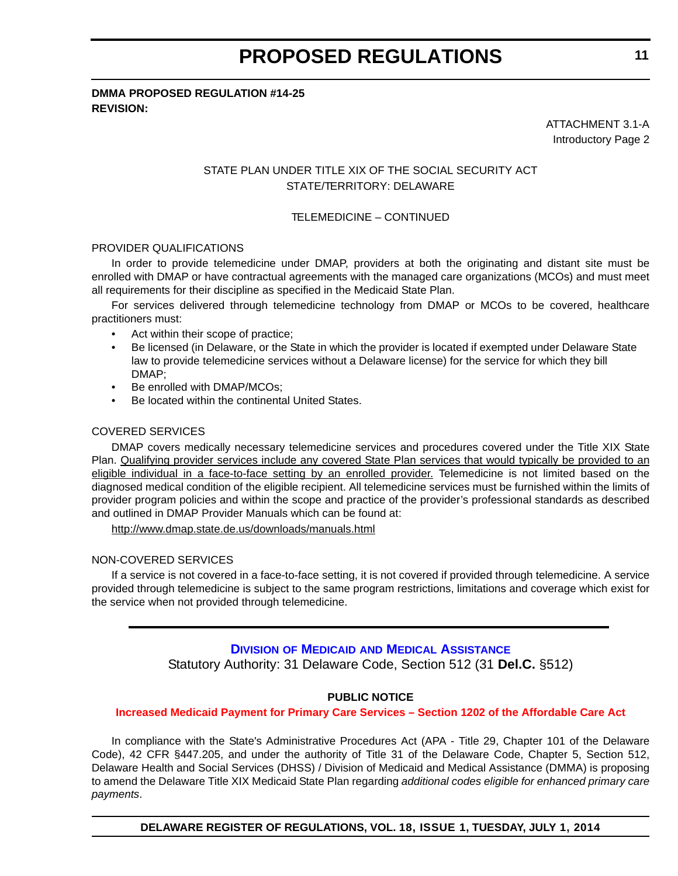# <span id="page-10-0"></span>**DMMA PROPOSED REGULATION #14-25 REVISION:**

ATTACHMENT 3.1-A Introductory Page 2

# STATE PLAN UNDER TITLE XIX OF THE SOCIAL SECURITY ACT STATE/TERRITORY: DELAWARE

### TELEMEDICINE – CONTINUED

#### PROVIDER QUALIFICATIONS

In order to provide telemedicine under DMAP, providers at both the originating and distant site must be enrolled with DMAP or have contractual agreements with the managed care organizations (MCOs) and must meet all requirements for their discipline as specified in the Medicaid State Plan.

For services delivered through telemedicine technology from DMAP or MCOs to be covered, healthcare practitioners must:

- Act within their scope of practice;
- Be licensed (in Delaware, or the State in which the provider is located if exempted under Delaware State law to provide telemedicine services without a Delaware license) for the service for which they bill DMAP;
- Be enrolled with DMAP/MCOs;
- Be located within the continental United States.

### COVERED SERVICES

DMAP covers medically necessary telemedicine services and procedures covered under the Title XIX State Plan. Qualifying provider services include any covered State Plan services that would typically be provided to an eligible individual in a face-to-face setting by an enrolled provider. Telemedicine is not limited based on the diagnosed medical condition of the eligible recipient. All telemedicine services must be furnished within the limits of provider program policies and within the scope and practice of the provider's professional standards as described and outlined in DMAP Provider Manuals which can be found at:

http://www.dmap.state.de.us/downloads/manuals.html

#### NON-COVERED SERVICES

If a service is not covered in a face-to-face setting, it is not covered if provided through telemedicine. A service provided through telemedicine is subject to the same program restrictions, limitations and coverage which exist for the service when not provided through telemedicine.

### **DIVISION OF MEDICAID [AND MEDICAL ASSISTANCE](http://www.dhss.delaware.gov/dhss/dmma/)**

Statutory Authority: 31 Delaware Code, Section 512 (31 **Del.C.** §512)

### **PUBLIC NOTICE**

#### **[Increased Medicaid Payment for Primary Care Services – Section 1202 of the Affordable Care Act](#page-3-0)**

In compliance with the State's Administrative Procedures Act (APA - Title 29, Chapter 101 of the Delaware Code), 42 CFR §447.205, and under the authority of Title 31 of the Delaware Code, Chapter 5, Section 512, Delaware Health and Social Services (DHSS) / Division of Medicaid and Medical Assistance (DMMA) is proposing to amend the Delaware Title XIX Medicaid State Plan regarding *additional codes eligible for enhanced primary care payments*.

**11**

**DELAWARE REGISTER OF REGULATIONS, VOL. 18, ISSUE 1, TUESDAY, JULY 1, 2014**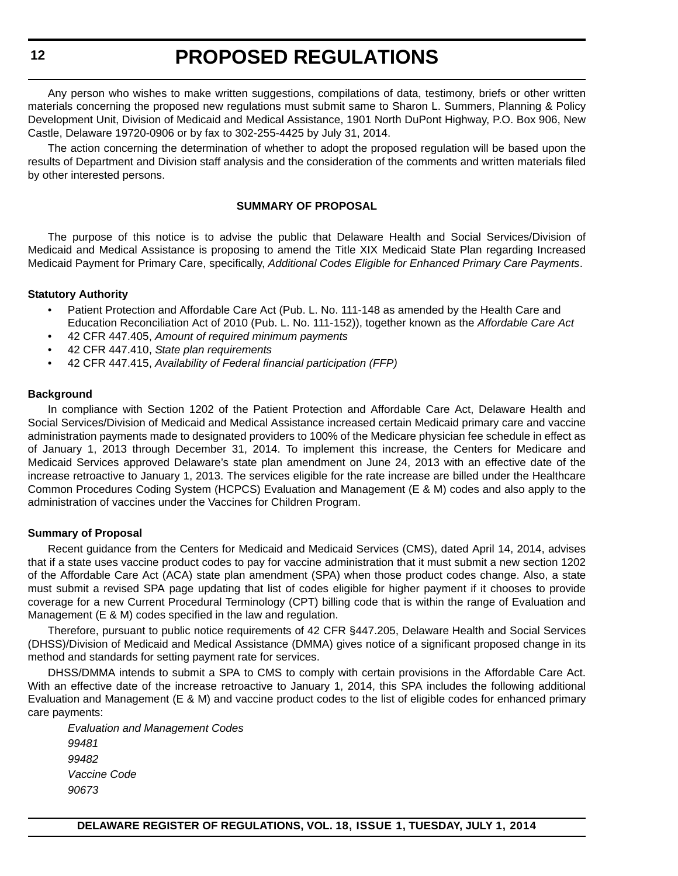Any person who wishes to make written suggestions, compilations of data, testimony, briefs or other written materials concerning the proposed new regulations must submit same to Sharon L. Summers, Planning & Policy Development Unit, Division of Medicaid and Medical Assistance, 1901 North DuPont Highway, P.O. Box 906, New Castle, Delaware 19720-0906 or by fax to 302-255-4425 by July 31, 2014.

The action concerning the determination of whether to adopt the proposed regulation will be based upon the results of Department and Division staff analysis and the consideration of the comments and written materials filed by other interested persons.

### **SUMMARY OF PROPOSAL**

The purpose of this notice is to advise the public that Delaware Health and Social Services/Division of Medicaid and Medical Assistance is proposing to amend the Title XIX Medicaid State Plan regarding Increased Medicaid Payment for Primary Care, specifically, *Additional Codes Eligible for Enhanced Primary Care Payments*.

#### **Statutory Authority**

- Patient Protection and Affordable Care Act (Pub. L. No. 111-148 as amended by the Health Care and Education Reconciliation Act of 2010 (Pub. L. No. 111-152)), together known as the *Affordable Care Act*
- 42 CFR 447.405, *Amount of required minimum payments*
- 42 CFR 447.410, *State plan requirements*
- 42 CFR 447.415, *Availability of Federal financial participation (FFP)*

#### **Background**

In compliance with Section 1202 of the Patient Protection and Affordable Care Act, Delaware Health and Social Services/Division of Medicaid and Medical Assistance increased certain Medicaid primary care and vaccine administration payments made to designated providers to 100% of the Medicare physician fee schedule in effect as of January 1, 2013 through December 31, 2014. To implement this increase, the Centers for Medicare and Medicaid Services approved Delaware's state plan amendment on June 24, 2013 with an effective date of the increase retroactive to January 1, 2013. The services eligible for the rate increase are billed under the Healthcare Common Procedures Coding System (HCPCS) Evaluation and Management (E & M) codes and also apply to the administration of vaccines under the Vaccines for Children Program.

#### **Summary of Proposal**

Recent guidance from the Centers for Medicaid and Medicaid Services (CMS), dated April 14, 2014, advises that if a state uses vaccine product codes to pay for vaccine administration that it must submit a new section 1202 of the Affordable Care Act (ACA) state plan amendment (SPA) when those product codes change. Also, a state must submit a revised SPA page updating that list of codes eligible for higher payment if it chooses to provide coverage for a new Current Procedural Terminology (CPT) billing code that is within the range of Evaluation and Management (E & M) codes specified in the law and regulation.

Therefore, pursuant to public notice requirements of 42 CFR §447.205, Delaware Health and Social Services (DHSS)/Division of Medicaid and Medical Assistance (DMMA) gives notice of a significant proposed change in its method and standards for setting payment rate for services.

DHSS/DMMA intends to submit a SPA to CMS to comply with certain provisions in the Affordable Care Act. With an effective date of the increase retroactive to January 1, 2014, this SPA includes the following additional Evaluation and Management (E & M) and vaccine product codes to the list of eligible codes for enhanced primary care payments:

*Evaluation and Management Codes 99481 99482 Vaccine Code 90673*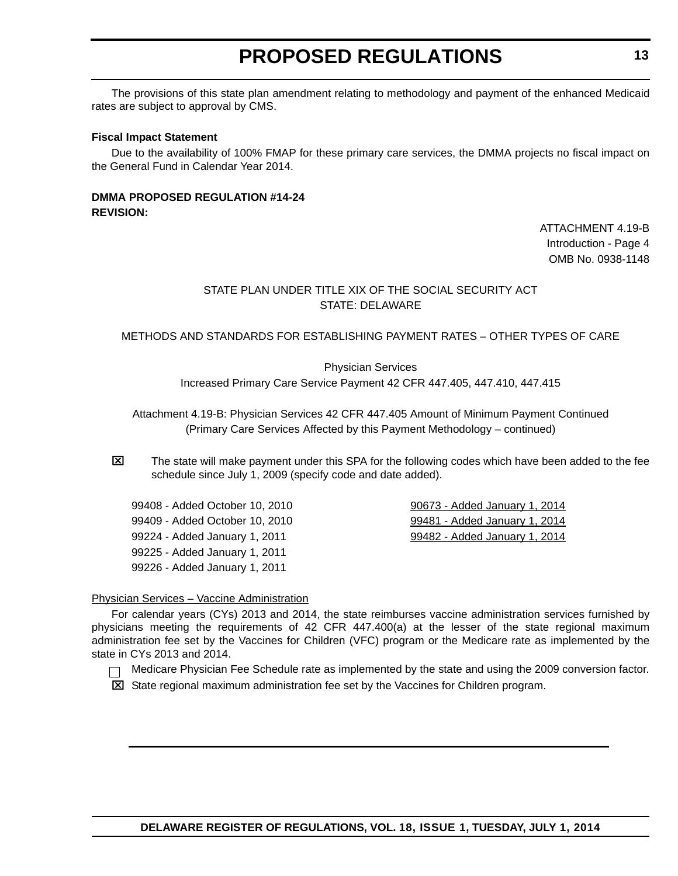The provisions of this state plan amendment relating to methodology and payment of the enhanced Medicaid rates are subject to approval by CMS.

#### **Fiscal Impact Statement**

Due to the availability of 100% FMAP for these primary care services, the DMMA projects no fiscal impact on the General Fund in Calendar Year 2014.

# **DMMA PROPOSED REGULATION #14-24 REVISION:**

ATTACHMENT 4.19-B Introduction - Page 4 OMB No. 0938-1148

### STATE PLAN UNDER TITLE XIX OF THE SOCIAL SECURITY ACT STATE: DELAWARE

METHODS AND STANDARDS FOR ESTABLISHING PAYMENT RATES – OTHER TYPES OF CARE

Physician Services Increased Primary Care Service Payment 42 CFR 447.405, 447.410, 447.415

Attachment 4.19-B: Physician Services 42 CFR 447.405 Amount of Minimum Payment Continued (Primary Care Services Affected by this Payment Methodology – continued)

 The state will make payment under this SPA for the following codes which have been added to the fee schedule since July 1, 2009 (specify code and date added).

99408 - Added October 10, 2010 90673 - Added January 1, 2014 99409 - Added October 10, 2010 99481 - Added January 1, 2014 99224 - Added January 1, 2011 **99482 - Added January 1, 2014** 99225 - Added January 1, 2011 99226 - Added January 1, 2011

#### Physician Services – Vaccine Administration

For calendar years (CYs) 2013 and 2014, the state reimburses vaccine administration services furnished by physicians meeting the requirements of 42 CFR 447.400(a) at the lesser of the state regional maximum administration fee set by the Vaccines for Children (VFC) program or the Medicare rate as implemented by the state in CYs 2013 and 2014.



 $\Box$  Medicare Physician Fee Schedule rate as implemented by the state and using the 2009 conversion factor.

State regional maximum administration fee set by the Vaccines for Children program.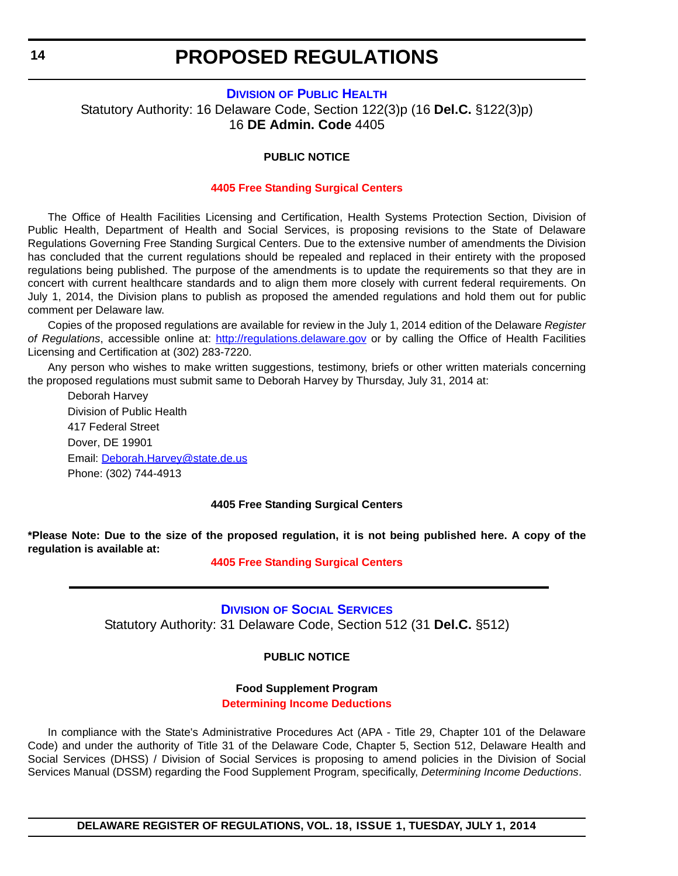#### **DIVISION [OF PUBLIC HEALTH](http://www.dhss.delaware.gov/dhss/dph/index.html)**

<span id="page-13-0"></span>Statutory Authority: 16 Delaware Code, Section 122(3)p (16 **Del.C.** §122(3)p) 16 **DE Admin. Code** 4405

#### **PUBLIC NOTICE**

#### **[4405 Free Standing Surgical Centers](#page-3-0)**

The Office of Health Facilities Licensing and Certification, Health Systems Protection Section, Division of Public Health, Department of Health and Social Services, is proposing revisions to the State of Delaware Regulations Governing Free Standing Surgical Centers. Due to the extensive number of amendments the Division has concluded that the current regulations should be repealed and replaced in their entirety with the proposed regulations being published. The purpose of the amendments is to update the requirements so that they are in concert with current healthcare standards and to align them more closely with current federal requirements. On July 1, 2014, the Division plans to publish as proposed the amended regulations and hold them out for public comment per Delaware law.

Copies of the proposed regulations are available for review in the July 1, 2014 edition of the Delaware *Register of Regulations*, accessible online at: <http://regulations.delaware.gov> or by calling the Office of Health Facilities Licensing and Certification at (302) 283-7220.

Any person who wishes to make written suggestions, testimony, briefs or other written materials concerning the proposed regulations must submit same to Deborah Harvey by Thursday, July 31, 2014 at:

Deborah Harvey Division of Public Health 417 Federal Street Dover, DE 19901 Email: [Deborah.Harvey@state.de.us](mailto:Deborah.Harvey@state.de.us) Phone: (302) 744-4913

#### **4405 Free Standing Surgical Centers**

**\*Please Note: Due to the size of the proposed regulation, it is not being published here. A copy of the regulation is available at:**

#### **[4405 Free Standing Surgical Centers](http://regulations.delaware.gov/register/july2014/proposed/18 DE Reg 14 07-01-14.htm)**

**DIVISION [OF SOCIAL SERVICES](http://www.dhss.delaware.gov/dhss/dss/)** Statutory Authority: 31 Delaware Code, Section 512 (31 **Del.C.** §512)

### **PUBLIC NOTICE**

# **Food Supplement Program**

### **[Determining Income Deductions](#page-3-0)**

In compliance with the State's Administrative Procedures Act (APA - Title 29, Chapter 101 of the Delaware Code) and under the authority of Title 31 of the Delaware Code, Chapter 5, Section 512, Delaware Health and Social Services (DHSS) / Division of Social Services is proposing to amend policies in the Division of Social Services Manual (DSSM) regarding the Food Supplement Program, specifically, *Determining Income Deductions*.

**DELAWARE REGISTER OF REGULATIONS, VOL. 18, ISSUE 1, TUESDAY, JULY 1, 2014**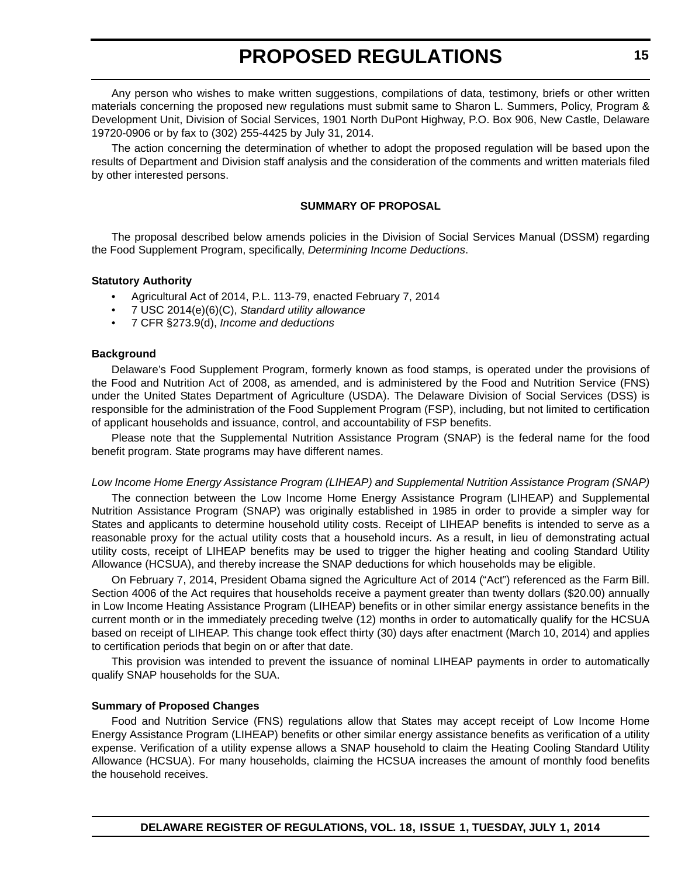Any person who wishes to make written suggestions, compilations of data, testimony, briefs or other written materials concerning the proposed new regulations must submit same to Sharon L. Summers, Policy, Program & Development Unit, Division of Social Services, 1901 North DuPont Highway, P.O. Box 906, New Castle, Delaware 19720-0906 or by fax to (302) 255-4425 by July 31, 2014.

The action concerning the determination of whether to adopt the proposed regulation will be based upon the results of Department and Division staff analysis and the consideration of the comments and written materials filed by other interested persons.

#### **SUMMARY OF PROPOSAL**

The proposal described below amends policies in the Division of Social Services Manual (DSSM) regarding the Food Supplement Program, specifically, *Determining Income Deductions*.

#### **Statutory Authority**

- Agricultural Act of 2014, P.L. 113-79, enacted February 7, 2014
- 7 USC 2014(e)(6)(C), *Standard utility allowance*
- 7 CFR §273.9(d), *Income and deductions*

#### **Background**

Delaware's Food Supplement Program, formerly known as food stamps, is operated under the provisions of the Food and Nutrition Act of 2008, as amended, and is administered by the Food and Nutrition Service (FNS) under the United States Department of Agriculture (USDA). The Delaware Division of Social Services (DSS) is responsible for the administration of the Food Supplement Program (FSP), including, but not limited to certification of applicant households and issuance, control, and accountability of FSP benefits.

Please note that the Supplemental Nutrition Assistance Program (SNAP) is the federal name for the food benefit program. State programs may have different names.

#### *Low Income Home Energy Assistance Program (LIHEAP) and Supplemental Nutrition Assistance Program (SNAP)*

The connection between the Low Income Home Energy Assistance Program (LIHEAP) and Supplemental Nutrition Assistance Program (SNAP) was originally established in 1985 in order to provide a simpler way for States and applicants to determine household utility costs. Receipt of LIHEAP benefits is intended to serve as a reasonable proxy for the actual utility costs that a household incurs. As a result, in lieu of demonstrating actual utility costs, receipt of LIHEAP benefits may be used to trigger the higher heating and cooling Standard Utility Allowance (HCSUA), and thereby increase the SNAP deductions for which households may be eligible.

On February 7, 2014, President Obama signed the Agriculture Act of 2014 ("Act") referenced as the Farm Bill. Section 4006 of the Act requires that households receive a payment greater than twenty dollars (\$20.00) annually in Low Income Heating Assistance Program (LIHEAP) benefits or in other similar energy assistance benefits in the current month or in the immediately preceding twelve (12) months in order to automatically qualify for the HCSUA based on receipt of LIHEAP. This change took effect thirty (30) days after enactment (March 10, 2014) and applies to certification periods that begin on or after that date.

This provision was intended to prevent the issuance of nominal LIHEAP payments in order to automatically qualify SNAP households for the SUA.

#### **Summary of Proposed Changes**

Food and Nutrition Service (FNS) regulations allow that States may accept receipt of Low Income Home Energy Assistance Program (LIHEAP) benefits or other similar energy assistance benefits as verification of a utility expense. Verification of a utility expense allows a SNAP household to claim the Heating Cooling Standard Utility Allowance (HCSUA). For many households, claiming the HCSUA increases the amount of monthly food benefits the household receives.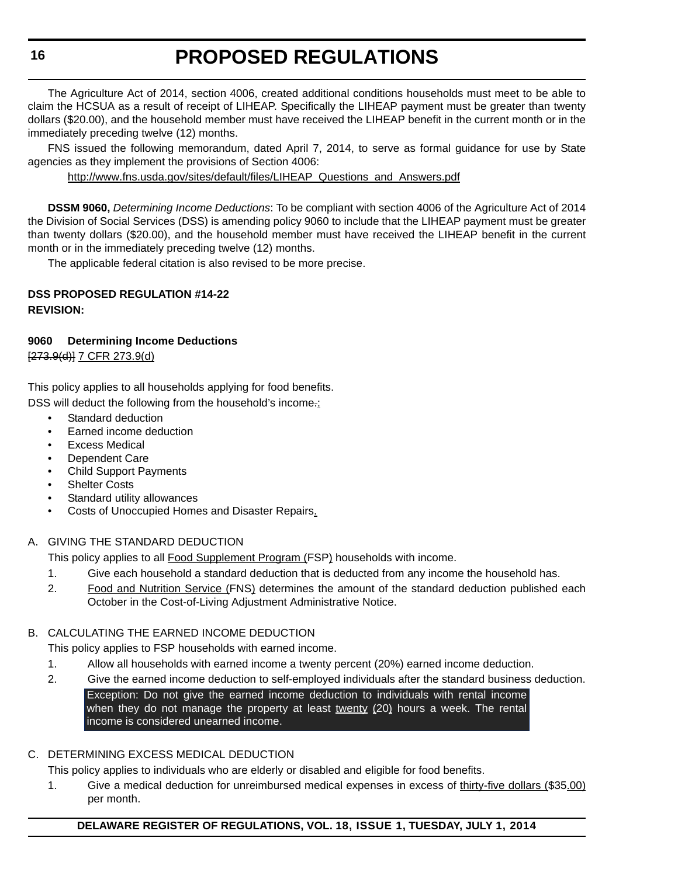The Agriculture Act of 2014, section 4006, created additional conditions households must meet to be able to claim the HCSUA as a result of receipt of LIHEAP. Specifically the LIHEAP payment must be greater than twenty dollars (\$20.00), and the household member must have received the LIHEAP benefit in the current month or in the immediately preceding twelve (12) months.

FNS issued the following memorandum, dated April 7, 2014, to serve as formal guidance for use by State agencies as they implement the provisions of Section 4006:

http://www.fns.usda.gov/sites/default/files/LIHEAP\_Questions\_and\_Answers.pdf

**DSSM 9060,** *Determining Income Deductions*: To be compliant with section 4006 of the Agriculture Act of 2014 the Division of Social Services (DSS) is amending policy 9060 to include that the LIHEAP payment must be greater than twenty dollars (\$20.00), and the household member must have received the LIHEAP benefit in the current month or in the immediately preceding twelve (12) months.

The applicable federal citation is also revised to be more precise.

# **DSS PROPOSED REGULATION #14-22 REVISION:**

# **9060 Determining Income Deductions**

[273.9(d)] 7 CFR 273.9(d)

This policy applies to all households applying for food benefits. DSS will deduct the following from the household's income.:

- Standard deduction
- Earned income deduction
- **Excess Medical**
- Dependent Care
- Child Support Payments
- **Shelter Costs**
- Standard utility allowances
- Costs of Unoccupied Homes and Disaster Repairs.

# A. GIVING THE STANDARD DEDUCTION

This policy applies to all **Food Supplement Program (FSP)** households with income.

- 1. Give each household a standard deduction that is deducted from any income the household has.
- 2. Food and Nutrition Service (FNS) determines the amount of the standard deduction published each October in the Cost-of-Living Adjustment Administrative Notice.

# B. CALCULATING THE EARNED INCOME DEDUCTION

This policy applies to FSP households with earned income.

- 1. Allow all households with earned income a twenty percent (20%) earned income deduction.
- 2. Give the earned income deduction to self-employed individuals after the standard business deduction. Exception: Do not give the earned income deduction to individuals with rental income

when they do not manage the property at least twenty  $(20)$  hours a week. The rental income is considered unearned income.

# C. DETERMINING EXCESS MEDICAL DEDUCTION

This policy applies to individuals who are elderly or disabled and eligible for food benefits.

1. Give a medical deduction for unreimbursed medical expenses in excess of thirty-five dollars (\$35.00) per month.

# **DELAWARE REGISTER OF REGULATIONS, VOL. 18, ISSUE 1, TUESDAY, JULY 1, 2014**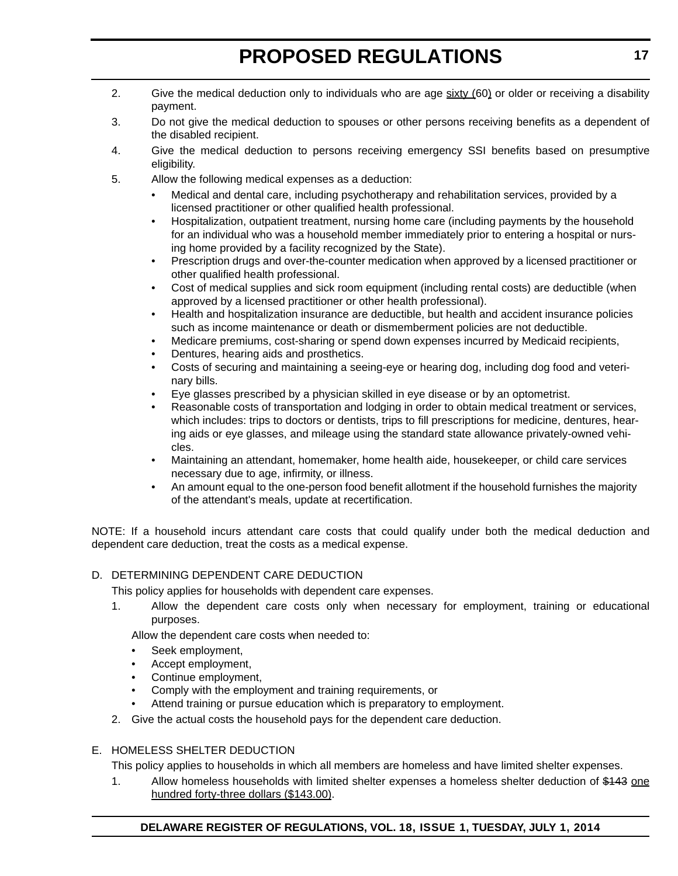- 2. Give the medical deduction only to individuals who are age sixty (60) or older or receiving a disability payment.
- 3. Do not give the medical deduction to spouses or other persons receiving benefits as a dependent of the disabled recipient.
- 4. Give the medical deduction to persons receiving emergency SSI benefits based on presumptive eligibility.
- 5. Allow the following medical expenses as a deduction:
	- Medical and dental care, including psychotherapy and rehabilitation services, provided by a licensed practitioner or other qualified health professional.
	- Hospitalization, outpatient treatment, nursing home care (including payments by the household for an individual who was a household member immediately prior to entering a hospital or nursing home provided by a facility recognized by the State).
	- Prescription drugs and over-the-counter medication when approved by a licensed practitioner or other qualified health professional.
	- Cost of medical supplies and sick room equipment (including rental costs) are deductible (when approved by a licensed practitioner or other health professional).
	- Health and hospitalization insurance are deductible, but health and accident insurance policies such as income maintenance or death or dismemberment policies are not deductible.
	- Medicare premiums, cost-sharing or spend down expenses incurred by Medicaid recipients,
	- Dentures, hearing aids and prosthetics.
	- Costs of securing and maintaining a seeing-eye or hearing dog, including dog food and veterinary bills.
	- Eye glasses prescribed by a physician skilled in eye disease or by an optometrist.
	- Reasonable costs of transportation and lodging in order to obtain medical treatment or services, which includes: trips to doctors or dentists, trips to fill prescriptions for medicine, dentures, hearing aids or eye glasses, and mileage using the standard state allowance privately-owned vehicles.
	- Maintaining an attendant, homemaker, home health aide, housekeeper, or child care services necessary due to age, infirmity, or illness.
	- An amount equal to the one-person food benefit allotment if the household furnishes the majority of the attendant's meals, update at recertification.

NOTE: If a household incurs attendant care costs that could qualify under both the medical deduction and dependent care deduction, treat the costs as a medical expense.

# D. DETERMINING DEPENDENT CARE DEDUCTION

This policy applies for households with dependent care expenses.

1. Allow the dependent care costs only when necessary for employment, training or educational purposes.

Allow the dependent care costs when needed to:

- Seek employment,
- Accept employment,
- Continue employment.
- Comply with the employment and training requirements, or
- Attend training or pursue education which is preparatory to employment.
- 2. Give the actual costs the household pays for the dependent care deduction.

## E. HOMELESS SHELTER DEDUCTION

This policy applies to households in which all members are homeless and have limited shelter expenses.

1. Allow homeless households with limited shelter expenses a homeless shelter deduction of \$143 one hundred forty-three dollars (\$143.00).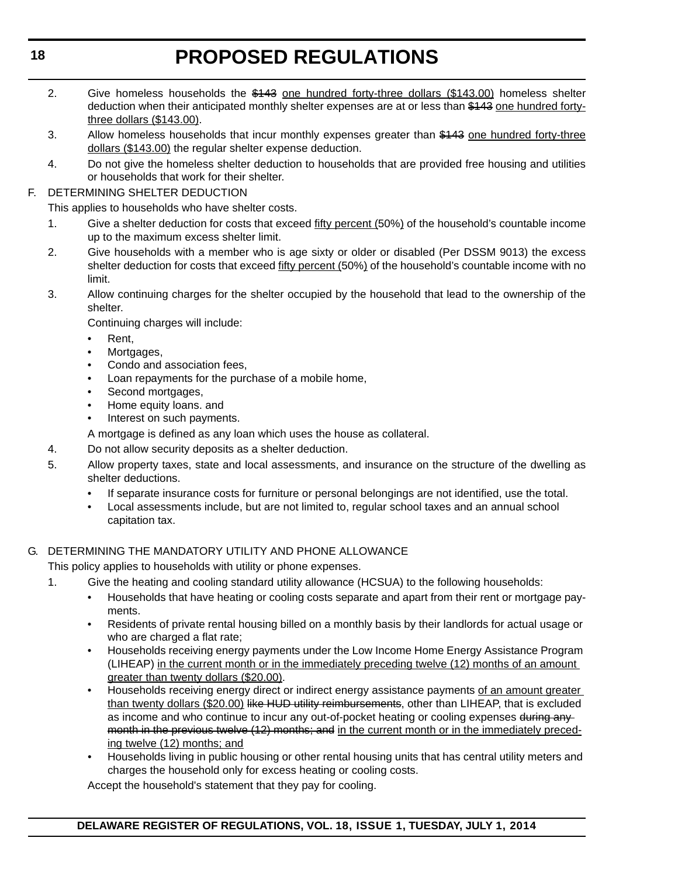- 2. Give homeless households the \$143 one hundred forty-three dollars (\$143.00) homeless shelter deduction when their anticipated monthly shelter expenses are at or less than \$143 one hundred fortythree dollars (\$143.00).
- 3. Allow homeless households that incur monthly expenses greater than \$143 one hundred forty-three dollars (\$143.00) the regular shelter expense deduction.
- 4. Do not give the homeless shelter deduction to households that are provided free housing and utilities or households that work for their shelter.

# F. DETERMINING SHELTER DEDUCTION

This applies to households who have shelter costs.

- 1. Give a shelter deduction for costs that exceed fifty percent (50%) of the household's countable income up to the maximum excess shelter limit.
- 2. Give households with a member who is age sixty or older or disabled (Per DSSM 9013) the excess shelter deduction for costs that exceed fifty percent (50%) of the household's countable income with no limit.
- 3. Allow continuing charges for the shelter occupied by the household that lead to the ownership of the shelter.

Continuing charges will include:

- Rent.
- Mortgages,
- Condo and association fees,
- Loan repayments for the purchase of a mobile home,
- Second mortgages,
- Home equity loans. and
- Interest on such payments.
- A mortgage is defined as any loan which uses the house as collateral.
- 4. Do not allow security deposits as a shelter deduction.
- 5. Allow property taxes, state and local assessments, and insurance on the structure of the dwelling as shelter deductions.
	- If separate insurance costs for furniture or personal belongings are not identified, use the total.
	- Local assessments include, but are not limited to, regular school taxes and an annual school capitation tax.

# G. DETERMINING THE MANDATORY UTILITY AND PHONE ALLOWANCE

This policy applies to households with utility or phone expenses.

1. Give the heating and cooling standard utility allowance (HCSUA) to the following households:

- Households that have heating or cooling costs separate and apart from their rent or mortgage payments.
- Residents of private rental housing billed on a monthly basis by their landlords for actual usage or who are charged a flat rate;
- Households receiving energy payments under the Low Income Home Energy Assistance Program (LIHEAP) in the current month or in the immediately preceding twelve (12) months of an amount greater than twenty dollars (\$20.00).
- Households receiving energy direct or indirect energy assistance payments of an amount greater than twenty dollars (\$20.00) like HUD utility reimbursements, other than LIHEAP, that is excluded as income and who continue to incur any out-of-pocket heating or cooling expenses during anymonth in the previous twelve (12) months; and in the current month or in the immediately preceding twelve (12) months; and
- Households living in public housing or other rental housing units that has central utility meters and charges the household only for excess heating or cooling costs.

Accept the household's statement that they pay for cooling.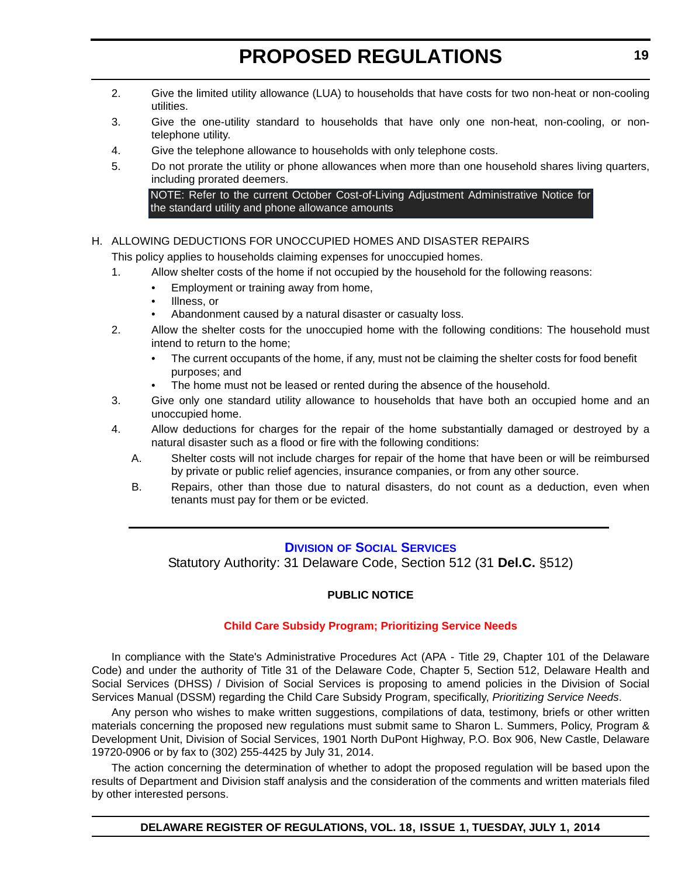- <span id="page-18-0"></span>2. Give the limited utility allowance (LUA) to households that have costs for two non-heat or non-cooling utilities.
- 3. Give the one-utility standard to households that have only one non-heat, non-cooling, or nontelephone utility.
- 4. Give the telephone allowance to households with only telephone costs.
- 5. Do not prorate the utility or phone allowances when more than one household shares living quarters, including prorated deemers.

NOTE: Refer to the current October Cost-of-Living Adjustment Administrative Notice for the standard utility and phone allowance amounts.

# H. ALLOWING DEDUCTIONS FOR UNOCCUPIED HOMES AND DISASTER REPAIRS

This policy applies to households claiming expenses for unoccupied homes.

- 1. Allow shelter costs of the home if not occupied by the household for the following reasons:
	- Employment or training away from home,
	- Illness, or
	- Abandonment caused by a natural disaster or casualty loss.
- 2. Allow the shelter costs for the unoccupied home with the following conditions: The household must intend to return to the home;
	- The current occupants of the home, if any, must not be claiming the shelter costs for food benefit purposes; and
	- The home must not be leased or rented during the absence of the household.
- 3. Give only one standard utility allowance to households that have both an occupied home and an unoccupied home.
- 4. Allow deductions for charges for the repair of the home substantially damaged or destroyed by a natural disaster such as a flood or fire with the following conditions:
	- A. Shelter costs will not include charges for repair of the home that have been or will be reimbursed by private or public relief agencies, insurance companies, or from any other source.
	- B. Repairs, other than those due to natural disasters, do not count as a deduction, even when tenants must pay for them or be evicted.

# **DIVISION [OF SOCIAL SERVICES](http://www.dhss.delaware.gov/dhss/dss/)**

Statutory Authority: 31 Delaware Code, Section 512 (31 **Del.C.** §512)

# **PUBLIC NOTICE**

# **[Child Care Subsidy Program; Prioritizing Service Needs](#page-3-0)**

In compliance with the State's Administrative Procedures Act (APA - Title 29, Chapter 101 of the Delaware Code) and under the authority of Title 31 of the Delaware Code, Chapter 5, Section 512, Delaware Health and Social Services (DHSS) / Division of Social Services is proposing to amend policies in the Division of Social Services Manual (DSSM) regarding the Child Care Subsidy Program, specifically, *Prioritizing Service Needs*.

Any person who wishes to make written suggestions, compilations of data, testimony, briefs or other written materials concerning the proposed new regulations must submit same to Sharon L. Summers, Policy, Program & Development Unit, Division of Social Services, 1901 North DuPont Highway, P.O. Box 906, New Castle, Delaware 19720-0906 or by fax to (302) 255-4425 by July 31, 2014.

The action concerning the determination of whether to adopt the proposed regulation will be based upon the results of Department and Division staff analysis and the consideration of the comments and written materials filed by other interested persons.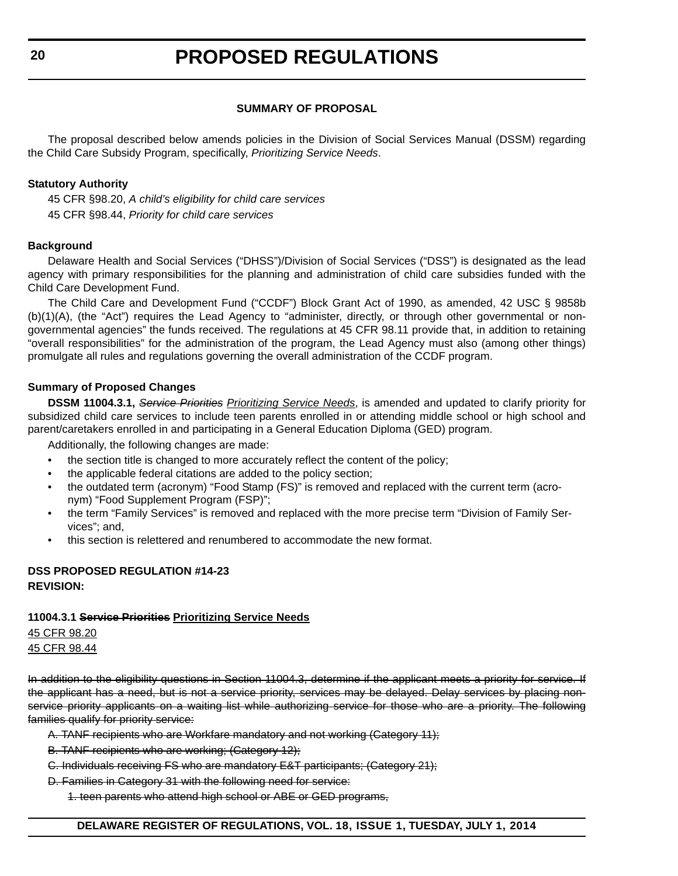# **SUMMARY OF PROPOSAL**

The proposal described below amends policies in the Division of Social Services Manual (DSSM) regarding the Child Care Subsidy Program, specifically, *Prioritizing Service Needs*.

### **Statutory Authority**

45 CFR §98.20, *A child's eligibility for child care services* 45 CFR §98.44, *Priority for child care services*

### **Background**

Delaware Health and Social Services ("DHSS")/Division of Social Services ("DSS") is designated as the lead agency with primary responsibilities for the planning and administration of child care subsidies funded with the Child Care Development Fund.

The Child Care and Development Fund ("CCDF") Block Grant Act of 1990, as amended, 42 USC § 9858b (b)(1)(A), (the "Act") requires the Lead Agency to "administer, directly, or through other governmental or nongovernmental agencies" the funds received. The regulations at 45 CFR 98.11 provide that, in addition to retaining "overall responsibilities" for the administration of the program, the Lead Agency must also (among other things) promulgate all rules and regulations governing the overall administration of the CCDF program.

### **Summary of Proposed Changes**

**DSSM 11004.3.1,** *Service Priorities Prioritizing Service Needs*, is amended and updated to clarify priority for subsidized child care services to include teen parents enrolled in or attending middle school or high school and parent/caretakers enrolled in and participating in a General Education Diploma (GED) program.

Additionally, the following changes are made:

- the section title is changed to more accurately reflect the content of the policy;
- the applicable federal citations are added to the policy section;
- the outdated term (acronym) "Food Stamp (FS)" is removed and replaced with the current term (acronym) "Food Supplement Program (FSP)";
- the term "Family Services" is removed and replaced with the more precise term "Division of Family Services"; and,
- this section is relettered and renumbered to accommodate the new format.

# **DSS PROPOSED REGULATION #14-23 REVISION:**

### **11004.3.1 Service Priorities Prioritizing Service Needs**

45 CFR 98.20 45 CFR 98.44

In addition to the eligibility questions in Section 11004.3, determine if the applicant meets a priority for service. If the applicant has a need, but is not a service priority, services may be delayed. Delay services by placing nonservice priority applicants on a waiting list while authorizing service for those who are a priority. The following families qualify for priority service:

A. TANF recipients who are Workfare mandatory and not working (Category 11);

B. TANF recipients who are working; (Category 12);

C. Individuals receiving FS who are mandatory E&T participants; (Category 21);

D. Families in Category 31 with the following need for service:

1. teen parents who attend high school or ABE or GED programs,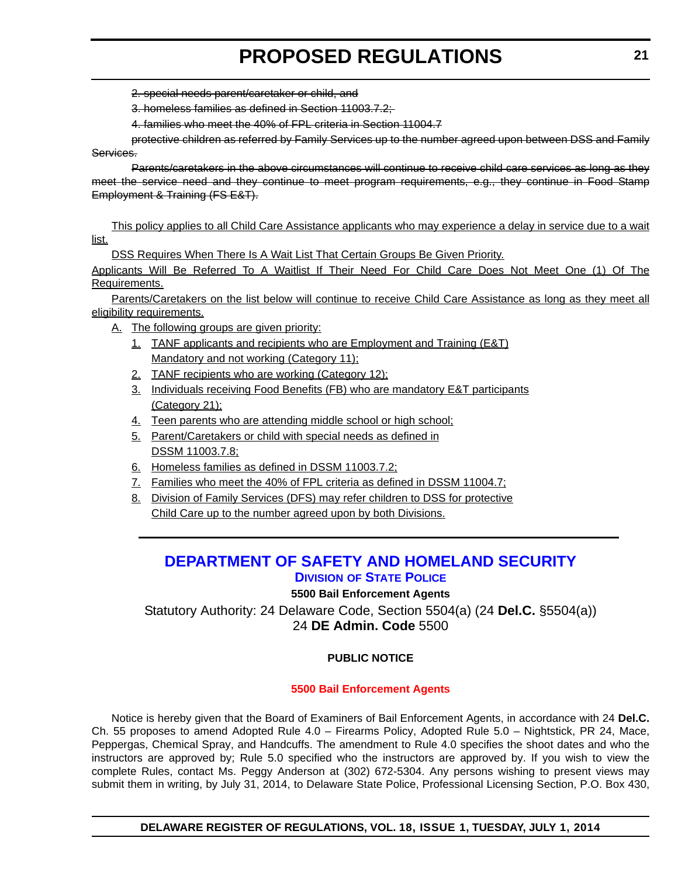<span id="page-20-0"></span>2. special needs parent/caretaker or child, and

3. homeless families as defined in Section 11003.7.2;

4. families who meet the 40% of FPL criteria in Section 11004.7

protective children as referred by Family Services up to the number agreed upon between DSS and Family Services.

Parents/caretakers in the above circumstances will continue to receive child care services as long as they meet the service need and they continue to meet program requirements, e.g., they continue in Food Stamp Employment & Training (FS E&T).

This policy applies to all Child Care Assistance applicants who may experience a delay in service due to a wait list.

DSS Requires When There Is A Wait List That Certain Groups Be Given Priority.

Applicants Will Be Referred To A Waitlist If Their Need For Child Care Does Not Meet One (1) Of The Requirements.

Parents/Caretakers on the list below will continue to receive Child Care Assistance as long as they meet all eligibility requirements.

- A. The following groups are given priority:
	- 1. TANF applicants and recipients who are Employment and Training (E&T) Mandatory and not working (Category 11);
	- 2. TANF recipients who are working (Category 12):
	- 3. Individuals receiving Food Benefits (FB) who are mandatory E&T participants (Category 21);
	- 4. Teen parents who are attending middle school or high school;
	- 5. Parent/Caretakers or child with special needs as defined in DSSM 11003.7.8;
	- 6. Homeless families as defined in DSSM 11003.7.2;
	- 7. Families who meet the 40% of FPL criteria as defined in DSSM 11004.7;
	- 8. Division of Family Services (DFS) may refer children to DSS for protective Child Care up to the number agreed upon by both Divisions.

# **[DEPARTMENT OF SAFETY AND HOMELAND SECURITY](http://dsp.delaware.gov/) DIVISION OF STATE POLICE**

### **5500 Bail Enforcement Agents**

Statutory Authority: 24 Delaware Code, Section 5504(a) (24 **Del.C.** §5504(a)) 24 **DE Admin. Code** 5500

# **PUBLIC NOTICE**

### **[5500 Bail Enforcement Agents](#page-3-0)**

Notice is hereby given that the Board of Examiners of Bail Enforcement Agents, in accordance with 24 **Del.C.** Ch. 55 proposes to amend Adopted Rule 4.0 – Firearms Policy, Adopted Rule 5.0 – Nightstick, PR 24, Mace, Peppergas, Chemical Spray, and Handcuffs. The amendment to Rule 4.0 specifies the shoot dates and who the instructors are approved by; Rule 5.0 specified who the instructors are approved by. If you wish to view the complete Rules, contact Ms. Peggy Anderson at (302) 672-5304. Any persons wishing to present views may submit them in writing, by July 31, 2014, to Delaware State Police, Professional Licensing Section, P.O. Box 430,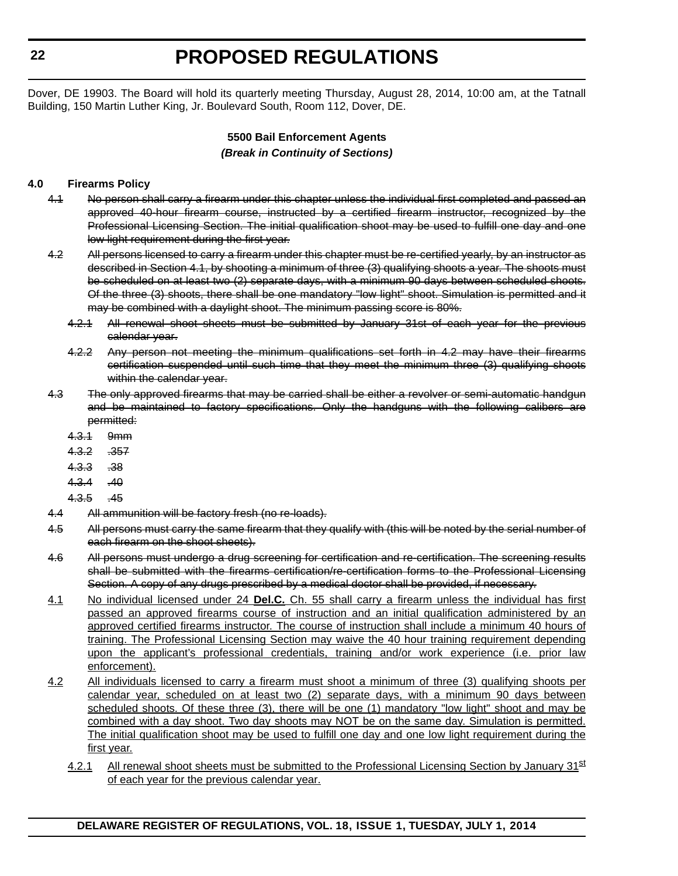Dover, DE 19903. The Board will hold its quarterly meeting Thursday, August 28, 2014, 10:00 am, at the Tatnall Building, 150 Martin Luther King, Jr. Boulevard South, Room 112, Dover, DE.

# **5500 Bail Enforcement Agents** *(Break in Continuity of Sections)*

# **4.0 Firearms Policy**

- 4.1 No person shall carry a firearm under this chapter unless the individual first completed and passed an approved 40-hour firearm course, instructed by a certified firearm instructor, recognized by the Professional Licensing Section. The initial qualification shoot may be used to fulfill one day and one low light requirement during the first year.
- 4.2 All persons licensed to carry a firearm under this chapter must be re-certified yearly, by an instructor as described in Section 4.1, by shooting a minimum of three (3) qualifying shoots a year. The shoots must be scheduled on at least two (2) separate days, with a minimum 90 days between scheduled shoots. Of the three (3) shoots, there shall be one mandatory "low light" shoot. Simulation is permitted and it may be combined with a daylight shoot. The minimum passing score is 80%.
	- 4.2.1 All renewal shoot sheets must be submitted by January 31st of each year for the previous calendar year.
	- 4.2.2 Any person not meeting the minimum qualifications set forth in 4.2 may have their firearms certification suspended until such time that they meet the minimum three (3) qualifying shoots within the calendar year.
- 4.3 The only approved firearms that may be carried shall be either a revolver or semi-automatic handgun and be maintained to factory specifications. Only the handguns with the following calibers are permitted:
	- 4.3.1 9mm
	- 4.3.2 .357
	- 4.3.3 .38
	- 4.3.4 .40
	- 4.3.5 .45
- 4.4 All ammunition will be factory fresh (no re-loads).
- 4.5 All persons must carry the same firearm that they qualify with (this will be noted by the serial number of each firearm on the shoot sheets).
- 4.6 All persons must undergo a drug screening for certification and re-certification. The screening results shall be submitted with the firearms certification/re-certification forms to the Professional Licensing Section. A copy of any drugs prescribed by a medical doctor shall be provided, if necessary.
- 4.1 No individual licensed under 24 **Del.C.** Ch. 55 shall carry a firearm unless the individual has first passed an approved firearms course of instruction and an initial qualification administered by an approved certified firearms instructor. The course of instruction shall include a minimum 40 hours of training. The Professional Licensing Section may waive the 40 hour training requirement depending upon the applicant's professional credentials, training and/or work experience (i.e. prior law enforcement).
- 4.2 All individuals licensed to carry a firearm must shoot a minimum of three (3) qualifying shoots per calendar year, scheduled on at least two (2) separate days, with a minimum 90 days between scheduled shoots. Of these three (3), there will be one (1) mandatory "low light" shoot and may be combined with a day shoot. Two day shoots may NOT be on the same day. Simulation is permitted. The initial qualification shoot may be used to fulfill one day and one low light requirement during the first year.
	- 4.2.1 All renewal shoot sheets must be submitted to the Professional Licensing Section by January 31<sup>st</sup> of each year for the previous calendar year.

**22**

# **DELAWARE REGISTER OF REGULATIONS, VOL. 18, ISSUE 1, TUESDAY, JULY 1, 2014**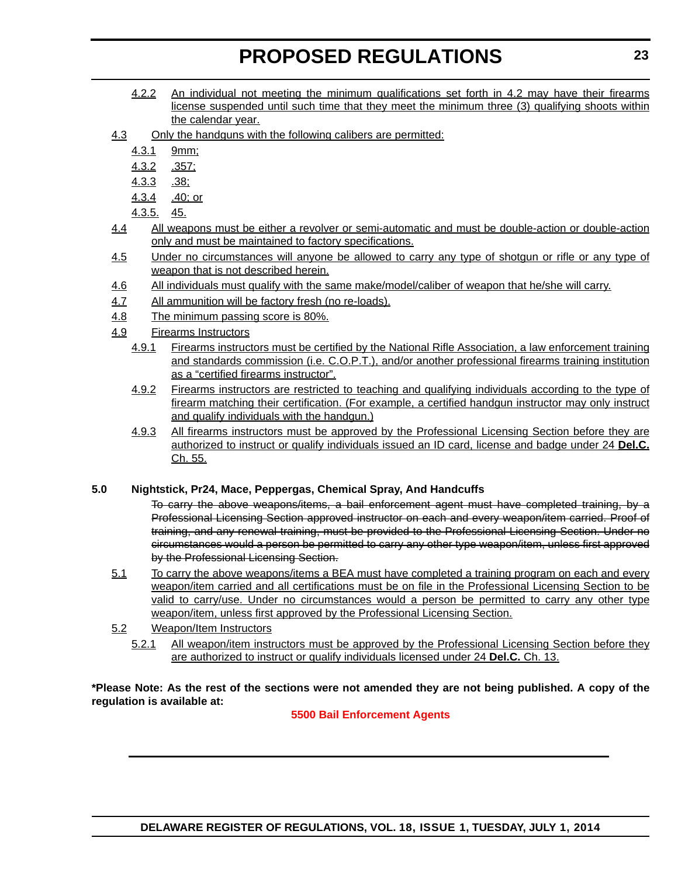- 4.2.2 An individual not meeting the minimum qualifications set forth in 4.2 may have their firearms license suspended until such time that they meet the minimum three (3) qualifying shoots within the calendar year.
- 4.3 Only the handguns with the following calibers are permitted:
	- 4.3.1 9mm;
	- 4.3.2 .357;
	- 4.3.3 .38;
	- 4.3.4 .40; or
	- 4.3.5. 45.
- 4.4 All weapons must be either a revolver or semi-automatic and must be double-action or double-action only and must be maintained to factory specifications.
- 4.5 Under no circumstances will anyone be allowed to carry any type of shotgun or rifle or any type of weapon that is not described herein.
- 4.6 All individuals must qualify with the same make/model/caliber of weapon that he/she will carry.
- 4.7 All ammunition will be factory fresh (no re-loads).
- 4.8 The minimum passing score is 80%.
- 4.9 Firearms Instructors
	- 4.9.1 Firearms instructors must be certified by the National Rifle Association, a law enforcement training and standards commission (i.e. C.O.P.T.), and/or another professional firearms training institution as a "certified firearms instructor".
	- 4.9.2 Firearms instructors are restricted to teaching and qualifying individuals according to the type of firearm matching their certification. (For example, a certified handgun instructor may only instruct and qualify individuals with the handgun.)
	- 4.9.3 All firearms instructors must be approved by the Professional Licensing Section before they are authorized to instruct or qualify individuals issued an ID card, license and badge under 24 **Del.C.** Ch. 55.

# **5.0 Nightstick, Pr24, Mace, Peppergas, Chemical Spray, And Handcuffs**

To carry the above weapons/items, a bail enforcement agent must have completed training, by a Professional Licensing Section approved instructor on each and every weapon/item carried. Proof of training, and any renewal training, must be provided to the Professional Licensing Section. Under no circumstances would a person be permitted to carry any other type weapon/item, unless first approved by the Professional Licensing Section.

- 5.1 To carry the above weapons/items a BEA must have completed a training program on each and every weapon/item carried and all certifications must be on file in the Professional Licensing Section to be valid to carry/use. Under no circumstances would a person be permitted to carry any other type weapon/item, unless first approved by the Professional Licensing Section.
- 5.2 Weapon/Item Instructors
	- 5.2.1 All weapon/item instructors must be approved by the Professional Licensing Section before they are authorized to instruct or qualify individuals licensed under 24 **Del.C.** Ch. 13.

**\*Please Note: As the rest of the sections were not amended they are not being published. A copy of the regulation is available at:**

# **[5500 Bail Enforcement Agents](http://regulations.delaware.gov/register/july2014/proposed/18 DE Reg 21 07-01-14.htm)**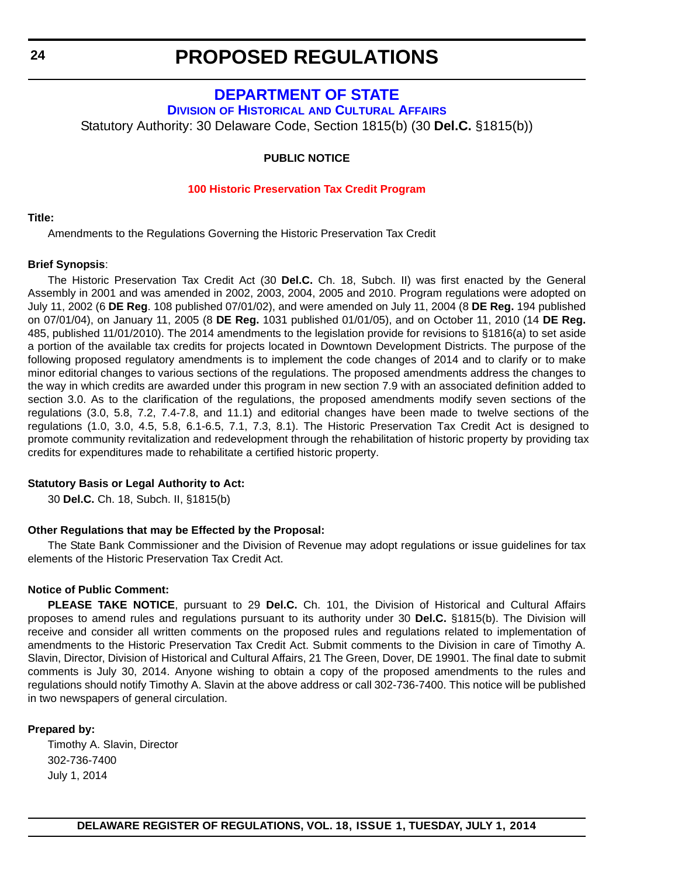# **[DEPARTMENT OF STATE](http://history.delaware.gov/)**

**DIVISION OF HISTORICAL AND CULTURAL AFFAIRS**

<span id="page-23-0"></span>Statutory Authority: 30 Delaware Code, Section 1815(b) (30 **Del.C.** §1815(b))

### **PUBLIC NOTICE**

### **[100 Historic Preservation Tax Credit Program](#page-3-0)**

#### **Title:**

Amendments to the Regulations Governing the Historic Preservation Tax Credit

#### **Brief Synopsis**:

The Historic Preservation Tax Credit Act (30 **Del.C.** Ch. 18, Subch. II) was first enacted by the General Assembly in 2001 and was amended in 2002, 2003, 2004, 2005 and 2010. Program regulations were adopted on July 11, 2002 (6 **DE Reg**. 108 published 07/01/02), and were amended on July 11, 2004 (8 **DE Reg.** 194 published on 07/01/04), on January 11, 2005 (8 **DE Reg.** 1031 published 01/01/05), and on October 11, 2010 (14 **DE Reg.** 485, published 11/01/2010). The 2014 amendments to the legislation provide for revisions to §1816(a) to set aside a portion of the available tax credits for projects located in Downtown Development Districts. The purpose of the following proposed regulatory amendments is to implement the code changes of 2014 and to clarify or to make minor editorial changes to various sections of the regulations. The proposed amendments address the changes to the way in which credits are awarded under this program in new section 7.9 with an associated definition added to section 3.0. As to the clarification of the regulations, the proposed amendments modify seven sections of the regulations (3.0, 5.8, 7.2, 7.4-7.8, and 11.1) and editorial changes have been made to twelve sections of the regulations (1.0, 3.0, 4.5, 5.8, 6.1-6.5, 7.1, 7.3, 8.1). The Historic Preservation Tax Credit Act is designed to promote community revitalization and redevelopment through the rehabilitation of historic property by providing tax credits for expenditures made to rehabilitate a certified historic property.

#### **Statutory Basis or Legal Authority to Act:**

30 **Del.C.** Ch. 18, Subch. II, §1815(b)

#### **Other Regulations that may be Effected by the Proposal:**

The State Bank Commissioner and the Division of Revenue may adopt regulations or issue guidelines for tax elements of the Historic Preservation Tax Credit Act.

#### **Notice of Public Comment:**

**PLEASE TAKE NOTICE**, pursuant to 29 **Del.C.** Ch. 101, the Division of Historical and Cultural Affairs proposes to amend rules and regulations pursuant to its authority under 30 **Del.C.** §1815(b). The Division will receive and consider all written comments on the proposed rules and regulations related to implementation of amendments to the Historic Preservation Tax Credit Act. Submit comments to the Division in care of Timothy A. Slavin, Director, Division of Historical and Cultural Affairs, 21 The Green, Dover, DE 19901. The final date to submit comments is July 30, 2014. Anyone wishing to obtain a copy of the proposed amendments to the rules and regulations should notify Timothy A. Slavin at the above address or call 302-736-7400. This notice will be published in two newspapers of general circulation.

### **Prepared by:**

Timothy A. Slavin, Director 302-736-7400 July 1, 2014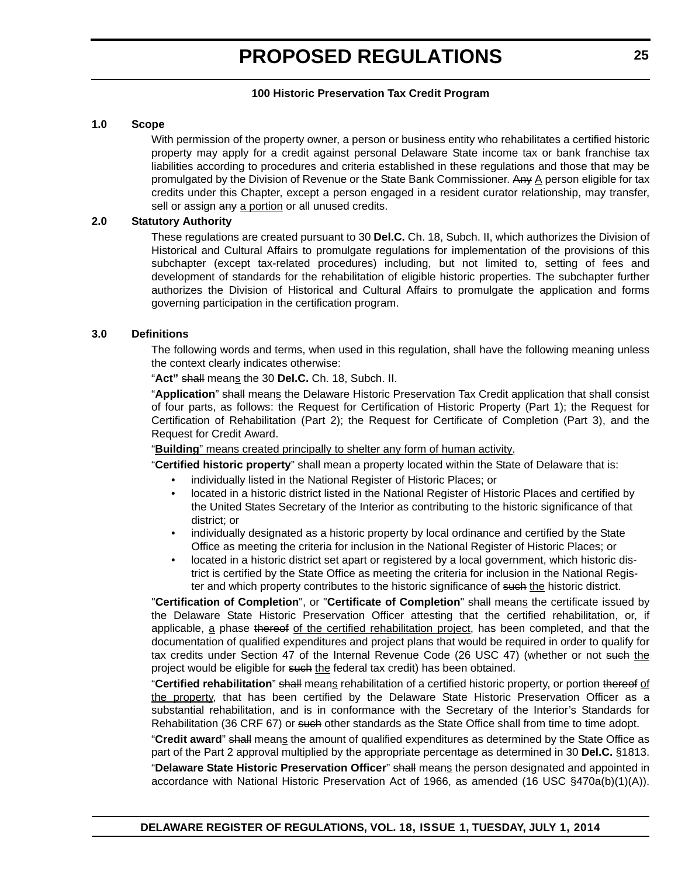#### **100 Historic Preservation Tax Credit Program**

#### **1.0 Scope**

With permission of the property owner, a person or business entity who rehabilitates a certified historic property may apply for a credit against personal Delaware State income tax or bank franchise tax liabilities according to procedures and criteria established in these regulations and those that may be promulgated by the Division of Revenue or the State Bank Commissioner. Any A person eligible for tax credits under this Chapter, except a person engaged in a resident curator relationship, may transfer, sell or assign any a portion or all unused credits.

#### **2.0 Statutory Authority**

These regulations are created pursuant to 30 **Del.C.** Ch. 18, Subch. II, which authorizes the Division of Historical and Cultural Affairs to promulgate regulations for implementation of the provisions of this subchapter (except tax-related procedures) including, but not limited to, setting of fees and development of standards for the rehabilitation of eligible historic properties. The subchapter further authorizes the Division of Historical and Cultural Affairs to promulgate the application and forms governing participation in the certification program.

#### **3.0 Definitions**

The following words and terms, when used in this regulation, shall have the following meaning unless the context clearly indicates otherwise:

"**Act"** shall means the 30 **Del.C.** Ch. 18, Subch. II.

"**Application**" shall means the Delaware Historic Preservation Tax Credit application that shall consist of four parts, as follows: the Request for Certification of Historic Property (Part 1); the Request for Certification of Rehabilitation (Part 2); the Request for Certificate of Completion (Part 3), and the Request for Credit Award.

#### "**Building**" means created principally to shelter any form of human activity.

"**Certified historic property**" shall mean a property located within the State of Delaware that is:

- individually listed in the National Register of Historic Places; or
- located in a historic district listed in the National Register of Historic Places and certified by the United States Secretary of the Interior as contributing to the historic significance of that district; or
- individually designated as a historic property by local ordinance and certified by the State Office as meeting the criteria for inclusion in the National Register of Historic Places; or
- located in a historic district set apart or registered by a local government, which historic district is certified by the State Office as meeting the criteria for inclusion in the National Register and which property contributes to the historic significance of such the historic district.

"**Certification of Completion**", or "**Certificate of Completion**" shall means the certificate issued by the Delaware State Historic Preservation Officer attesting that the certified rehabilitation, or, if applicable, a phase thereof of the certified rehabilitation project, has been completed, and that the documentation of qualified expenditures and project plans that would be required in order to qualify for tax credits under Section 47 of the Internal Revenue Code (26 USC 47) (whether or not such the project would be eligible for such the federal tax credit) has been obtained.

"**Certified rehabilitation**" shall means rehabilitation of a certified historic property, or portion thereof of the property, that has been certified by the Delaware State Historic Preservation Officer as a substantial rehabilitation, and is in conformance with the Secretary of the Interior's Standards for Rehabilitation (36 CRF 67) or such other standards as the State Office shall from time to time adopt.

"**Credit award**" shall means the amount of qualified expenditures as determined by the State Office as part of the Part 2 approval multiplied by the appropriate percentage as determined in 30 **Del.C.** §1813. "**Delaware State Historic Preservation Officer**" shall means the person designated and appointed in accordance with National Historic Preservation Act of 1966, as amended (16 USC §470a(b)(1)(A)).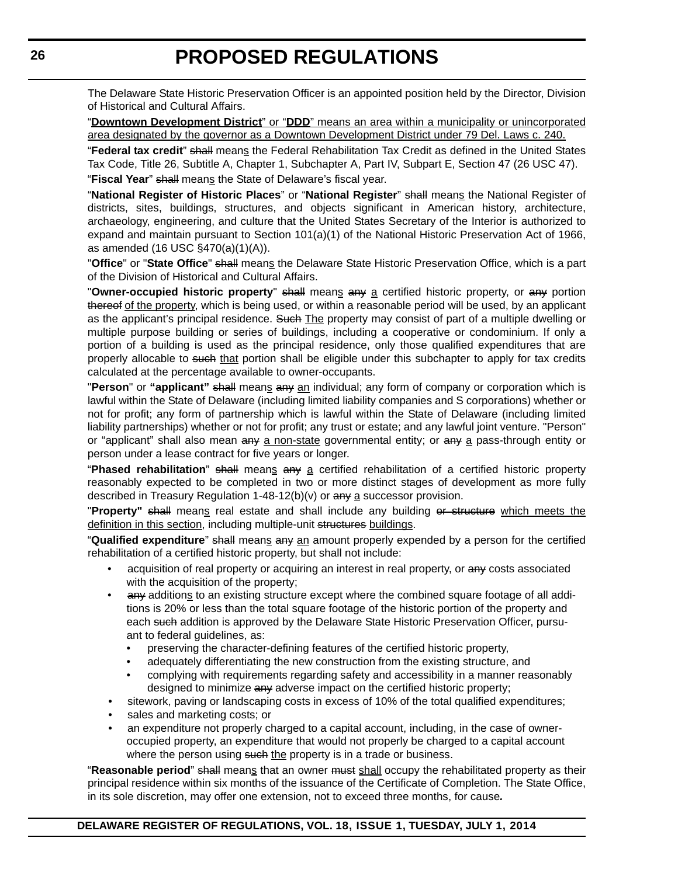The Delaware State Historic Preservation Officer is an appointed position held by the Director, Division of Historical and Cultural Affairs.

"**Downtown Development District**" or "**DDD**" means an area within a municipality or unincorporated area designated by the governor as a Downtown Development District under 79 Del. Laws c. 240.

"**Federal tax credit**" shall means the Federal Rehabilitation Tax Credit as defined in the United States Tax Code, Title 26, Subtitle A, Chapter 1, Subchapter A, Part IV, Subpart E, Section 47 (26 USC 47). "**Fiscal Year**" shall means the State of Delaware's fiscal year.

"**National Register of Historic Places**" or "**National Register**" shall means the National Register of districts, sites, buildings, structures, and objects significant in American history, architecture, archaeology, engineering, and culture that the United States Secretary of the Interior is authorized to expand and maintain pursuant to Section 101(a)(1) of the National Historic Preservation Act of 1966, as amended (16 USC §470(a)(1)(A)).

"**Office**" or "**State Office**" shall means the Delaware State Historic Preservation Office, which is a part of the Division of Historical and Cultural Affairs.

"**Owner-occupied historic property**" shall means any a certified historic property, or any portion thereof of the property, which is being used, or within a reasonable period will be used, by an applicant as the applicant's principal residence. Such The property may consist of part of a multiple dwelling or multiple purpose building or series of buildings, including a cooperative or condominium. If only a portion of a building is used as the principal residence, only those qualified expenditures that are properly allocable to such that portion shall be eligible under this subchapter to apply for tax credits calculated at the percentage available to owner-occupants.

"**Person**" or **"applicant"** shall means any an individual; any form of company or corporation which is lawful within the State of Delaware (including limited liability companies and S corporations) whether or not for profit; any form of partnership which is lawful within the State of Delaware (including limited liability partnerships) whether or not for profit; any trust or estate; and any lawful joint venture. "Person" or "applicant" shall also mean any a non-state governmental entity; or any a pass-through entity or person under a lease contract for five years or longer.

"**Phased rehabilitation**" shall means any a certified rehabilitation of a certified historic property reasonably expected to be completed in two or more distinct stages of development as more fully described in Treasury Regulation 1-48-12(b)(v) or  $\frac{a}{4}$  successor provision.

"**Property"** shall means real estate and shall include any building or structure which meets the definition in this section, including multiple-unit structures buildings.

"**Qualified expenditure**" shall means any an amount properly expended by a person for the certified rehabilitation of a certified historic property, but shall not include:

- acquisition of real property or acquiring an interest in real property, or any costs associated with the acquisition of the property;
- any additions to an existing structure except where the combined square footage of all additions is 20% or less than the total square footage of the historic portion of the property and each such addition is approved by the Delaware State Historic Preservation Officer, pursuant to federal guidelines, as:
	- preserving the character-defining features of the certified historic property,
	- adequately differentiating the new construction from the existing structure, and
	- complying with requirements regarding safety and accessibility in a manner reasonably designed to minimize any adverse impact on the certified historic property;
- sitework, paving or landscaping costs in excess of 10% of the total qualified expenditures;
- sales and marketing costs; or
- an expenditure not properly charged to a capital account, including, in the case of owneroccupied property, an expenditure that would not properly be charged to a capital account where the person using such the property is in a trade or business.

"**Reasonable period**" shall means that an owner must shall occupy the rehabilitated property as their principal residence within six months of the issuance of the Certificate of Completion. The State Office, in its sole discretion, may offer one extension, not to exceed three months, for cause*.*

# **DELAWARE REGISTER OF REGULATIONS, VOL. 18, ISSUE 1, TUESDAY, JULY 1, 2014**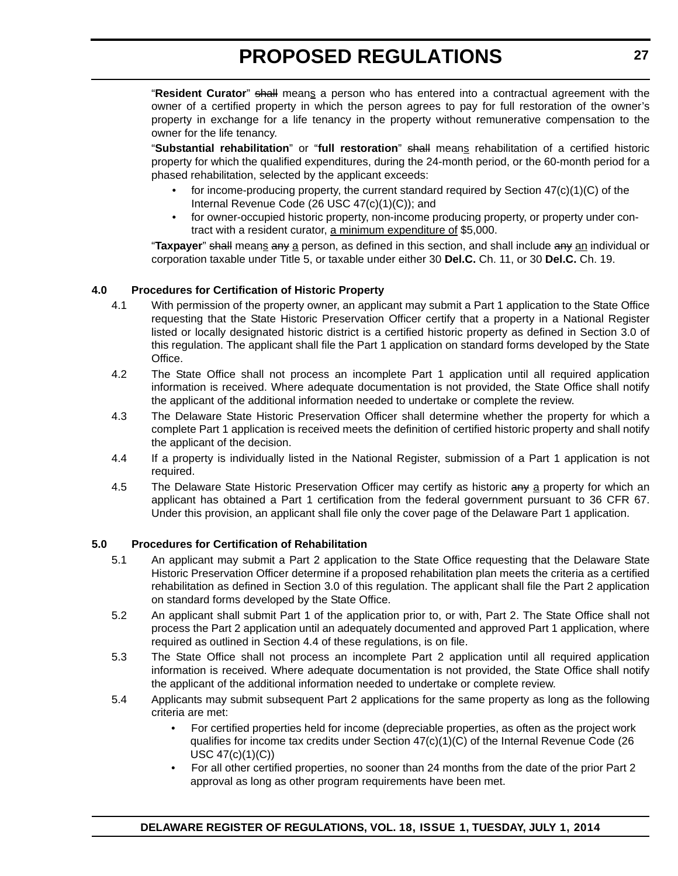"**Resident Curator**" shall means a person who has entered into a contractual agreement with the owner of a certified property in which the person agrees to pay for full restoration of the owner's property in exchange for a life tenancy in the property without remunerative compensation to the owner for the life tenancy.

"**Substantial rehabilitation**" or "**full restoration**" shall means rehabilitation of a certified historic property for which the qualified expenditures, during the 24-month period, or the 60-month period for a phased rehabilitation, selected by the applicant exceeds:

- for income-producing property, the current standard required by Section  $47(c)(1)(C)$  of the Internal Revenue Code (26 USC 47(c)(1)(C)); and
- for owner-occupied historic property, non-income producing property, or property under contract with a resident curator, a minimum expenditure of \$5,000.

"**Taxpayer**" shall means any a person, as defined in this section, and shall include any an individual or corporation taxable under Title 5, or taxable under either 30 **Del.C.** Ch. 11, or 30 **Del.C.** Ch. 19.

# **4.0 Procedures for Certification of Historic Property**

- 4.1 With permission of the property owner, an applicant may submit a Part 1 application to the State Office requesting that the State Historic Preservation Officer certify that a property in a National Register listed or locally designated historic district is a certified historic property as defined in Section 3.0 of this regulation. The applicant shall file the Part 1 application on standard forms developed by the State Office.
- 4.2 The State Office shall not process an incomplete Part 1 application until all required application information is received. Where adequate documentation is not provided, the State Office shall notify the applicant of the additional information needed to undertake or complete the review.
- 4.3 The Delaware State Historic Preservation Officer shall determine whether the property for which a complete Part 1 application is received meets the definition of certified historic property and shall notify the applicant of the decision.
- 4.4 If a property is individually listed in the National Register, submission of a Part 1 application is not required.
- 4.5 The Delaware State Historic Preservation Officer may certify as historic any a property for which an applicant has obtained a Part 1 certification from the federal government pursuant to 36 CFR 67. Under this provision, an applicant shall file only the cover page of the Delaware Part 1 application.

# **5.0 Procedures for Certification of Rehabilitation**

- 5.1 An applicant may submit a Part 2 application to the State Office requesting that the Delaware State Historic Preservation Officer determine if a proposed rehabilitation plan meets the criteria as a certified rehabilitation as defined in Section 3.0 of this regulation. The applicant shall file the Part 2 application on standard forms developed by the State Office.
- 5.2 An applicant shall submit Part 1 of the application prior to, or with, Part 2. The State Office shall not process the Part 2 application until an adequately documented and approved Part 1 application, where required as outlined in Section 4.4 of these regulations, is on file.
- 5.3 The State Office shall not process an incomplete Part 2 application until all required application information is received. Where adequate documentation is not provided, the State Office shall notify the applicant of the additional information needed to undertake or complete review.
- 5.4 Applicants may submit subsequent Part 2 applications for the same property as long as the following criteria are met:
	- For certified properties held for income (depreciable properties, as often as the project work qualifies for income tax credits under Section 47(c)(1)(C) of the Internal Revenue Code (26 USC 47(c)(1)(C))
	- For all other certified properties, no sooner than 24 months from the date of the prior Part 2 approval as long as other program requirements have been met.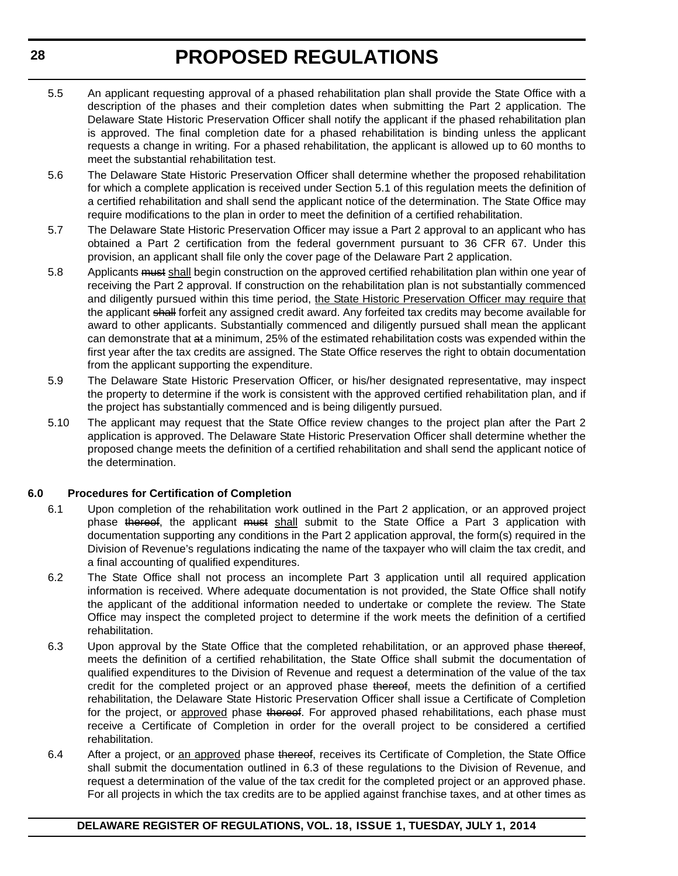- 5.5 An applicant requesting approval of a phased rehabilitation plan shall provide the State Office with a description of the phases and their completion dates when submitting the Part 2 application. The Delaware State Historic Preservation Officer shall notify the applicant if the phased rehabilitation plan is approved. The final completion date for a phased rehabilitation is binding unless the applicant requests a change in writing. For a phased rehabilitation, the applicant is allowed up to 60 months to meet the substantial rehabilitation test.
- 5.6 The Delaware State Historic Preservation Officer shall determine whether the proposed rehabilitation for which a complete application is received under Section 5.1 of this regulation meets the definition of a certified rehabilitation and shall send the applicant notice of the determination. The State Office may require modifications to the plan in order to meet the definition of a certified rehabilitation.
- 5.7 The Delaware State Historic Preservation Officer may issue a Part 2 approval to an applicant who has obtained a Part 2 certification from the federal government pursuant to 36 CFR 67. Under this provision, an applicant shall file only the cover page of the Delaware Part 2 application.
- 5.8 Applicants must shall begin construction on the approved certified rehabilitation plan within one year of receiving the Part 2 approval. If construction on the rehabilitation plan is not substantially commenced and diligently pursued within this time period, the State Historic Preservation Officer may require that the applicant shall forfeit any assigned credit award. Any forfeited tax credits may become available for award to other applicants. Substantially commenced and diligently pursued shall mean the applicant can demonstrate that at a minimum, 25% of the estimated rehabilitation costs was expended within the first year after the tax credits are assigned. The State Office reserves the right to obtain documentation from the applicant supporting the expenditure.
- 5.9 The Delaware State Historic Preservation Officer, or his/her designated representative, may inspect the property to determine if the work is consistent with the approved certified rehabilitation plan, and if the project has substantially commenced and is being diligently pursued.
- 5.10 The applicant may request that the State Office review changes to the project plan after the Part 2 application is approved. The Delaware State Historic Preservation Officer shall determine whether the proposed change meets the definition of a certified rehabilitation and shall send the applicant notice of the determination.

### **6.0 Procedures for Certification of Completion**

- 6.1 Upon completion of the rehabilitation work outlined in the Part 2 application, or an approved project phase thereof, the applicant must shall submit to the State Office a Part 3 application with documentation supporting any conditions in the Part 2 application approval, the form(s) required in the Division of Revenue's regulations indicating the name of the taxpayer who will claim the tax credit, and a final accounting of qualified expenditures.
- 6.2 The State Office shall not process an incomplete Part 3 application until all required application information is received. Where adequate documentation is not provided, the State Office shall notify the applicant of the additional information needed to undertake or complete the review. The State Office may inspect the completed project to determine if the work meets the definition of a certified rehabilitation.
- 6.3 Upon approval by the State Office that the completed rehabilitation, or an approved phase thereof, meets the definition of a certified rehabilitation, the State Office shall submit the documentation of qualified expenditures to the Division of Revenue and request a determination of the value of the tax credit for the completed project or an approved phase thereof, meets the definition of a certified rehabilitation, the Delaware State Historic Preservation Officer shall issue a Certificate of Completion for the project, or approved phase thereof. For approved phased rehabilitations, each phase must receive a Certificate of Completion in order for the overall project to be considered a certified rehabilitation.
- 6.4 After a project, or an approved phase thereof, receives its Certificate of Completion, the State Office shall submit the documentation outlined in 6.3 of these regulations to the Division of Revenue, and request a determination of the value of the tax credit for the completed project or an approved phase. For all projects in which the tax credits are to be applied against franchise taxes, and at other times as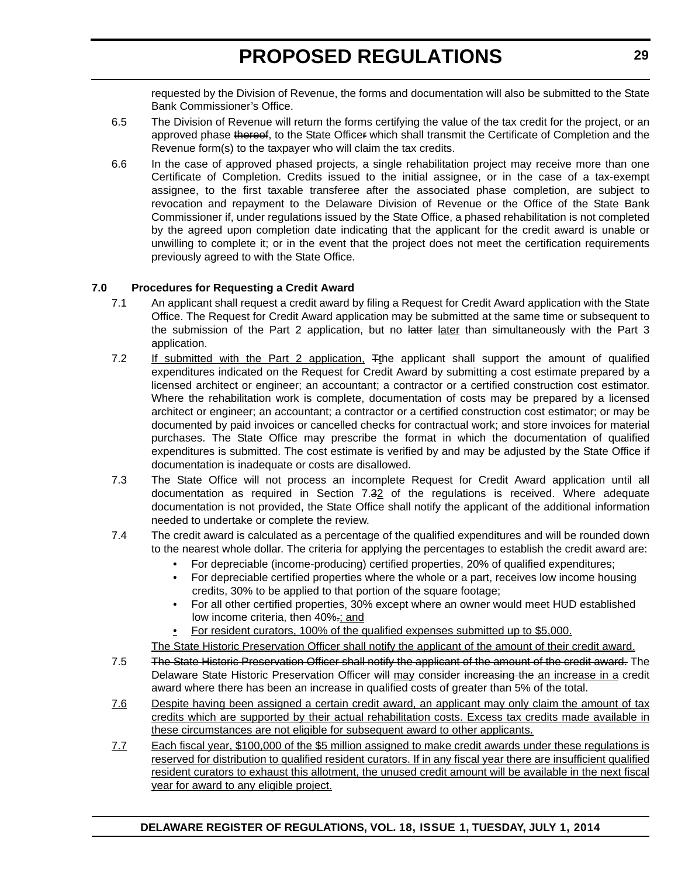requested by the Division of Revenue, the forms and documentation will also be submitted to the State Bank Commissioner's Office.

- 6.5 The Division of Revenue will return the forms certifying the value of the tax credit for the project, or an approved phase thereof, to the State Officer which shall transmit the Certificate of Completion and the Revenue form(s) to the taxpayer who will claim the tax credits.
- 6.6 In the case of approved phased projects, a single rehabilitation project may receive more than one Certificate of Completion. Credits issued to the initial assignee, or in the case of a tax-exempt assignee, to the first taxable transferee after the associated phase completion, are subject to revocation and repayment to the Delaware Division of Revenue or the Office of the State Bank Commissioner if, under regulations issued by the State Office, a phased rehabilitation is not completed by the agreed upon completion date indicating that the applicant for the credit award is unable or unwilling to complete it; or in the event that the project does not meet the certification requirements previously agreed to with the State Office.

# **7.0 Procedures for Requesting a Credit Award**

- 7.1 An applicant shall request a credit award by filing a Request for Credit Award application with the State Office. The Request for Credit Award application may be submitted at the same time or subsequent to the submission of the Part 2 application, but no latter later than simultaneously with the Part 3 application.
- 7.2 If submitted with the Part 2 application, Tthe applicant shall support the amount of qualified expenditures indicated on the Request for Credit Award by submitting a cost estimate prepared by a licensed architect or engineer; an accountant; a contractor or a certified construction cost estimator. Where the rehabilitation work is complete, documentation of costs may be prepared by a licensed architect or engineer; an accountant; a contractor or a certified construction cost estimator; or may be documented by paid invoices or cancelled checks for contractual work; and store invoices for material purchases. The State Office may prescribe the format in which the documentation of qualified expenditures is submitted. The cost estimate is verified by and may be adjusted by the State Office if documentation is inadequate or costs are disallowed.
- 7.3 The State Office will not process an incomplete Request for Credit Award application until all documentation as required in Section 7.32 of the regulations is received. Where adequate documentation is not provided, the State Office shall notify the applicant of the additional information needed to undertake or complete the review.
- 7.4 The credit award is calculated as a percentage of the qualified expenditures and will be rounded down to the nearest whole dollar. The criteria for applying the percentages to establish the credit award are:
	- For depreciable (income-producing) certified properties, 20% of qualified expenditures;
	- For depreciable certified properties where the whole or a part, receives low income housing credits, 30% to be applied to that portion of the square footage;
	- For all other certified properties, 30% except where an owner would meet HUD established low income criteria, then 40%.; and
	- For resident curators, 100% of the qualified expenses submitted up to \$5,000.

The State Historic Preservation Officer shall notify the applicant of the amount of their credit award.

- 7.5 The State Historic Preservation Officer shall notify the applicant of the amount of the credit award. The Delaware State Historic Preservation Officer will may consider increasing the an increase in a credit award where there has been an increase in qualified costs of greater than 5% of the total.
- 7.6 Despite having been assigned a certain credit award, an applicant may only claim the amount of tax credits which are supported by their actual rehabilitation costs. Excess tax credits made available in these circumstances are not eligible for subsequent award to other applicants.
- 7.7 Each fiscal year, \$100,000 of the \$5 million assigned to make credit awards under these regulations is reserved for distribution to qualified resident curators. If in any fiscal year there are insufficient qualified resident curators to exhaust this allotment, the unused credit amount will be available in the next fiscal year for award to any eligible project.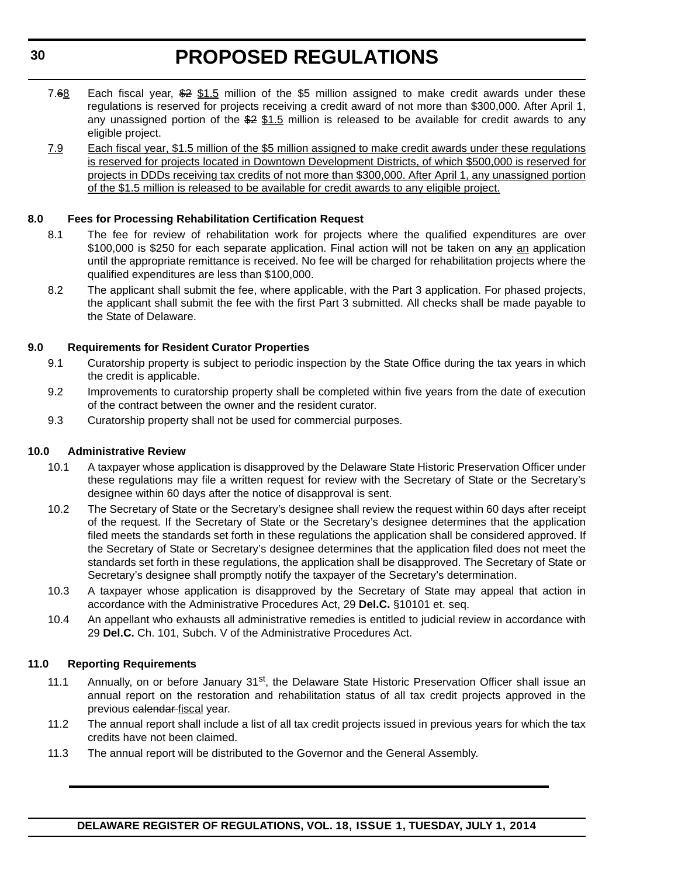- 7.68 Each fiscal year, \$2 \$1.5 million of the \$5 million assigned to make credit awards under these regulations is reserved for projects receiving a credit award of not more than \$300,000. After April 1, any unassigned portion of the \$2 \$1.5 million is released to be available for credit awards to any eligible project.
- 7.9 Each fiscal year, \$1.5 million of the \$5 million assigned to make credit awards under these regulations is reserved for projects located in Downtown Development Districts, of which \$500,000 is reserved for projects in DDDs receiving tax credits of not more than \$300,000. After April 1, any unassigned portion of the \$1.5 million is released to be available for credit awards to any eligible project.

# **8.0 Fees for Processing Rehabilitation Certification Request**

- 8.1 The fee for review of rehabilitation work for projects where the qualified expenditures are over \$100,000 is \$250 for each separate application. Final action will not be taken on any an application until the appropriate remittance is received. No fee will be charged for rehabilitation projects where the qualified expenditures are less than \$100,000.
- 8.2 The applicant shall submit the fee, where applicable, with the Part 3 application. For phased projects, the applicant shall submit the fee with the first Part 3 submitted. All checks shall be made payable to the State of Delaware.

# **9.0 Requirements for Resident Curator Properties**

- 9.1 Curatorship property is subject to periodic inspection by the State Office during the tax years in which the credit is applicable.
- 9.2 Improvements to curatorship property shall be completed within five years from the date of execution of the contract between the owner and the resident curator.
- 9.3 Curatorship property shall not be used for commercial purposes.

# **10.0 Administrative Review**

- 10.1 A taxpayer whose application is disapproved by the Delaware State Historic Preservation Officer under these regulations may file a written request for review with the Secretary of State or the Secretary's designee within 60 days after the notice of disapproval is sent.
- 10.2 The Secretary of State or the Secretary's designee shall review the request within 60 days after receipt of the request. If the Secretary of State or the Secretary's designee determines that the application filed meets the standards set forth in these regulations the application shall be considered approved. If the Secretary of State or Secretary's designee determines that the application filed does not meet the standards set forth in these regulations, the application shall be disapproved. The Secretary of State or Secretary's designee shall promptly notify the taxpayer of the Secretary's determination.
- 10.3 A taxpayer whose application is disapproved by the Secretary of State may appeal that action in accordance with the Administrative Procedures Act, 29 **Del.C.** §10101 et. seq.
- 10.4 An appellant who exhausts all administrative remedies is entitled to judicial review in accordance with 29 **Del.C.** Ch. 101, Subch. V of the Administrative Procedures Act.

# **11.0 Reporting Requirements**

- 11.1 Annually, on or before January 31<sup>st</sup>, the Delaware State Historic Preservation Officer shall issue an annual report on the restoration and rehabilitation status of all tax credit projects approved in the previous calendar-fiscal year.
- 11.2 The annual report shall include a list of all tax credit projects issued in previous years for which the tax credits have not been claimed.
- 11.3 The annual report will be distributed to the Governor and the General Assembly.

# **DELAWARE REGISTER OF REGULATIONS, VOL. 18, ISSUE 1, TUESDAY, JULY 1, 2014**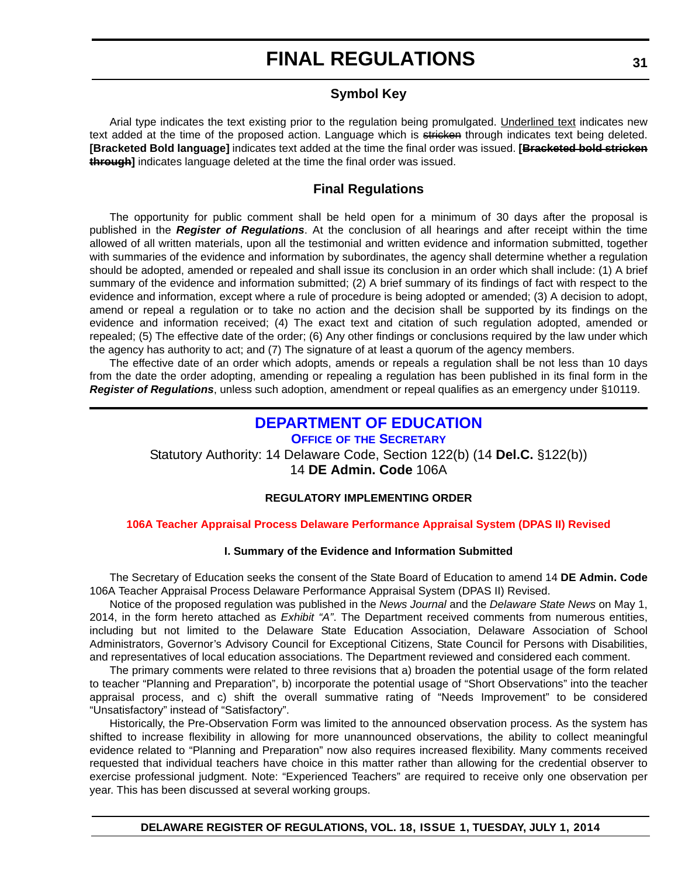# **Symbol Key**

<span id="page-30-0"></span>Arial type indicates the text existing prior to the regulation being promulgated. Underlined text indicates new text added at the time of the proposed action. Language which is stricken through indicates text being deleted. **[Bracketed Bold language]** indicates text added at the time the final order was issued. **[Bracketed bold stricken through]** indicates language deleted at the time the final order was issued.

# **Final Regulations**

The opportunity for public comment shall be held open for a minimum of 30 days after the proposal is published in the *Register of Regulations*. At the conclusion of all hearings and after receipt within the time allowed of all written materials, upon all the testimonial and written evidence and information submitted, together with summaries of the evidence and information by subordinates, the agency shall determine whether a regulation should be adopted, amended or repealed and shall issue its conclusion in an order which shall include: (1) A brief summary of the evidence and information submitted; (2) A brief summary of its findings of fact with respect to the evidence and information, except where a rule of procedure is being adopted or amended; (3) A decision to adopt, amend or repeal a regulation or to take no action and the decision shall be supported by its findings on the evidence and information received; (4) The exact text and citation of such regulation adopted, amended or repealed; (5) The effective date of the order; (6) Any other findings or conclusions required by the law under which the agency has authority to act; and (7) The signature of at least a quorum of the agency members.

The effective date of an order which adopts, amends or repeals a regulation shall be not less than 10 days from the date the order adopting, amending or repealing a regulation has been published in its final form in the *Register of Regulations*, unless such adoption, amendment or repeal qualifies as an emergency under §10119.

# **[DEPARTMENT OF EDUCATION](http://www.doe.k12.de.us/)**

**OFFICE OF THE SECRETARY**

Statutory Authority: 14 Delaware Code, Section 122(b) (14 **Del.C.** §122(b))

14 **DE Admin. Code** 106A

### **REGULATORY IMPLEMENTING ORDER**

### **[106A Teacher Appraisal Process Delaware Performance Appraisal System \(DPAS II\) Revised](#page-3-0)**

### **I. Summary of the Evidence and Information Submitted**

The Secretary of Education seeks the consent of the State Board of Education to amend 14 **DE Admin. Code** 106A Teacher Appraisal Process Delaware Performance Appraisal System (DPAS II) Revised.

Notice of the proposed regulation was published in the *News Journal* and the *Delaware State News* on May 1, 2014, in the form hereto attached as *Exhibit "A"*. The Department received comments from numerous entities, including but not limited to the Delaware State Education Association, Delaware Association of School Administrators, Governor's Advisory Council for Exceptional Citizens, State Council for Persons with Disabilities, and representatives of local education associations. The Department reviewed and considered each comment.

The primary comments were related to three revisions that a) broaden the potential usage of the form related to teacher "Planning and Preparation", b) incorporate the potential usage of "Short Observations" into the teacher appraisal process, and c) shift the overall summative rating of "Needs Improvement" to be considered "Unsatisfactory" instead of "Satisfactory".

Historically, the Pre-Observation Form was limited to the announced observation process. As the system has shifted to increase flexibility in allowing for more unannounced observations, the ability to collect meaningful evidence related to "Planning and Preparation" now also requires increased flexibility. Many comments received requested that individual teachers have choice in this matter rather than allowing for the credential observer to exercise professional judgment. Note: "Experienced Teachers" are required to receive only one observation per year. This has been discussed at several working groups.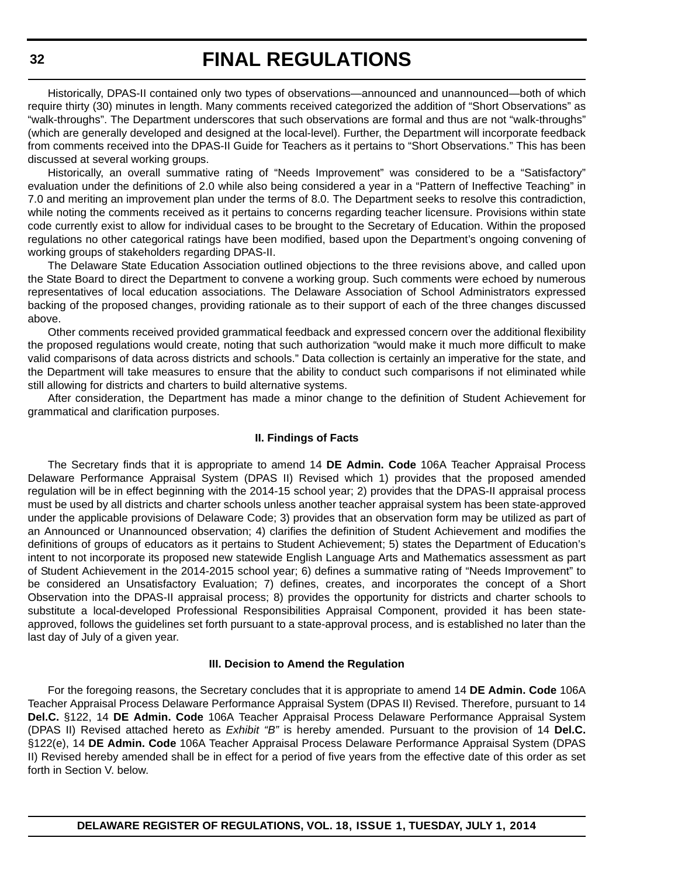Historically, DPAS-II contained only two types of observations—announced and unannounced—both of which require thirty (30) minutes in length. Many comments received categorized the addition of "Short Observations" as "walk-throughs". The Department underscores that such observations are formal and thus are not "walk-throughs" (which are generally developed and designed at the local-level). Further, the Department will incorporate feedback from comments received into the DPAS-II Guide for Teachers as it pertains to "Short Observations." This has been discussed at several working groups.

Historically, an overall summative rating of "Needs Improvement" was considered to be a "Satisfactory" evaluation under the definitions of 2.0 while also being considered a year in a "Pattern of Ineffective Teaching" in 7.0 and meriting an improvement plan under the terms of 8.0. The Department seeks to resolve this contradiction, while noting the comments received as it pertains to concerns regarding teacher licensure. Provisions within state code currently exist to allow for individual cases to be brought to the Secretary of Education. Within the proposed regulations no other categorical ratings have been modified, based upon the Department's ongoing convening of working groups of stakeholders regarding DPAS-II.

The Delaware State Education Association outlined objections to the three revisions above, and called upon the State Board to direct the Department to convene a working group. Such comments were echoed by numerous representatives of local education associations. The Delaware Association of School Administrators expressed backing of the proposed changes, providing rationale as to their support of each of the three changes discussed above.

Other comments received provided grammatical feedback and expressed concern over the additional flexibility the proposed regulations would create, noting that such authorization "would make it much more difficult to make valid comparisons of data across districts and schools." Data collection is certainly an imperative for the state, and the Department will take measures to ensure that the ability to conduct such comparisons if not eliminated while still allowing for districts and charters to build alternative systems.

After consideration, the Department has made a minor change to the definition of Student Achievement for grammatical and clarification purposes.

### **II. Findings of Facts**

The Secretary finds that it is appropriate to amend 14 **DE Admin. Code** 106A Teacher Appraisal Process Delaware Performance Appraisal System (DPAS II) Revised which 1) provides that the proposed amended regulation will be in effect beginning with the 2014-15 school year; 2) provides that the DPAS-II appraisal process must be used by all districts and charter schools unless another teacher appraisal system has been state-approved under the applicable provisions of Delaware Code; 3) provides that an observation form may be utilized as part of an Announced or Unannounced observation; 4) clarifies the definition of Student Achievement and modifies the definitions of groups of educators as it pertains to Student Achievement; 5) states the Department of Education's intent to not incorporate its proposed new statewide English Language Arts and Mathematics assessment as part of Student Achievement in the 2014-2015 school year; 6) defines a summative rating of "Needs Improvement" to be considered an Unsatisfactory Evaluation; 7) defines, creates, and incorporates the concept of a Short Observation into the DPAS-II appraisal process; 8) provides the opportunity for districts and charter schools to substitute a local-developed Professional Responsibilities Appraisal Component, provided it has been stateapproved, follows the guidelines set forth pursuant to a state-approval process, and is established no later than the last day of July of a given year.

#### **III. Decision to Amend the Regulation**

For the foregoing reasons, the Secretary concludes that it is appropriate to amend 14 **DE Admin. Code** 106A Teacher Appraisal Process Delaware Performance Appraisal System (DPAS II) Revised. Therefore, pursuant to 14 **Del.C.** §122, 14 **DE Admin. Code** 106A Teacher Appraisal Process Delaware Performance Appraisal System (DPAS II) Revised attached hereto as *Exhibit "B"* is hereby amended. Pursuant to the provision of 14 **Del.C.**  §122(e), 14 **DE Admin. Code** 106A Teacher Appraisal Process Delaware Performance Appraisal System (DPAS II) Revised hereby amended shall be in effect for a period of five years from the effective date of this order as set forth in Section V. below.

#### **DELAWARE REGISTER OF REGULATIONS, VOL. 18, ISSUE 1, TUESDAY, JULY 1, 2014**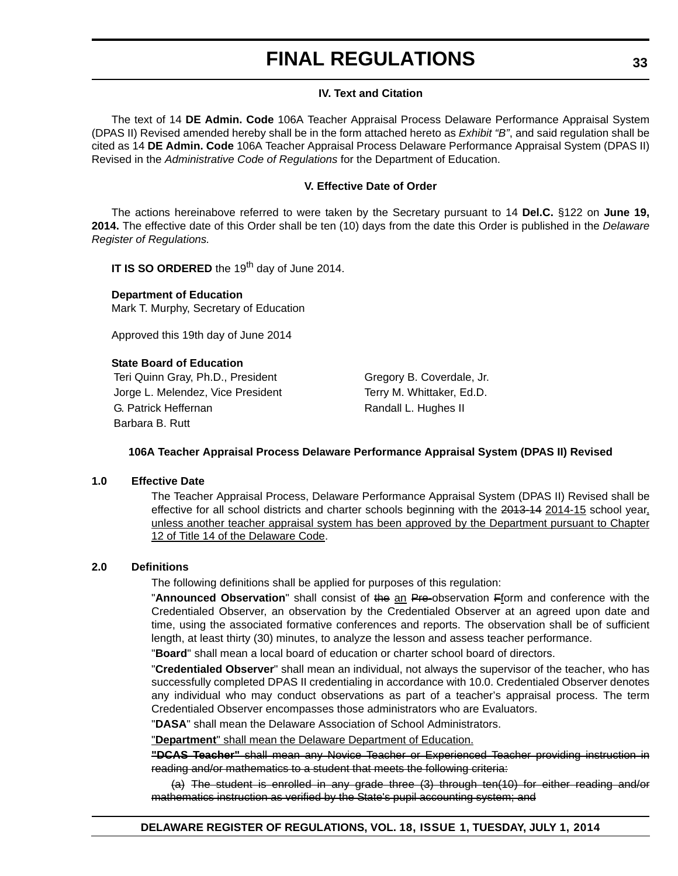### **IV. Text and Citation**

The text of 14 **DE Admin. Code** 106A Teacher Appraisal Process Delaware Performance Appraisal System (DPAS II) Revised amended hereby shall be in the form attached hereto as *Exhibit "B"*, and said regulation shall be cited as 14 **DE Admin. Code** 106A Teacher Appraisal Process Delaware Performance Appraisal System (DPAS II) Revised in the *Administrative Code of Regulations* for the Department of Education.

### **V. Effective Date of Order**

The actions hereinabove referred to were taken by the Secretary pursuant to 14 **Del.C.** §122 on **June 19, 2014.** The effective date of this Order shall be ten (10) days from the date this Order is published in the *Delaware Register of Regulations.*

**IT IS SO ORDERED** the 19<sup>th</sup> day of June 2014.

**Department of Education** Mark T. Murphy, Secretary of Education

Approved this 19th day of June 2014

### **State Board of Education**

Teri Quinn Gray, Ph.D., President Gregory B. Coverdale, Jr. Jorge L. Melendez, Vice President Terry M. Whittaker, Ed.D. G. Patrick Heffernan **Randall L. Hughes II** Barbara B. Rutt

#### **106A Teacher Appraisal Process Delaware Performance Appraisal System (DPAS II) Revised**

### **1.0 Effective Date**

The Teacher Appraisal Process, Delaware Performance Appraisal System (DPAS II) Revised shall be effective for all school districts and charter schools beginning with the 2013-14 2014-15 school year, unless another teacher appraisal system has been approved by the Department pursuant to Chapter 12 of Title 14 of the Delaware Code.

#### **2.0 Definitions**

The following definitions shall be applied for purposes of this regulation:

"**Announced Observation**" shall consist of the an Pre-observation Fform and conference with the Credentialed Observer, an observation by the Credentialed Observer at an agreed upon date and time, using the associated formative conferences and reports. The observation shall be of sufficient length, at least thirty (30) minutes, to analyze the lesson and assess teacher performance.

"**Board**" shall mean a local board of education or charter school board of directors.

"**Credentialed Observer**" shall mean an individual, not always the supervisor of the teacher, who has successfully completed DPAS II credentialing in accordance with 10.0. Credentialed Observer denotes any individual who may conduct observations as part of a teacher's appraisal process. The term Credentialed Observer encompasses those administrators who are Evaluators.

"**DASA**" shall mean the Delaware Association of School Administrators.

"**Department**" shall mean the Delaware Department of Education.

**"DCAS Teacher"** shall mean any Novice Teacher or Experienced Teacher providing instruction in reading and/or mathematics to a student that meets the following criteria:

(a) The student is enrolled in any grade three (3) through ten(10) for either reading and/or mathematics instruction as verified by the State's pupil accounting system; and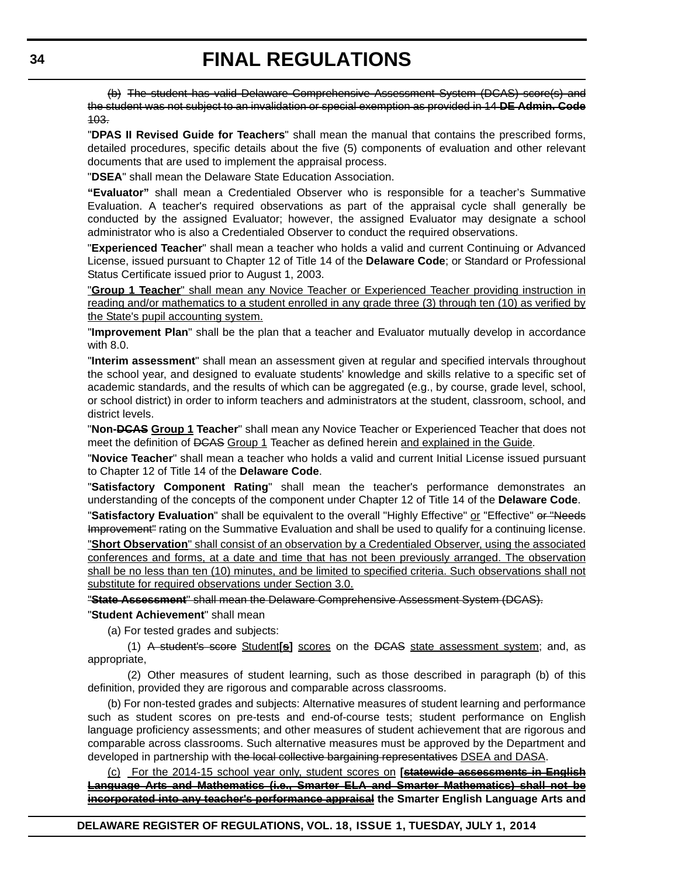(b) The student has valid Delaware Comprehensive Assessment System (DCAS) score(s) and the student was not subject to an invalidation or special exemption as provided in 14 **DE Admin. Code** 103.

"**DPAS II Revised Guide for Teachers**" shall mean the manual that contains the prescribed forms, detailed procedures, specific details about the five (5) components of evaluation and other relevant documents that are used to implement the appraisal process.

"**DSEA**" shall mean the Delaware State Education Association.

**"Evaluator"** shall mean a Credentialed Observer who is responsible for a teacher's Summative Evaluation. A teacher's required observations as part of the appraisal cycle shall generally be conducted by the assigned Evaluator; however, the assigned Evaluator may designate a school administrator who is also a Credentialed Observer to conduct the required observations.

"**Experienced Teacher**" shall mean a teacher who holds a valid and current Continuing or Advanced License, issued pursuant to Chapter 12 of Title 14 of the **Delaware Code**; or Standard or Professional Status Certificate issued prior to August 1, 2003.

"**Group 1 Teacher**" shall mean any Novice Teacher or Experienced Teacher providing instruction in reading and/or mathematics to a student enrolled in any grade three (3) through ten (10) as verified by the State's pupil accounting system.

"**Improvement Plan**" shall be the plan that a teacher and Evaluator mutually develop in accordance with 8.0.

"**Interim assessment**" shall mean an assessment given at regular and specified intervals throughout the school year, and designed to evaluate students' knowledge and skills relative to a specific set of academic standards, and the results of which can be aggregated (e.g., by course, grade level, school, or school district) in order to inform teachers and administrators at the student, classroom, school, and district levels.

"**Non-DCAS Group 1 Teacher**" shall mean any Novice Teacher or Experienced Teacher that does not meet the definition of DCAS Group 1 Teacher as defined herein and explained in the Guide.

"**Novice Teacher**" shall mean a teacher who holds a valid and current Initial License issued pursuant to Chapter 12 of Title 14 of the **Delaware Code**.

"**Satisfactory Component Rating**" shall mean the teacher's performance demonstrates an understanding of the concepts of the component under Chapter 12 of Title 14 of the **Delaware Code**.

"**Satisfactory Evaluation**" shall be equivalent to the overall "Highly Effective" or "Effective" or "Needs Improvement" rating on the Summative Evaluation and shall be used to qualify for a continuing license.

"**Short Observation**" shall consist of an observation by a Credentialed Observer, using the associated conferences and forms, at a date and time that has not been previously arranged. The observation shall be no less than ten (10) minutes, and be limited to specified criteria. Such observations shall not substitute for required observations under Section 3.0.

"**State Assessment**" shall mean the Delaware Comprehensive Assessment System (DCAS).

"**Student Achievement**" shall mean

(a) For tested grades and subjects:

(1) A student's score Student**[s]** scores on the DCAS state assessment system; and, as appropriate,

(2) Other measures of student learning, such as those described in paragraph (b) of this definition, provided they are rigorous and comparable across classrooms.

(b) For non-tested grades and subjects: Alternative measures of student learning and performance such as student scores on pre-tests and end-of-course tests; student performance on English language proficiency assessments; and other measures of student achievement that are rigorous and comparable across classrooms. Such alternative measures must be approved by the Department and developed in partnership with the local collective bargaining representatives DSEA and DASA.

(c) For the 2014-15 school year only, student scores on **[statewide assessments in English Language Arts and Mathematics (i.e., Smarter ELA and Smarter Mathematics) shall not be incorporated into any teacher's performance appraisal the Smarter English Language Arts and**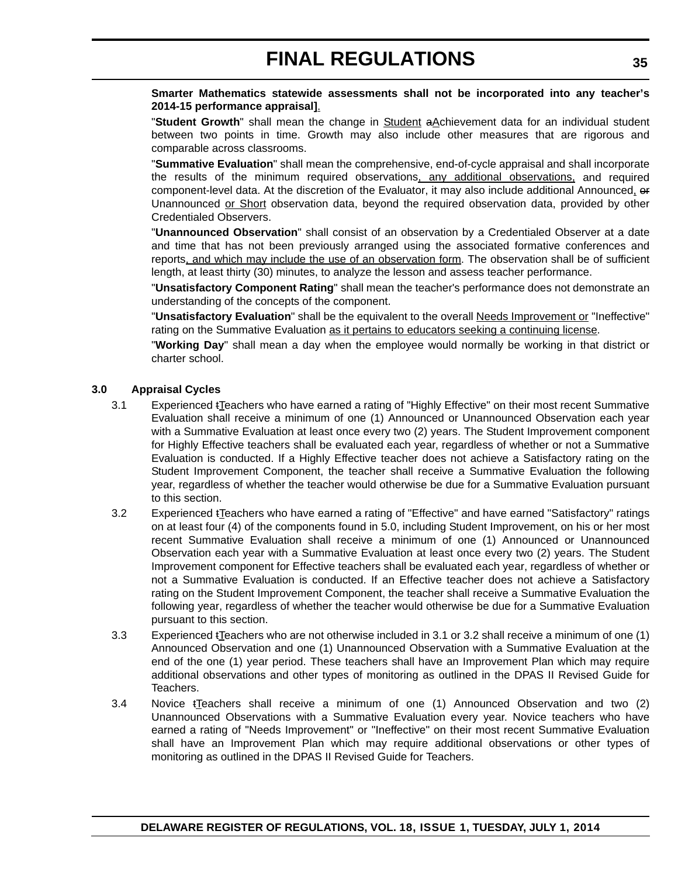#### **Smarter Mathematics statewide assessments shall not be incorporated into any teacher's 2014-15 performance appraisal]**.

"**Student Growth**" shall mean the change in Student aAchievement data for an individual student between two points in time. Growth may also include other measures that are rigorous and comparable across classrooms.

"**Summative Evaluation**" shall mean the comprehensive, end-of-cycle appraisal and shall incorporate the results of the minimum required observations, any additional observations, and required component-level data. At the discretion of the Evaluator, it may also include additional Announced, or Unannounced or Short observation data, beyond the required observation data, provided by other Credentialed Observers.

"**Unannounced Observation**" shall consist of an observation by a Credentialed Observer at a date and time that has not been previously arranged using the associated formative conferences and reports, and which may include the use of an observation form. The observation shall be of sufficient length, at least thirty (30) minutes, to analyze the lesson and assess teacher performance.

"**Unsatisfactory Component Rating**" shall mean the teacher's performance does not demonstrate an understanding of the concepts of the component.

"**Unsatisfactory Evaluation**" shall be the equivalent to the overall Needs Improvement or "Ineffective" rating on the Summative Evaluation as it pertains to educators seeking a continuing license.

"**Working Day**" shall mean a day when the employee would normally be working in that district or charter school.

### **3.0 Appraisal Cycles**

- 3.1 Experienced tTeachers who have earned a rating of "Highly Effective" on their most recent Summative Evaluation shall receive a minimum of one (1) Announced or Unannounced Observation each year with a Summative Evaluation at least once every two (2) years. The Student Improvement component for Highly Effective teachers shall be evaluated each year, regardless of whether or not a Summative Evaluation is conducted. If a Highly Effective teacher does not achieve a Satisfactory rating on the Student Improvement Component, the teacher shall receive a Summative Evaluation the following year, regardless of whether the teacher would otherwise be due for a Summative Evaluation pursuant to this section.
- 3.2 Experienced to teachers who have earned a rating of "Effective" and have earned "Satisfactory" ratings on at least four (4) of the components found in 5.0, including Student Improvement, on his or her most recent Summative Evaluation shall receive a minimum of one (1) Announced or Unannounced Observation each year with a Summative Evaluation at least once every two (2) years. The Student Improvement component for Effective teachers shall be evaluated each year, regardless of whether or not a Summative Evaluation is conducted. If an Effective teacher does not achieve a Satisfactory rating on the Student Improvement Component, the teacher shall receive a Summative Evaluation the following year, regardless of whether the teacher would otherwise be due for a Summative Evaluation pursuant to this section.
- 3.3 Experienced tTeachers who are not otherwise included in 3.1 or 3.2 shall receive a minimum of one (1) Announced Observation and one (1) Unannounced Observation with a Summative Evaluation at the end of the one (1) year period. These teachers shall have an Improvement Plan which may require additional observations and other types of monitoring as outlined in the DPAS II Revised Guide for Teachers.
- 3.4 Novice tTeachers shall receive a minimum of one (1) Announced Observation and two (2) Unannounced Observations with a Summative Evaluation every year. Novice teachers who have earned a rating of "Needs Improvement" or "Ineffective" on their most recent Summative Evaluation shall have an Improvement Plan which may require additional observations or other types of monitoring as outlined in the DPAS II Revised Guide for Teachers.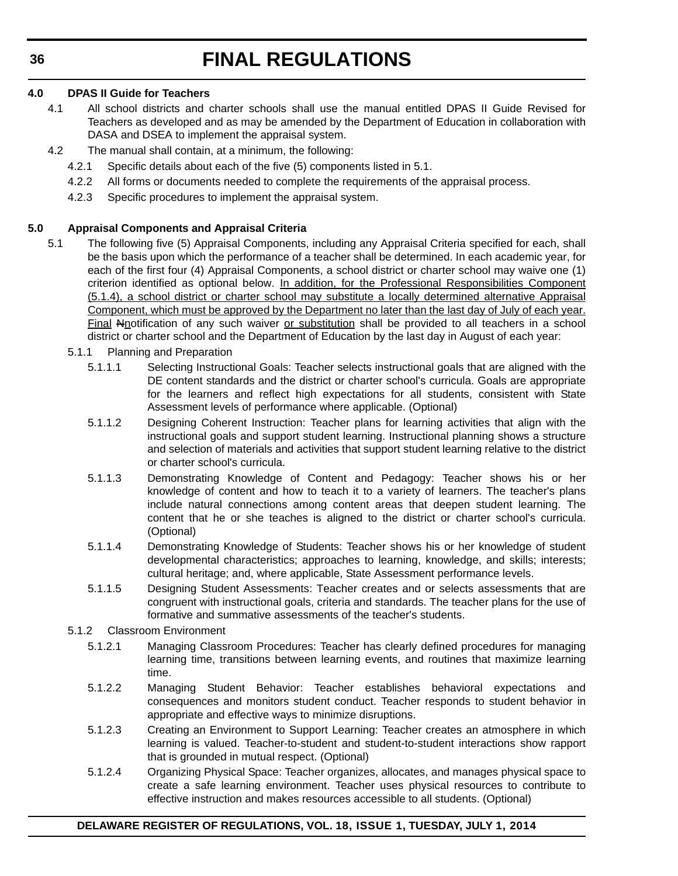# **4.0 DPAS II Guide for Teachers**

- 4.1 All school districts and charter schools shall use the manual entitled DPAS II Guide Revised for Teachers as developed and as may be amended by the Department of Education in collaboration with DASA and DSEA to implement the appraisal system.
- 4.2 The manual shall contain, at a minimum, the following:
	- 4.2.1 Specific details about each of the five (5) components listed in 5.1.
	- 4.2.2 All forms or documents needed to complete the requirements of the appraisal process.
	- 4.2.3 Specific procedures to implement the appraisal system.

# **5.0 Appraisal Components and Appraisal Criteria**

- 5.1 The following five (5) Appraisal Components, including any Appraisal Criteria specified for each, shall be the basis upon which the performance of a teacher shall be determined. In each academic year, for each of the first four (4) Appraisal Components, a school district or charter school may waive one (1) criterion identified as optional below. In addition, for the Professional Responsibilities Component (5.1.4), a school district or charter school may substitute a locally determined alternative Appraisal Component, which must be approved by the Department no later than the last day of July of each year. Final Nnotification of any such waiver or substitution shall be provided to all teachers in a school district or charter school and the Department of Education by the last day in August of each year:
	- 5.1.1 Planning and Preparation
		- 5.1.1.1 Selecting Instructional Goals: Teacher selects instructional goals that are aligned with the DE content standards and the district or charter school's curricula. Goals are appropriate for the learners and reflect high expectations for all students, consistent with State Assessment levels of performance where applicable. (Optional)
		- 5.1.1.2 Designing Coherent Instruction: Teacher plans for learning activities that align with the instructional goals and support student learning. Instructional planning shows a structure and selection of materials and activities that support student learning relative to the district or charter school's curricula.
		- 5.1.1.3 Demonstrating Knowledge of Content and Pedagogy: Teacher shows his or her knowledge of content and how to teach it to a variety of learners. The teacher's plans include natural connections among content areas that deepen student learning. The content that he or she teaches is aligned to the district or charter school's curricula. (Optional)
		- 5.1.1.4 Demonstrating Knowledge of Students: Teacher shows his or her knowledge of student developmental characteristics; approaches to learning, knowledge, and skills; interests; cultural heritage; and, where applicable, State Assessment performance levels.
		- 5.1.1.5 Designing Student Assessments: Teacher creates and or selects assessments that are congruent with instructional goals, criteria and standards. The teacher plans for the use of formative and summative assessments of the teacher's students.
	- 5.1.2 Classroom Environment
		- 5.1.2.1 Managing Classroom Procedures: Teacher has clearly defined procedures for managing learning time, transitions between learning events, and routines that maximize learning time.
		- 5.1.2.2 Managing Student Behavior: Teacher establishes behavioral expectations and consequences and monitors student conduct. Teacher responds to student behavior in appropriate and effective ways to minimize disruptions.
		- 5.1.2.3 Creating an Environment to Support Learning: Teacher creates an atmosphere in which learning is valued. Teacher-to-student and student-to-student interactions show rapport that is grounded in mutual respect. (Optional)
		- 5.1.2.4 Organizing Physical Space: Teacher organizes, allocates, and manages physical space to create a safe learning environment. Teacher uses physical resources to contribute to effective instruction and makes resources accessible to all students. (Optional)

# **DELAWARE REGISTER OF REGULATIONS, VOL. 18, ISSUE 1, TUESDAY, JULY 1, 2014**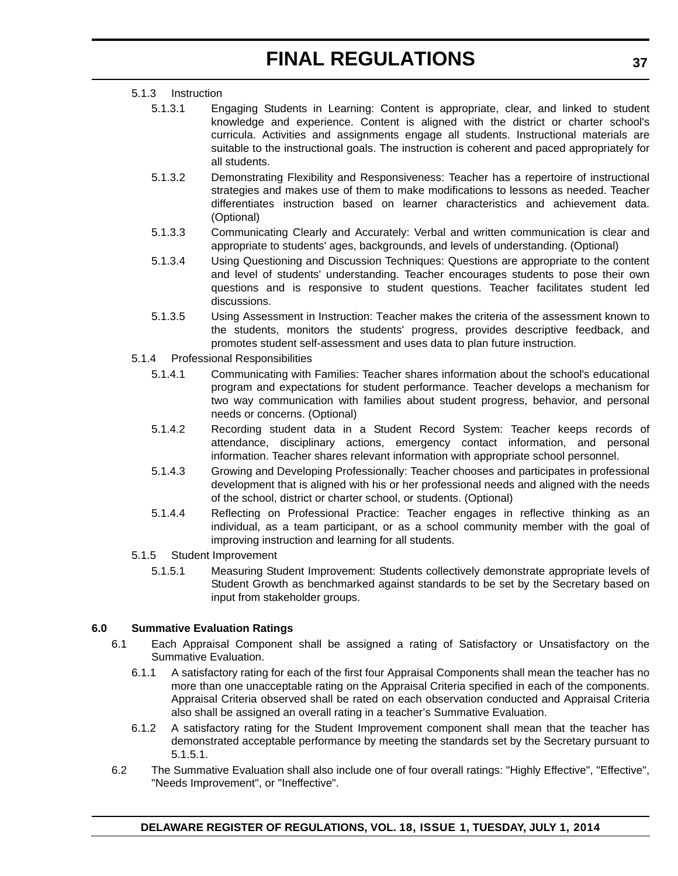# 5.1.3 Instruction

- 5.1.3.1 Engaging Students in Learning: Content is appropriate, clear, and linked to student knowledge and experience. Content is aligned with the district or charter school's curricula. Activities and assignments engage all students. Instructional materials are suitable to the instructional goals. The instruction is coherent and paced appropriately for all students.
- 5.1.3.2 Demonstrating Flexibility and Responsiveness: Teacher has a repertoire of instructional strategies and makes use of them to make modifications to lessons as needed. Teacher differentiates instruction based on learner characteristics and achievement data. (Optional)
- 5.1.3.3 Communicating Clearly and Accurately: Verbal and written communication is clear and appropriate to students' ages, backgrounds, and levels of understanding. (Optional)
- 5.1.3.4 Using Questioning and Discussion Techniques: Questions are appropriate to the content and level of students' understanding. Teacher encourages students to pose their own questions and is responsive to student questions. Teacher facilitates student led discussions.
- 5.1.3.5 Using Assessment in Instruction: Teacher makes the criteria of the assessment known to the students, monitors the students' progress, provides descriptive feedback, and promotes student self-assessment and uses data to plan future instruction.
- 5.1.4 Professional Responsibilities
	- 5.1.4.1 Communicating with Families: Teacher shares information about the school's educational program and expectations for student performance. Teacher develops a mechanism for two way communication with families about student progress, behavior, and personal needs or concerns. (Optional)
	- 5.1.4.2 Recording student data in a Student Record System: Teacher keeps records of attendance, disciplinary actions, emergency contact information, and personal information. Teacher shares relevant information with appropriate school personnel.
	- 5.1.4.3 Growing and Developing Professionally: Teacher chooses and participates in professional development that is aligned with his or her professional needs and aligned with the needs of the school, district or charter school, or students. (Optional)
	- 5.1.4.4 Reflecting on Professional Practice: Teacher engages in reflective thinking as an individual, as a team participant, or as a school community member with the goal of improving instruction and learning for all students.
- 5.1.5 Student Improvement
	- 5.1.5.1 Measuring Student Improvement: Students collectively demonstrate appropriate levels of Student Growth as benchmarked against standards to be set by the Secretary based on input from stakeholder groups.

## **6.0 Summative Evaluation Ratings**

- 6.1 Each Appraisal Component shall be assigned a rating of Satisfactory or Unsatisfactory on the Summative Evaluation.
	- 6.1.1 A satisfactory rating for each of the first four Appraisal Components shall mean the teacher has no more than one unacceptable rating on the Appraisal Criteria specified in each of the components. Appraisal Criteria observed shall be rated on each observation conducted and Appraisal Criteria also shall be assigned an overall rating in a teacher's Summative Evaluation.
	- 6.1.2 A satisfactory rating for the Student Improvement component shall mean that the teacher has demonstrated acceptable performance by meeting the standards set by the Secretary pursuant to 5.1.5.1.
- 6.2 The Summative Evaluation shall also include one of four overall ratings: "Highly Effective", "Effective", "Needs Improvement", or "Ineffective".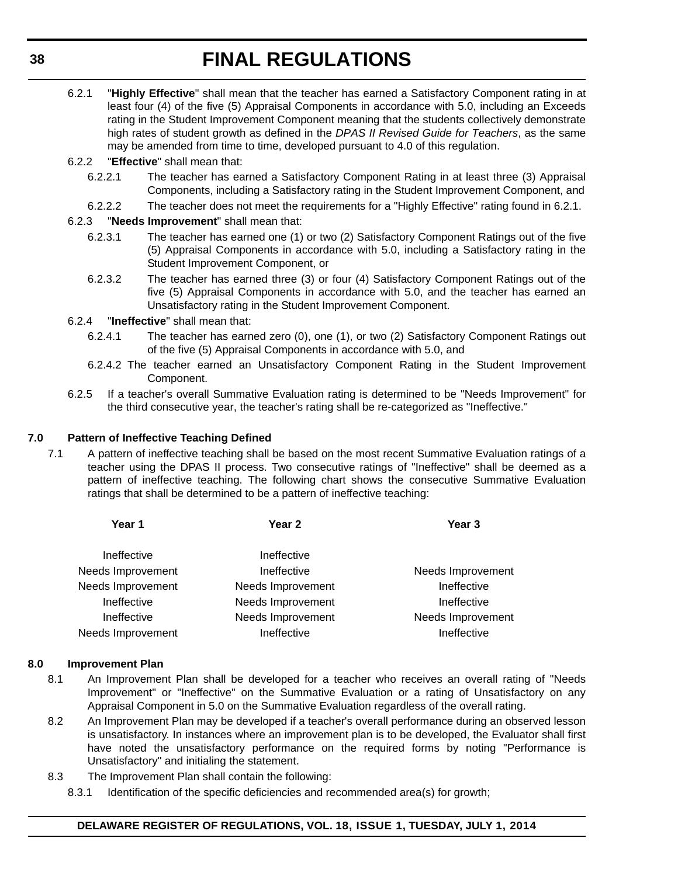6.2.1 "**Highly Effective**" shall mean that the teacher has earned a Satisfactory Component rating in at least four (4) of the five (5) Appraisal Components in accordance with 5.0, including an Exceeds rating in the Student Improvement Component meaning that the students collectively demonstrate high rates of student growth as defined in the *DPAS II Revised Guide for Teachers*, as the same may be amended from time to time, developed pursuant to 4.0 of this regulation.

## 6.2.2 "**Effective**" shall mean that:

- 6.2.2.1 The teacher has earned a Satisfactory Component Rating in at least three (3) Appraisal Components, including a Satisfactory rating in the Student Improvement Component, and
- 6.2.2.2 The teacher does not meet the requirements for a "Highly Effective" rating found in 6.2.1.
- 6.2.3 "**Needs Improvement**" shall mean that:
	- 6.2.3.1 The teacher has earned one (1) or two (2) Satisfactory Component Ratings out of the five (5) Appraisal Components in accordance with 5.0, including a Satisfactory rating in the Student Improvement Component, or
	- 6.2.3.2 The teacher has earned three (3) or four (4) Satisfactory Component Ratings out of the five (5) Appraisal Components in accordance with 5.0, and the teacher has earned an Unsatisfactory rating in the Student Improvement Component.
- 6.2.4 "**Ineffective**" shall mean that:
	- 6.2.4.1 The teacher has earned zero (0), one (1), or two (2) Satisfactory Component Ratings out of the five (5) Appraisal Components in accordance with 5.0, and
	- 6.2.4.2 The teacher earned an Unsatisfactory Component Rating in the Student Improvement Component.
- 6.2.5 If a teacher's overall Summative Evaluation rating is determined to be "Needs Improvement" for the third consecutive year, the teacher's rating shall be re-categorized as "Ineffective."

### **7.0 Pattern of Ineffective Teaching Defined**

7.1 A pattern of ineffective teaching shall be based on the most recent Summative Evaluation ratings of a teacher using the DPAS II process. Two consecutive ratings of "Ineffective" shall be deemed as a pattern of ineffective teaching. The following chart shows the consecutive Summative Evaluation ratings that shall be determined to be a pattern of ineffective teaching:

| Year 1                           | Year 2                           | Year <sub>3</sub>                |  |
|----------------------------------|----------------------------------|----------------------------------|--|
| Ineffective                      | Ineffective                      |                                  |  |
| <b>Needs Improvement</b>         | Ineffective                      | Needs Improvement                |  |
| Needs Improvement                | Needs Improvement                | Ineffective                      |  |
| Ineffective                      | Needs Improvement                | Ineffective                      |  |
| Ineffective<br>Needs Improvement | Needs Improvement<br>Ineffective | Needs Improvement<br>Ineffective |  |
|                                  |                                  |                                  |  |

## **8.0 Improvement Plan**

- 8.1 An Improvement Plan shall be developed for a teacher who receives an overall rating of "Needs Improvement" or "Ineffective" on the Summative Evaluation or a rating of Unsatisfactory on any Appraisal Component in 5.0 on the Summative Evaluation regardless of the overall rating.
- 8.2 An Improvement Plan may be developed if a teacher's overall performance during an observed lesson is unsatisfactory. In instances where an improvement plan is to be developed, the Evaluator shall first have noted the unsatisfactory performance on the required forms by noting "Performance is Unsatisfactory" and initialing the statement.
- 8.3 The Improvement Plan shall contain the following:
	- 8.3.1 Identification of the specific deficiencies and recommended area(s) for growth;

# **DELAWARE REGISTER OF REGULATIONS, VOL. 18, ISSUE 1, TUESDAY, JULY 1, 2014**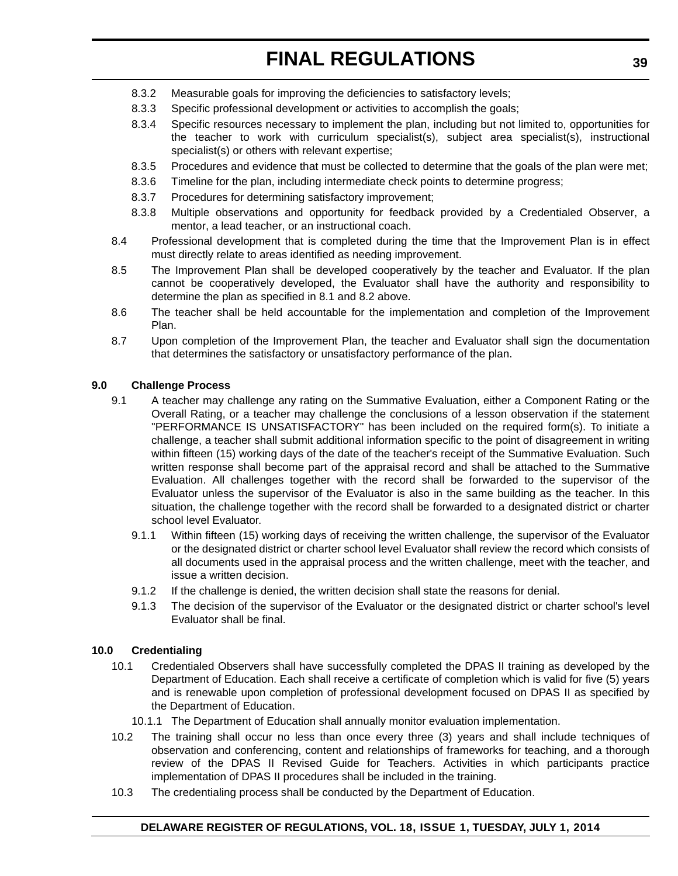- 8.3.2 Measurable goals for improving the deficiencies to satisfactory levels;
- 8.3.3 Specific professional development or activities to accomplish the goals;
- 8.3.4 Specific resources necessary to implement the plan, including but not limited to, opportunities for the teacher to work with curriculum specialist(s), subject area specialist(s), instructional specialist(s) or others with relevant expertise;
- 8.3.5 Procedures and evidence that must be collected to determine that the goals of the plan were met;
- 8.3.6 Timeline for the plan, including intermediate check points to determine progress;
- 8.3.7 Procedures for determining satisfactory improvement;
- 8.3.8 Multiple observations and opportunity for feedback provided by a Credentialed Observer, a mentor, a lead teacher, or an instructional coach.
- 8.4 Professional development that is completed during the time that the Improvement Plan is in effect must directly relate to areas identified as needing improvement.
- 8.5 The Improvement Plan shall be developed cooperatively by the teacher and Evaluator. If the plan cannot be cooperatively developed, the Evaluator shall have the authority and responsibility to determine the plan as specified in 8.1 and 8.2 above.
- 8.6 The teacher shall be held accountable for the implementation and completion of the Improvement Plan.
- 8.7 Upon completion of the Improvement Plan, the teacher and Evaluator shall sign the documentation that determines the satisfactory or unsatisfactory performance of the plan.

#### **9.0 Challenge Process**

- 9.1 A teacher may challenge any rating on the Summative Evaluation, either a Component Rating or the Overall Rating, or a teacher may challenge the conclusions of a lesson observation if the statement "PERFORMANCE IS UNSATISFACTORY" has been included on the required form(s). To initiate a challenge, a teacher shall submit additional information specific to the point of disagreement in writing within fifteen (15) working days of the date of the teacher's receipt of the Summative Evaluation. Such written response shall become part of the appraisal record and shall be attached to the Summative Evaluation. All challenges together with the record shall be forwarded to the supervisor of the Evaluator unless the supervisor of the Evaluator is also in the same building as the teacher. In this situation, the challenge together with the record shall be forwarded to a designated district or charter school level Evaluator.
	- 9.1.1 Within fifteen (15) working days of receiving the written challenge, the supervisor of the Evaluator or the designated district or charter school level Evaluator shall review the record which consists of all documents used in the appraisal process and the written challenge, meet with the teacher, and issue a written decision.
	- 9.1.2 If the challenge is denied, the written decision shall state the reasons for denial.
	- 9.1.3 The decision of the supervisor of the Evaluator or the designated district or charter school's level Evaluator shall be final.

## **10.0 Credentialing**

- 10.1 Credentialed Observers shall have successfully completed the DPAS II training as developed by the Department of Education. Each shall receive a certificate of completion which is valid for five (5) years and is renewable upon completion of professional development focused on DPAS II as specified by the Department of Education.
	- 10.1.1 The Department of Education shall annually monitor evaluation implementation.
- 10.2 The training shall occur no less than once every three (3) years and shall include techniques of observation and conferencing, content and relationships of frameworks for teaching, and a thorough review of the DPAS II Revised Guide for Teachers. Activities in which participants practice implementation of DPAS II procedures shall be included in the training.
- 10.3 The credentialing process shall be conducted by the Department of Education.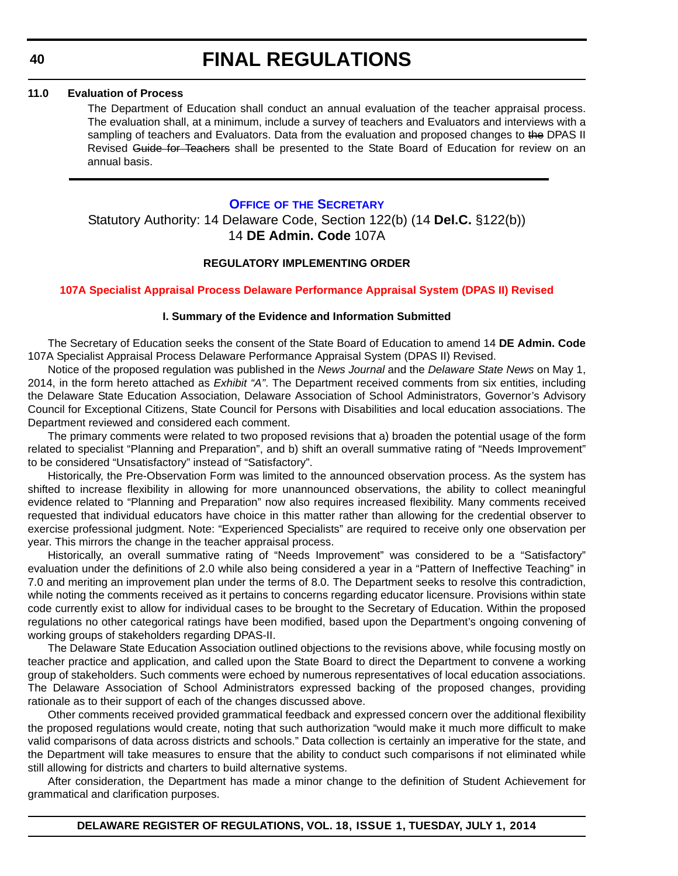#### **11.0 Evaluation of Process**

The Department of Education shall conduct an annual evaluation of the teacher appraisal process. The evaluation shall, at a minimum, include a survey of teachers and Evaluators and interviews with a sampling of teachers and Evaluators. Data from the evaluation and proposed changes to the DPAS II Revised Guide for Teachers shall be presented to the State Board of Education for review on an annual basis.

#### **OFFICE OF [THE SECRETARY](http://www.doe.k12.de.us/)**

Statutory Authority: 14 Delaware Code, Section 122(b) (14 **Del.C.** §122(b)) 14 **DE Admin. Code** 107A

#### **REGULATORY IMPLEMENTING ORDER**

#### **[107A Specialist Appraisal Process Delaware Performance Appraisal System \(DPAS II\) Revised](#page-3-0)**

#### **I. Summary of the Evidence and Information Submitted**

The Secretary of Education seeks the consent of the State Board of Education to amend 14 **DE Admin. Code** 107A Specialist Appraisal Process Delaware Performance Appraisal System (DPAS II) Revised.

Notice of the proposed regulation was published in the *News Journal* and the *Delaware State News* on May 1, 2014, in the form hereto attached as *Exhibit "A"*. The Department received comments from six entities, including the Delaware State Education Association, Delaware Association of School Administrators, Governor's Advisory Council for Exceptional Citizens, State Council for Persons with Disabilities and local education associations. The Department reviewed and considered each comment.

The primary comments were related to two proposed revisions that a) broaden the potential usage of the form related to specialist "Planning and Preparation", and b) shift an overall summative rating of "Needs Improvement" to be considered "Unsatisfactory" instead of "Satisfactory".

Historically, the Pre-Observation Form was limited to the announced observation process. As the system has shifted to increase flexibility in allowing for more unannounced observations, the ability to collect meaningful evidence related to "Planning and Preparation" now also requires increased flexibility. Many comments received requested that individual educators have choice in this matter rather than allowing for the credential observer to exercise professional judgment. Note: "Experienced Specialists" are required to receive only one observation per year. This mirrors the change in the teacher appraisal process.

Historically, an overall summative rating of "Needs Improvement" was considered to be a "Satisfactory" evaluation under the definitions of 2.0 while also being considered a year in a "Pattern of Ineffective Teaching" in 7.0 and meriting an improvement plan under the terms of 8.0. The Department seeks to resolve this contradiction, while noting the comments received as it pertains to concerns regarding educator licensure. Provisions within state code currently exist to allow for individual cases to be brought to the Secretary of Education. Within the proposed regulations no other categorical ratings have been modified, based upon the Department's ongoing convening of working groups of stakeholders regarding DPAS-II.

The Delaware State Education Association outlined objections to the revisions above, while focusing mostly on teacher practice and application, and called upon the State Board to direct the Department to convene a working group of stakeholders. Such comments were echoed by numerous representatives of local education associations. The Delaware Association of School Administrators expressed backing of the proposed changes, providing rationale as to their support of each of the changes discussed above.

Other comments received provided grammatical feedback and expressed concern over the additional flexibility the proposed regulations would create, noting that such authorization "would make it much more difficult to make valid comparisons of data across districts and schools." Data collection is certainly an imperative for the state, and the Department will take measures to ensure that the ability to conduct such comparisons if not eliminated while still allowing for districts and charters to build alternative systems.

After consideration, the Department has made a minor change to the definition of Student Achievement for grammatical and clarification purposes.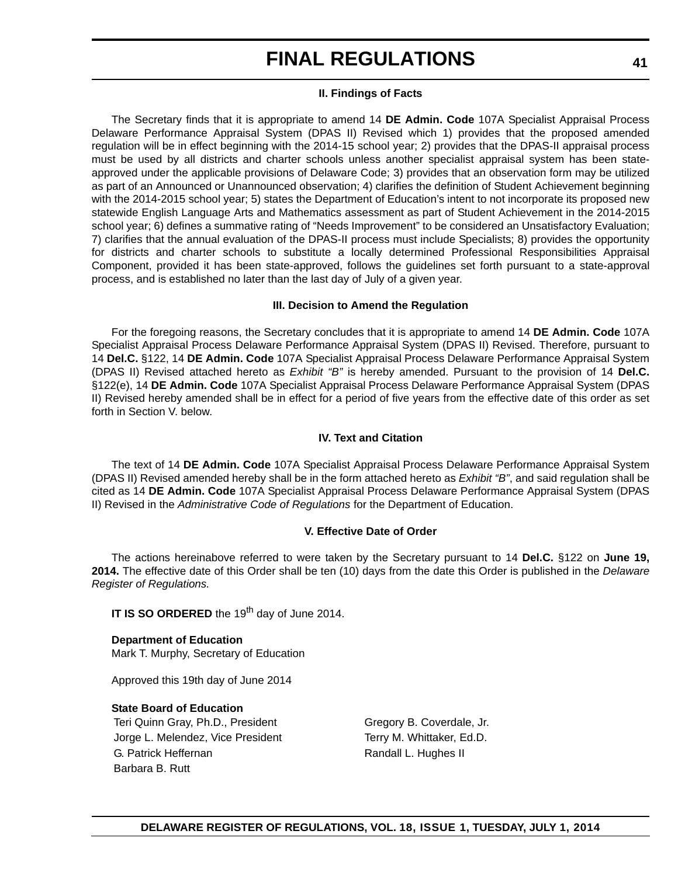#### **II. Findings of Facts**

The Secretary finds that it is appropriate to amend 14 **DE Admin. Code** 107A Specialist Appraisal Process Delaware Performance Appraisal System (DPAS II) Revised which 1) provides that the proposed amended regulation will be in effect beginning with the 2014-15 school year; 2) provides that the DPAS-II appraisal process must be used by all districts and charter schools unless another specialist appraisal system has been stateapproved under the applicable provisions of Delaware Code; 3) provides that an observation form may be utilized as part of an Announced or Unannounced observation; 4) clarifies the definition of Student Achievement beginning with the 2014-2015 school year; 5) states the Department of Education's intent to not incorporate its proposed new statewide English Language Arts and Mathematics assessment as part of Student Achievement in the 2014-2015 school year; 6) defines a summative rating of "Needs Improvement" to be considered an Unsatisfactory Evaluation; 7) clarifies that the annual evaluation of the DPAS-II process must include Specialists; 8) provides the opportunity for districts and charter schools to substitute a locally determined Professional Responsibilities Appraisal Component, provided it has been state-approved, follows the guidelines set forth pursuant to a state-approval process, and is established no later than the last day of July of a given year.

#### **III. Decision to Amend the Regulation**

For the foregoing reasons, the Secretary concludes that it is appropriate to amend 14 **DE Admin. Code** 107A Specialist Appraisal Process Delaware Performance Appraisal System (DPAS II) Revised. Therefore, pursuant to 14 **Del.C.** §122, 14 **DE Admin. Code** 107A Specialist Appraisal Process Delaware Performance Appraisal System (DPAS II) Revised attached hereto as *Exhibit "B"* is hereby amended. Pursuant to the provision of 14 **Del.C.**  §122(e), 14 **DE Admin. Code** 107A Specialist Appraisal Process Delaware Performance Appraisal System (DPAS II) Revised hereby amended shall be in effect for a period of five years from the effective date of this order as set forth in Section V. below.

#### **IV. Text and Citation**

The text of 14 **DE Admin. Code** 107A Specialist Appraisal Process Delaware Performance Appraisal System (DPAS II) Revised amended hereby shall be in the form attached hereto as *Exhibit "B"*, and said regulation shall be cited as 14 **DE Admin. Code** 107A Specialist Appraisal Process Delaware Performance Appraisal System (DPAS II) Revised in the *Administrative Code of Regulations* for the Department of Education.

#### **V. Effective Date of Order**

The actions hereinabove referred to were taken by the Secretary pursuant to 14 **Del.C.** §122 on **June 19, 2014.** The effective date of this Order shall be ten (10) days from the date this Order is published in the *Delaware Register of Regulations.*

**IT IS SO ORDERED** the 19<sup>th</sup> day of June 2014.

**Department of Education** Mark T. Murphy, Secretary of Education

Approved this 19th day of June 2014

## **State Board of Education**

Teri Quinn Gray, Ph.D., President Gregory B. Coverdale, Jr. Jorge L. Melendez, Vice President Terry M. Whittaker, Ed.D. G. Patrick Heffernan **Randall L. Hughes II** Barbara B. Rutt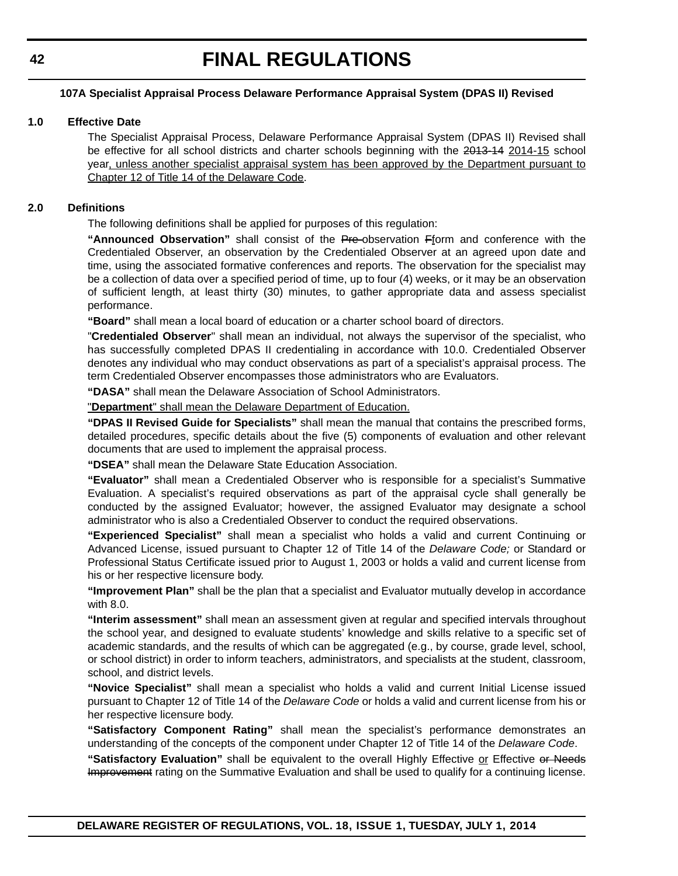## **107A Specialist Appraisal Process Delaware Performance Appraisal System (DPAS II) Revised**

#### **1.0 Effective Date**

The Specialist Appraisal Process, Delaware Performance Appraisal System (DPAS II) Revised shall be effective for all school districts and charter schools beginning with the 2013-14 2014-15 school year, unless another specialist appraisal system has been approved by the Department pursuant to Chapter 12 of Title 14 of the Delaware Code.

#### **2.0 Definitions**

The following definitions shall be applied for purposes of this regulation:

**"Announced Observation"** shall consist of the Pre-observation Fform and conference with the Credentialed Observer, an observation by the Credentialed Observer at an agreed upon date and time, using the associated formative conferences and reports. The observation for the specialist may be a collection of data over a specified period of time, up to four (4) weeks, or it may be an observation of sufficient length, at least thirty (30) minutes, to gather appropriate data and assess specialist performance.

**"Board"** shall mean a local board of education or a charter school board of directors.

"**Credentialed Observer**" shall mean an individual, not always the supervisor of the specialist, who has successfully completed DPAS II credentialing in accordance with 10.0. Credentialed Observer denotes any individual who may conduct observations as part of a specialist's appraisal process. The term Credentialed Observer encompasses those administrators who are Evaluators.

**"DASA"** shall mean the Delaware Association of School Administrators.

"**Department**" shall mean the Delaware Department of Education.

**"DPAS II Revised Guide for Specialists"** shall mean the manual that contains the prescribed forms, detailed procedures, specific details about the five (5) components of evaluation and other relevant documents that are used to implement the appraisal process.

**"DSEA"** shall mean the Delaware State Education Association.

**"Evaluator"** shall mean a Credentialed Observer who is responsible for a specialist's Summative Evaluation. A specialist's required observations as part of the appraisal cycle shall generally be conducted by the assigned Evaluator; however, the assigned Evaluator may designate a school administrator who is also a Credentialed Observer to conduct the required observations.

**"Experienced Specialist"** shall mean a specialist who holds a valid and current Continuing or Advanced License, issued pursuant to Chapter 12 of Title 14 of the *Delaware Code;* or Standard or Professional Status Certificate issued prior to August 1, 2003 or holds a valid and current license from his or her respective licensure body.

**"Improvement Plan"** shall be the plan that a specialist and Evaluator mutually develop in accordance with 8.0.

**"Interim assessment"** shall mean an assessment given at regular and specified intervals throughout the school year, and designed to evaluate students' knowledge and skills relative to a specific set of academic standards, and the results of which can be aggregated (e.g., by course, grade level, school, or school district) in order to inform teachers, administrators, and specialists at the student, classroom, school, and district levels.

**"Novice Specialist"** shall mean a specialist who holds a valid and current Initial License issued pursuant to Chapter 12 of Title 14 of the *Delaware Code* or holds a valid and current license from his or her respective licensure body.

**"Satisfactory Component Rating"** shall mean the specialist's performance demonstrates an understanding of the concepts of the component under Chapter 12 of Title 14 of the *Delaware Code*.

**"Satisfactory Evaluation"** shall be equivalent to the overall Highly Effective or Effective or Needs Improvement rating on the Summative Evaluation and shall be used to qualify for a continuing license.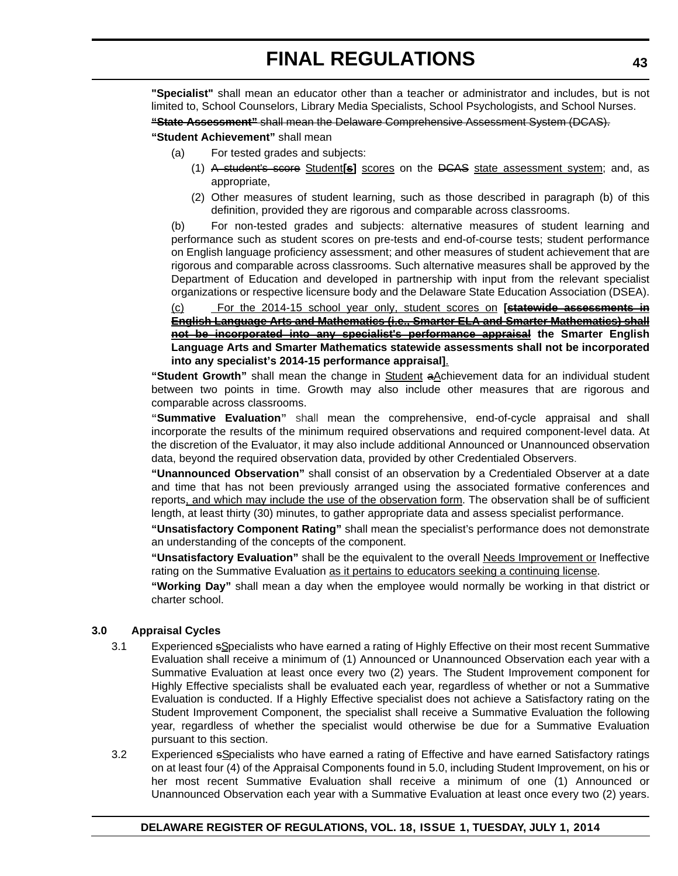**"Specialist"** shall mean an educator other than a teacher or administrator and includes, but is not limited to, School Counselors, Library Media Specialists, School Psychologists, and School Nurses.

**"State Assessment"** shall mean the Delaware Comprehensive Assessment System (DCAS).

**"Student Achievement"** shall mean

- (a) For tested grades and subjects:
	- (1) A student's score Student**[s]** scores on the DCAS state assessment system; and, as appropriate,
	- (2) Other measures of student learning, such as those described in paragraph (b) of this definition, provided they are rigorous and comparable across classrooms.

(b) For non-tested grades and subjects: alternative measures of student learning and performance such as student scores on pre-tests and end-of-course tests; student performance on English language proficiency assessment; and other measures of student achievement that are rigorous and comparable across classrooms. Such alternative measures shall be approved by the Department of Education and developed in partnership with input from the relevant specialist organizations or respective licensure body and the Delaware State Education Association (DSEA).

(c) For the 2014-15 school year only, student scores on **[statewide assessments in English Language Arts and Mathematics (i.e., Smarter ELA and Smarter Mathematics) shall not be incorporated into any specialist's performance appraisal the Smarter English Language Arts and Smarter Mathematics statewide assessments shall not be incorporated into any specialist's 2014-15 performance appraisal]**.

**"Student Growth"** shall mean the change in Student aAchievement data for an individual student between two points in time. Growth may also include other measures that are rigorous and comparable across classrooms.

**"Summative Evaluation"** shall mean the comprehensive, end-of-cycle appraisal and shall incorporate the results of the minimum required observations and required component-level data. At the discretion of the Evaluator, it may also include additional Announced or Unannounced observation data, beyond the required observation data, provided by other Credentialed Observers.

**"Unannounced Observation"** shall consist of an observation by a Credentialed Observer at a date and time that has not been previously arranged using the associated formative conferences and reports, and which may include the use of the observation form. The observation shall be of sufficient length, at least thirty (30) minutes, to gather appropriate data and assess specialist performance.

**"Unsatisfactory Component Rating"** shall mean the specialist's performance does not demonstrate an understanding of the concepts of the component.

**"Unsatisfactory Evaluation"** shall be the equivalent to the overall Needs Improvement or Ineffective rating on the Summative Evaluation as it pertains to educators seeking a continuing license.

**"Working Day"** shall mean a day when the employee would normally be working in that district or charter school.

## **3.0 Appraisal Cycles**

- 3.1 Experienced sSpecialists who have earned a rating of Highly Effective on their most recent Summative Evaluation shall receive a minimum of (1) Announced or Unannounced Observation each year with a Summative Evaluation at least once every two (2) years. The Student Improvement component for Highly Effective specialists shall be evaluated each year, regardless of whether or not a Summative Evaluation is conducted. If a Highly Effective specialist does not achieve a Satisfactory rating on the Student Improvement Component, the specialist shall receive a Summative Evaluation the following year, regardless of whether the specialist would otherwise be due for a Summative Evaluation pursuant to this section.
	- 3.2 Experienced sSpecialists who have earned a rating of Effective and have earned Satisfactory ratings on at least four (4) of the Appraisal Components found in 5.0, including Student Improvement, on his or her most recent Summative Evaluation shall receive a minimum of one (1) Announced or Unannounced Observation each year with a Summative Evaluation at least once every two (2) years.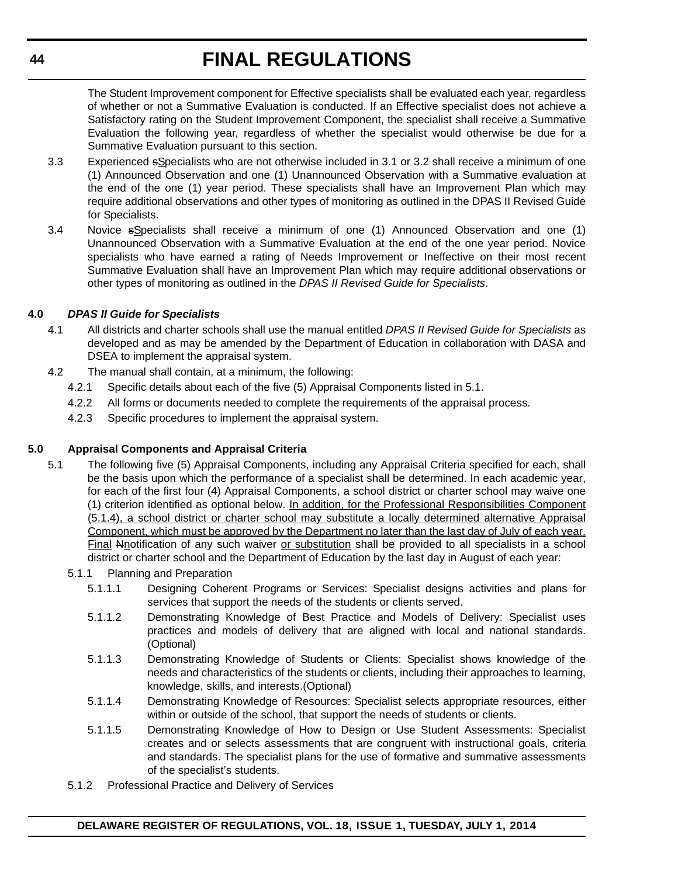The Student Improvement component for Effective specialists shall be evaluated each year, regardless of whether or not a Summative Evaluation is conducted. If an Effective specialist does not achieve a Satisfactory rating on the Student Improvement Component, the specialist shall receive a Summative Evaluation the following year, regardless of whether the specialist would otherwise be due for a Summative Evaluation pursuant to this section.

- 3.3 Experienced sSpecialists who are not otherwise included in 3.1 or 3.2 shall receive a minimum of one (1) Announced Observation and one (1) Unannounced Observation with a Summative evaluation at the end of the one (1) year period. These specialists shall have an Improvement Plan which may require additional observations and other types of monitoring as outlined in the DPAS II Revised Guide for Specialists.
- 3.4 Novice sSpecialists shall receive a minimum of one (1) Announced Observation and one (1) Unannounced Observation with a Summative Evaluation at the end of the one year period. Novice specialists who have earned a rating of Needs Improvement or Ineffective on their most recent Summative Evaluation shall have an Improvement Plan which may require additional observations or other types of monitoring as outlined in the *DPAS II Revised Guide for Specialists*.

## **4.0** *DPAS II Guide for Specialists*

- 4.1 All districts and charter schools shall use the manual entitled *DPAS II Revised Guide for Specialists* as developed and as may be amended by the Department of Education in collaboration with DASA and DSEA to implement the appraisal system.
- 4.2 The manual shall contain, at a minimum, the following:
	- 4.2.1 Specific details about each of the five (5) Appraisal Components listed in 5.1.
	- 4.2.2 All forms or documents needed to complete the requirements of the appraisal process.
	- 4.2.3 Specific procedures to implement the appraisal system.

## **5.0 Appraisal Components and Appraisal Criteria**

- 5.1 The following five (5) Appraisal Components, including any Appraisal Criteria specified for each, shall be the basis upon which the performance of a specialist shall be determined. In each academic year, for each of the first four (4) Appraisal Components, a school district or charter school may waive one (1) criterion identified as optional below. In addition, for the Professional Responsibilities Component (5.1.4), a school district or charter school may substitute a locally determined alternative Appraisal Component, which must be approved by the Department no later than the last day of July of each year. Final Nnotification of any such waiver or substitution shall be provided to all specialists in a school district or charter school and the Department of Education by the last day in August of each year:
	- 5.1.1 Planning and Preparation
		- 5.1.1.1 Designing Coherent Programs or Services: Specialist designs activities and plans for services that support the needs of the students or clients served.
		- 5.1.1.2 Demonstrating Knowledge of Best Practice and Models of Delivery: Specialist uses practices and models of delivery that are aligned with local and national standards. (Optional)
		- 5.1.1.3 Demonstrating Knowledge of Students or Clients: Specialist shows knowledge of the needs and characteristics of the students or clients, including their approaches to learning, knowledge, skills, and interests.(Optional)
		- 5.1.1.4 Demonstrating Knowledge of Resources: Specialist selects appropriate resources, either within or outside of the school, that support the needs of students or clients.
		- 5.1.1.5 Demonstrating Knowledge of How to Design or Use Student Assessments: Specialist creates and or selects assessments that are congruent with instructional goals, criteria and standards. The specialist plans for the use of formative and summative assessments of the specialist's students.
	- 5.1.2 Professional Practice and Delivery of Services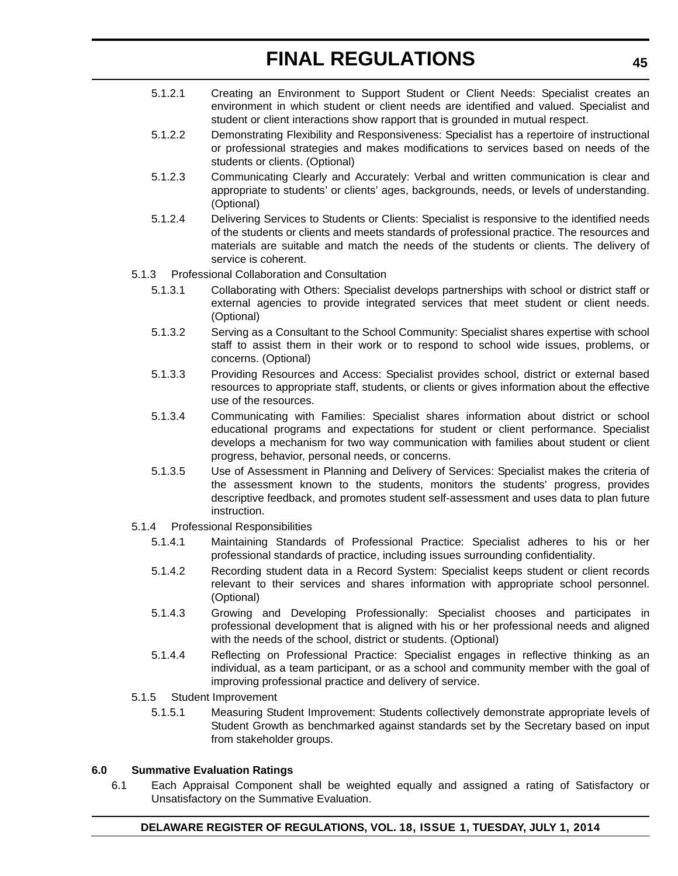- 5.1.2.1 Creating an Environment to Support Student or Client Needs: Specialist creates an environment in which student or client needs are identified and valued. Specialist and student or client interactions show rapport that is grounded in mutual respect.
- 5.1.2.2 Demonstrating Flexibility and Responsiveness: Specialist has a repertoire of instructional or professional strategies and makes modifications to services based on needs of the students or clients. (Optional)
- 5.1.2.3 Communicating Clearly and Accurately: Verbal and written communication is clear and appropriate to students' or clients' ages, backgrounds, needs, or levels of understanding. (Optional)
- 5.1.2.4 Delivering Services to Students or Clients: Specialist is responsive to the identified needs of the students or clients and meets standards of professional practice. The resources and materials are suitable and match the needs of the students or clients. The delivery of service is coherent.
- 5.1.3 Professional Collaboration and Consultation
	- 5.1.3.1 Collaborating with Others: Specialist develops partnerships with school or district staff or external agencies to provide integrated services that meet student or client needs. (Optional)
	- 5.1.3.2 Serving as a Consultant to the School Community: Specialist shares expertise with school staff to assist them in their work or to respond to school wide issues, problems, or concerns. (Optional)
	- 5.1.3.3 Providing Resources and Access: Specialist provides school, district or external based resources to appropriate staff, students, or clients or gives information about the effective use of the resources.
	- 5.1.3.4 Communicating with Families: Specialist shares information about district or school educational programs and expectations for student or client performance. Specialist develops a mechanism for two way communication with families about student or client progress, behavior, personal needs, or concerns.
	- 5.1.3.5 Use of Assessment in Planning and Delivery of Services: Specialist makes the criteria of the assessment known to the students, monitors the students' progress, provides descriptive feedback, and promotes student self-assessment and uses data to plan future instruction.
- 5.1.4 Professional Responsibilities
	- 5.1.4.1 Maintaining Standards of Professional Practice: Specialist adheres to his or her professional standards of practice, including issues surrounding confidentiality.
	- 5.1.4.2 Recording student data in a Record System: Specialist keeps student or client records relevant to their services and shares information with appropriate school personnel. (Optional)
	- 5.1.4.3 Growing and Developing Professionally: Specialist chooses and participates in professional development that is aligned with his or her professional needs and aligned with the needs of the school, district or students. (Optional)
	- 5.1.4.4 Reflecting on Professional Practice: Specialist engages in reflective thinking as an individual, as a team participant, or as a school and community member with the goal of improving professional practice and delivery of service.
- 5.1.5 Student Improvement
	- 5.1.5.1 Measuring Student Improvement: Students collectively demonstrate appropriate levels of Student Growth as benchmarked against standards set by the Secretary based on input from stakeholder groups.

## **6.0 Summative Evaluation Ratings**

6.1 Each Appraisal Component shall be weighted equally and assigned a rating of Satisfactory or Unsatisfactory on the Summative Evaluation.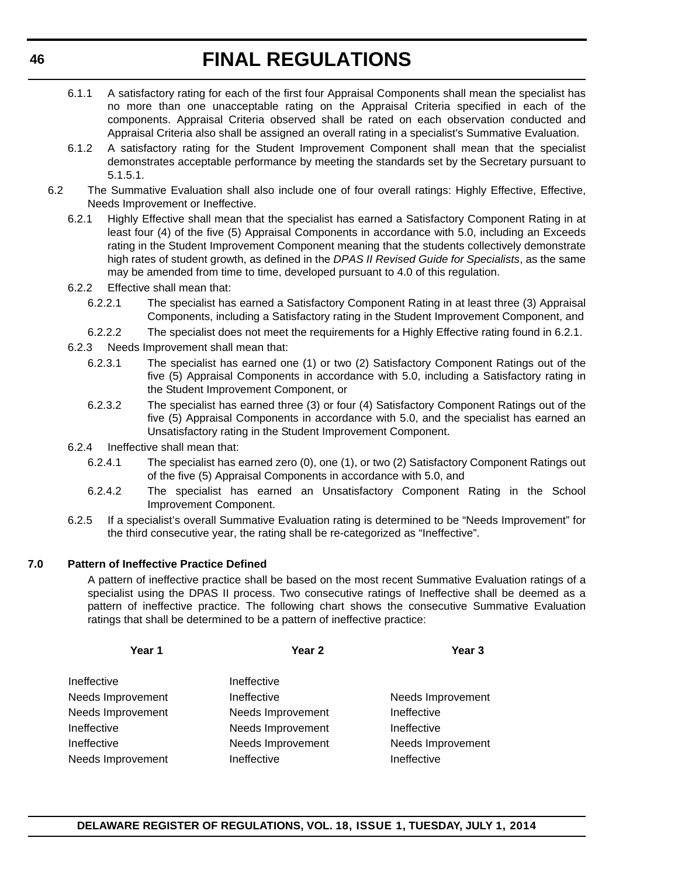- 6.1.1 A satisfactory rating for each of the first four Appraisal Components shall mean the specialist has no more than one unacceptable rating on the Appraisal Criteria specified in each of the components. Appraisal Criteria observed shall be rated on each observation conducted and Appraisal Criteria also shall be assigned an overall rating in a specialist's Summative Evaluation.
- 6.1.2 A satisfactory rating for the Student Improvement Component shall mean that the specialist demonstrates acceptable performance by meeting the standards set by the Secretary pursuant to 5.1.5.1.
- 6.2 The Summative Evaluation shall also include one of four overall ratings: Highly Effective, Effective, Needs Improvement or Ineffective.
	- 6.2.1 Highly Effective shall mean that the specialist has earned a Satisfactory Component Rating in at least four (4) of the five (5) Appraisal Components in accordance with 5.0, including an Exceeds rating in the Student Improvement Component meaning that the students collectively demonstrate high rates of student growth, as defined in the *DPAS II Revised Guide for Specialists*, as the same may be amended from time to time, developed pursuant to 4.0 of this regulation.
	- 6.2.2 Effective shall mean that:
		- 6.2.2.1 The specialist has earned a Satisfactory Component Rating in at least three (3) Appraisal Components, including a Satisfactory rating in the Student Improvement Component, and
		- 6.2.2.2 The specialist does not meet the requirements for a Highly Effective rating found in 6.2.1.
	- 6.2.3 Needs Improvement shall mean that:
		- 6.2.3.1 The specialist has earned one (1) or two (2) Satisfactory Component Ratings out of the five (5) Appraisal Components in accordance with 5.0, including a Satisfactory rating in the Student Improvement Component, or
		- 6.2.3.2 The specialist has earned three (3) or four (4) Satisfactory Component Ratings out of the five (5) Appraisal Components in accordance with 5.0, and the specialist has earned an Unsatisfactory rating in the Student Improvement Component.
	- 6.2.4 Ineffective shall mean that:
		- 6.2.4.1 The specialist has earned zero (0), one (1), or two (2) Satisfactory Component Ratings out of the five (5) Appraisal Components in accordance with 5.0, and
		- 6.2.4.2 The specialist has earned an Unsatisfactory Component Rating in the School Improvement Component.
	- 6.2.5 If a specialist's overall Summative Evaluation rating is determined to be "Needs Improvement" for the third consecutive year, the rating shall be re-categorized as "Ineffective".

## **7.0 Pattern of Ineffective Practice Defined**

A pattern of ineffective practice shall be based on the most recent Summative Evaluation ratings of a specialist using the DPAS II process. Two consecutive ratings of Ineffective shall be deemed as a pattern of ineffective practice. The following chart shows the consecutive Summative Evaluation ratings that shall be determined to be a pattern of ineffective practice:

| Year 1            | Year <sub>2</sub> | Year <sub>3</sub> |
|-------------------|-------------------|-------------------|
| Ineffective       | Ineffective       |                   |
| Needs Improvement | Ineffective       | Needs Improvement |
| Needs Improvement | Needs Improvement | Ineffective       |
| Ineffective       | Needs Improvement | Ineffective       |
| Ineffective       | Needs Improvement | Needs Improvement |
| Needs Improvement | Ineffective       | Ineffective       |
|                   |                   |                   |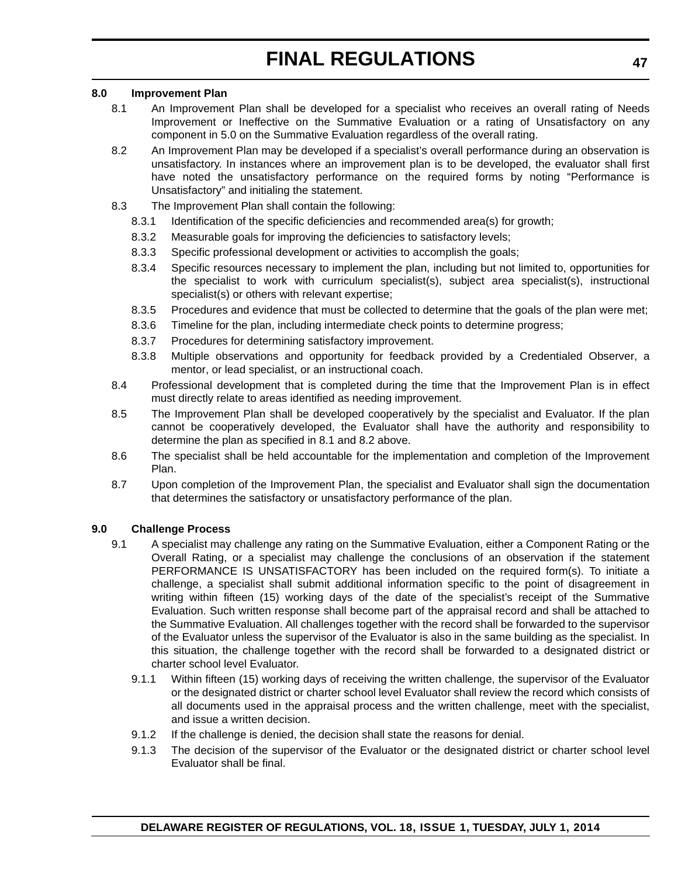## **8.0 Improvement Plan**

- 8.1 An Improvement Plan shall be developed for a specialist who receives an overall rating of Needs Improvement or Ineffective on the Summative Evaluation or a rating of Unsatisfactory on any component in 5.0 on the Summative Evaluation regardless of the overall rating.
- 8.2 An Improvement Plan may be developed if a specialist's overall performance during an observation is unsatisfactory. In instances where an improvement plan is to be developed, the evaluator shall first have noted the unsatisfactory performance on the required forms by noting "Performance is Unsatisfactory" and initialing the statement.
- 8.3 The Improvement Plan shall contain the following:
	- 8.3.1 Identification of the specific deficiencies and recommended area(s) for growth;
	- 8.3.2 Measurable goals for improving the deficiencies to satisfactory levels;
	- 8.3.3 Specific professional development or activities to accomplish the goals;
	- 8.3.4 Specific resources necessary to implement the plan, including but not limited to, opportunities for the specialist to work with curriculum specialist(s), subject area specialist(s), instructional specialist(s) or others with relevant expertise;
	- 8.3.5 Procedures and evidence that must be collected to determine that the goals of the plan were met;
	- 8.3.6 Timeline for the plan, including intermediate check points to determine progress;
	- 8.3.7 Procedures for determining satisfactory improvement.
	- 8.3.8 Multiple observations and opportunity for feedback provided by a Credentialed Observer, a mentor, or lead specialist, or an instructional coach.
- 8.4 Professional development that is completed during the time that the Improvement Plan is in effect must directly relate to areas identified as needing improvement.
- 8.5 The Improvement Plan shall be developed cooperatively by the specialist and Evaluator. If the plan cannot be cooperatively developed, the Evaluator shall have the authority and responsibility to determine the plan as specified in 8.1 and 8.2 above.
- 8.6 The specialist shall be held accountable for the implementation and completion of the Improvement Plan.
- 8.7 Upon completion of the Improvement Plan, the specialist and Evaluator shall sign the documentation that determines the satisfactory or unsatisfactory performance of the plan.

## **9.0 Challenge Process**

- 9.1 A specialist may challenge any rating on the Summative Evaluation, either a Component Rating or the Overall Rating, or a specialist may challenge the conclusions of an observation if the statement PERFORMANCE IS UNSATISFACTORY has been included on the required form(s). To initiate a challenge, a specialist shall submit additional information specific to the point of disagreement in writing within fifteen (15) working days of the date of the specialist's receipt of the Summative Evaluation. Such written response shall become part of the appraisal record and shall be attached to the Summative Evaluation. All challenges together with the record shall be forwarded to the supervisor of the Evaluator unless the supervisor of the Evaluator is also in the same building as the specialist. In this situation, the challenge together with the record shall be forwarded to a designated district or charter school level Evaluator.
	- 9.1.1 Within fifteen (15) working days of receiving the written challenge, the supervisor of the Evaluator or the designated district or charter school level Evaluator shall review the record which consists of all documents used in the appraisal process and the written challenge, meet with the specialist, and issue a written decision.
	- 9.1.2 If the challenge is denied, the decision shall state the reasons for denial.
	- 9.1.3 The decision of the supervisor of the Evaluator or the designated district or charter school level Evaluator shall be final.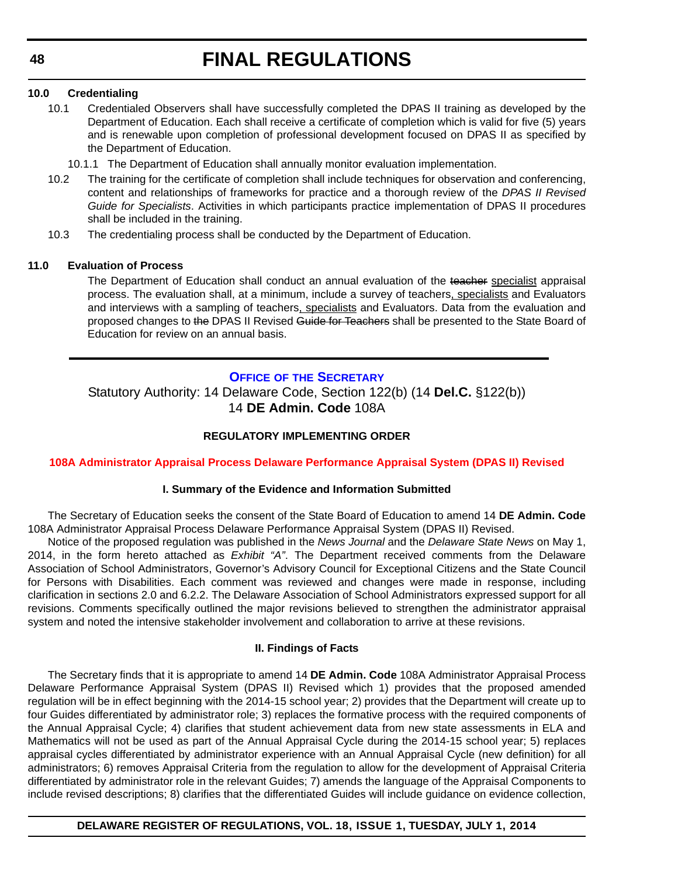# **10.0 Credentialing**

- 10.1 Credentialed Observers shall have successfully completed the DPAS II training as developed by the Department of Education. Each shall receive a certificate of completion which is valid for five (5) years and is renewable upon completion of professional development focused on DPAS II as specified by the Department of Education.
	- 10.1.1 The Department of Education shall annually monitor evaluation implementation.
- 10.2 The training for the certificate of completion shall include techniques for observation and conferencing, content and relationships of frameworks for practice and a thorough review of the *DPAS II Revised Guide for Specialists*. Activities in which participants practice implementation of DPAS II procedures shall be included in the training.
- 10.3 The credentialing process shall be conducted by the Department of Education.

#### **11.0 Evaluation of Process**

The Department of Education shall conduct an annual evaluation of the teacher specialist appraisal process. The evaluation shall, at a minimum, include a survey of teachers, specialists and Evaluators and interviews with a sampling of teachers, specialists and Evaluators. Data from the evaluation and proposed changes to the DPAS II Revised Guide for Teachers shall be presented to the State Board of Education for review on an annual basis.

# **OFFICE OF [THE SECRETARY](http://www.doe.k12.de.us/)**

Statutory Authority: 14 Delaware Code, Section 122(b) (14 **Del.C.** §122(b)) 14 **DE Admin. Code** 108A

# **REGULATORY IMPLEMENTING ORDER**

#### **[108A Administrator Appraisal Process Delaware Performance Appraisal System \(DPAS II\) Revised](#page-3-0)**

#### **I. Summary of the Evidence and Information Submitted**

The Secretary of Education seeks the consent of the State Board of Education to amend 14 **DE Admin. Code** 108A Administrator Appraisal Process Delaware Performance Appraisal System (DPAS II) Revised.

Notice of the proposed regulation was published in the *News Journal* and the *Delaware State News* on May 1, 2014, in the form hereto attached as *Exhibit "A"*. The Department received comments from the Delaware Association of School Administrators, Governor's Advisory Council for Exceptional Citizens and the State Council for Persons with Disabilities. Each comment was reviewed and changes were made in response, including clarification in sections 2.0 and 6.2.2. The Delaware Association of School Administrators expressed support for all revisions. Comments specifically outlined the major revisions believed to strengthen the administrator appraisal system and noted the intensive stakeholder involvement and collaboration to arrive at these revisions.

#### **II. Findings of Facts**

The Secretary finds that it is appropriate to amend 14 **DE Admin. Code** 108A Administrator Appraisal Process Delaware Performance Appraisal System (DPAS II) Revised which 1) provides that the proposed amended regulation will be in effect beginning with the 2014-15 school year; 2) provides that the Department will create up to four Guides differentiated by administrator role; 3) replaces the formative process with the required components of the Annual Appraisal Cycle; 4) clarifies that student achievement data from new state assessments in ELA and Mathematics will not be used as part of the Annual Appraisal Cycle during the 2014-15 school year; 5) replaces appraisal cycles differentiated by administrator experience with an Annual Appraisal Cycle (new definition) for all administrators; 6) removes Appraisal Criteria from the regulation to allow for the development of Appraisal Criteria differentiated by administrator role in the relevant Guides; 7) amends the language of the Appraisal Components to include revised descriptions; 8) clarifies that the differentiated Guides will include guidance on evidence collection,

## **DELAWARE REGISTER OF REGULATIONS, VOL. 18, ISSUE 1, TUESDAY, JULY 1, 2014**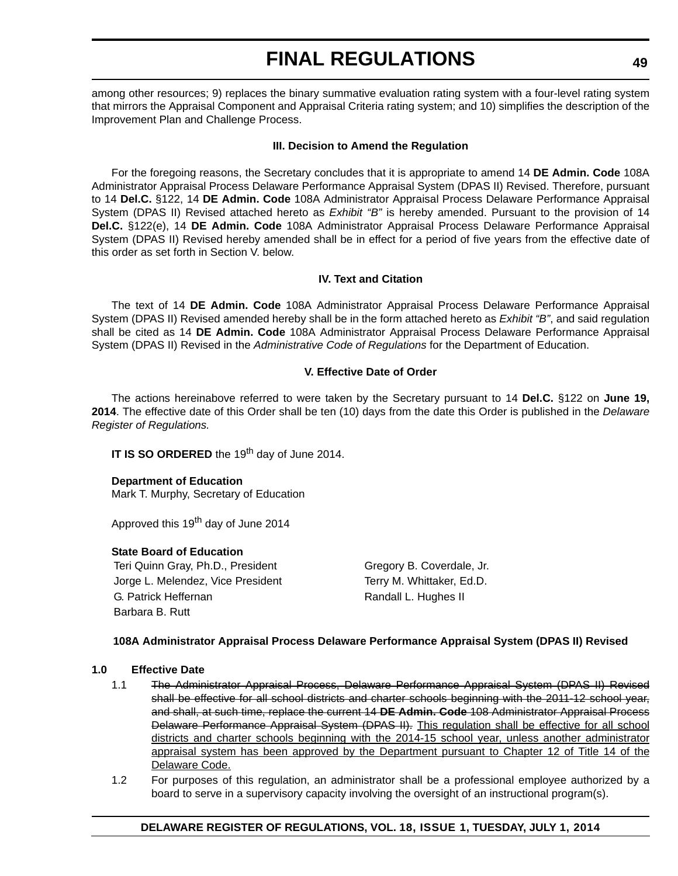among other resources; 9) replaces the binary summative evaluation rating system with a four-level rating system that mirrors the Appraisal Component and Appraisal Criteria rating system; and 10) simplifies the description of the Improvement Plan and Challenge Process.

#### **III. Decision to Amend the Regulation**

For the foregoing reasons, the Secretary concludes that it is appropriate to amend 14 **DE Admin. Code** 108A Administrator Appraisal Process Delaware Performance Appraisal System (DPAS II) Revised. Therefore, pursuant to 14 **Del.C.** §122, 14 **DE Admin. Code** 108A Administrator Appraisal Process Delaware Performance Appraisal System (DPAS II) Revised attached hereto as *Exhibit "B"* is hereby amended. Pursuant to the provision of 14 **Del.C.** §122(e), 14 **DE Admin. Code** 108A Administrator Appraisal Process Delaware Performance Appraisal System (DPAS II) Revised hereby amended shall be in effect for a period of five years from the effective date of this order as set forth in Section V. below.

#### **IV. Text and Citation**

The text of 14 **DE Admin. Code** 108A Administrator Appraisal Process Delaware Performance Appraisal System (DPAS II) Revised amended hereby shall be in the form attached hereto as *Exhibit "B"*, and said regulation shall be cited as 14 **DE Admin. Code** 108A Administrator Appraisal Process Delaware Performance Appraisal System (DPAS II) Revised in the *Administrative Code of Regulations* for the Department of Education.

#### **V. Effective Date of Order**

The actions hereinabove referred to were taken by the Secretary pursuant to 14 **Del.C.** §122 on **June 19, 2014**. The effective date of this Order shall be ten (10) days from the date this Order is published in the *Delaware Register of Regulations.*

**IT IS SO ORDERED** the 19<sup>th</sup> day of June 2014.

#### **Department of Education**

Mark T. Murphy, Secretary of Education

Approved this 19<sup>th</sup> day of June 2014

#### **State Board of Education**

Teri Quinn Gray, Ph.D., President Gregory B. Coverdale, Jr. Jorge L. Melendez, Vice President Terry M. Whittaker, Ed.D. G. Patrick Heffernan **Randall L. Hughes II** Barbara B. Rutt

## **108A Administrator Appraisal Process Delaware Performance Appraisal System (DPAS II) Revised**

#### **1.0 Effective Date**

- 1.1 The Administrator Appraisal Process, Delaware Performance Appraisal System (DPAS II) Revised shall be effective for all school districts and charter schools beginning with the 2011-12 school year, and shall, at such time, replace the current 14 **DE Admin. Code** 108 Administrator Appraisal Process Delaware Performance Appraisal System (DPAS II). This regulation shall be effective for all school districts and charter schools beginning with the 2014-15 school year, unless another administrator appraisal system has been approved by the Department pursuant to Chapter 12 of Title 14 of the Delaware Code.
- 1.2 For purposes of this regulation, an administrator shall be a professional employee authorized by a board to serve in a supervisory capacity involving the oversight of an instructional program(s).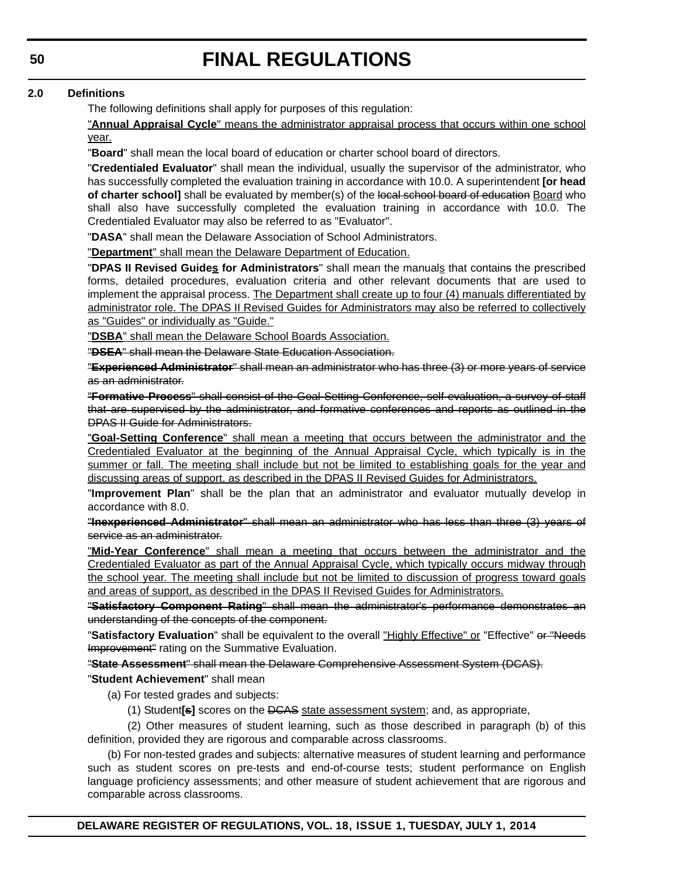## **2.0 Definitions**

The following definitions shall apply for purposes of this regulation:

"**Annual Appraisal Cycle**" means the administrator appraisal process that occurs within one school year.

"**Board**" shall mean the local board of education or charter school board of directors.

"**Credentialed Evaluator**" shall mean the individual, usually the supervisor of the administrator, who has successfully completed the evaluation training in accordance with 10.0. A superintendent **[or head of charter school]** shall be evaluated by member(s) of the local school board of education **Board** who shall also have successfully completed the evaluation training in accordance with 10.0. The Credentialed Evaluator may also be referred to as "Evaluator".

"**DASA**" shall mean the Delaware Association of School Administrators.

"**Department**" shall mean the Delaware Department of Education.

"**DPAS II Revised Guides for Administrators**" shall mean the manuals that contains the prescribed forms, detailed procedures, evaluation criteria and other relevant documents that are used to implement the appraisal process. The Department shall create up to four  $(4)$  manuals differentiated by administrator role. The DPAS II Revised Guides for Administrators may also be referred to collectively as "Guides" or individually as "Guide."

"**DSBA**" shall mean the Delaware School Boards Association.

"**DSEA**" shall mean the Delaware State Education Association.

"**Experienced Administrator**" shall mean an administrator who has three (3) or more years of service as an administrator.

"**Formative Process**" shall consist of the Goal Setting Conference, self evaluation, a survey of staff that are supervised by the administrator, and formative conferences and reports as outlined in the DPAS II Guide for Administrators.

"**Goal-Setting Conference**" shall mean a meeting that occurs between the administrator and the Credentialed Evaluator at the beginning of the Annual Appraisal Cycle, which typically is in the summer or fall. The meeting shall include but not be limited to establishing goals for the year and discussing areas of support, as described in the DPAS II Revised Guides for Administrators.

"**Improvement Plan**" shall be the plan that an administrator and evaluator mutually develop in accordance with 8.0.

"**Inexperienced Administrator**" shall mean an administrator who has less than three (3) years of service as an administrator.

"**Mid-Year Conference**" shall mean a meeting that occurs between the administrator and the Credentialed Evaluator as part of the Annual Appraisal Cycle, which typically occurs midway through the school year. The meeting shall include but not be limited to discussion of progress toward goals and areas of support, as described in the DPAS II Revised Guides for Administrators.

"**Satisfactory Component Rating**" shall mean the administrator's performance demonstrates an understanding of the concepts of the component.

"Satisfactory Evaluation" shall be equivalent to the overall "Highly Effective" or "Effective" or "Needs Improvement" rating on the Summative Evaluation.

"**State Assessment**" shall mean the Delaware Comprehensive Assessment System (DCAS).

"**Student Achievement**" shall mean

(a) For tested grades and subjects:

(1) Student**[s]** scores on the DCAS state assessment system; and, as appropriate,

(2) Other measures of student learning, such as those described in paragraph (b) of this definition, provided they are rigorous and comparable across classrooms.

(b) For non-tested grades and subjects: alternative measures of student learning and performance such as student scores on pre-tests and end-of-course tests; student performance on English language proficiency assessments; and other measure of student achievement that are rigorous and comparable across classrooms.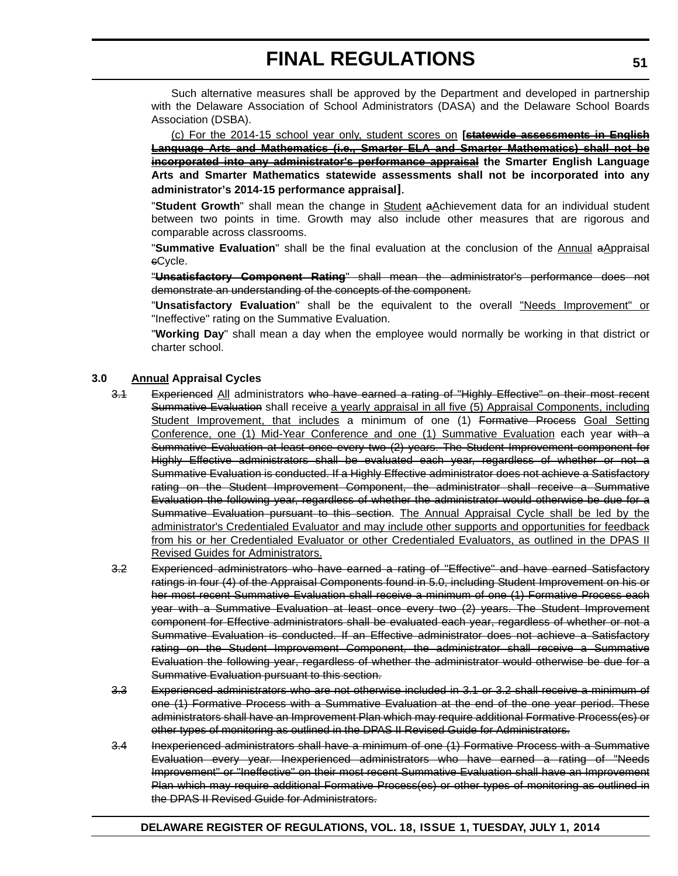Such alternative measures shall be approved by the Department and developed in partnership with the Delaware Association of School Administrators (DASA) and the Delaware School Boards Association (DSBA).

(c) For the 2014-15 school year only, student scores on **[statewide assessments in English Language Arts and Mathematics (i.e., Smarter ELA and Smarter Mathematics) shall not be incorporated into any administrator's performance appraisal the Smarter English Language Arts and Smarter Mathematics statewide assessments shall not be incorporated into any administrator's 2014-15 performance appraisal]**.

"**Student Growth**" shall mean the change in Student aAchievement data for an individual student between two points in time. Growth may also include other measures that are rigorous and comparable across classrooms.

"**Summative Evaluation**" shall be the final evaluation at the conclusion of the Annual aAppraisal eCycle.

"**Unsatisfactory Component Rating**" shall mean the administrator's performance does not demonstrate an understanding of the concepts of the component.

"**Unsatisfactory Evaluation**" shall be the equivalent to the overall "Needs Improvement" or "Ineffective" rating on the Summative Evaluation.

"**Working Day**" shall mean a day when the employee would normally be working in that district or charter school.

# **3.0 Annual Appraisal Cycles**

- 3.1 Experienced All administrators who have earned a rating of "Highly Effective" on their most recent Summative Evaluation shall receive a yearly appraisal in all five (5) Appraisal Components, including Student Improvement, that includes a minimum of one (1) Formative Process Goal Setting Conference, one (1) Mid-Year Conference and one (1) Summative Evaluation each year with a Summative Evaluation at least once every two (2) years. The Student Improvement component for Highly Effective administrators shall be evaluated each year, regardless of whether or not a Summative Evaluation is conducted. If a Highly Effective administrator does not achieve a Satisfactory rating on the Student Improvement Component, the administrator shall receive a Summative Evaluation the following year, regardless of whether the administrator would otherwise be due for a Summative Evaluation pursuant to this section. The Annual Appraisal Cycle shall be led by the administrator's Credentialed Evaluator and may include other supports and opportunities for feedback from his or her Credentialed Evaluator or other Credentialed Evaluators, as outlined in the DPAS II Revised Guides for Administrators.
	- 3.2 Experienced administrators who have earned a rating of "Effective" and have earned Satisfactory ratings in four (4) of the Appraisal Components found in 5.0, including Student Improvement on his or her most recent Summative Evaluation shall receive a minimum of one (1) Formative Process each year with a Summative Evaluation at least once every two (2) years. The Student Improvement component for Effective administrators shall be evaluated each year, regardless of whether or not a Summative Evaluation is conducted. If an Effective administrator does not achieve a Satisfactory rating on the Student Improvement Component, the administrator shall receive a Summative Evaluation the following year, regardless of whether the administrator would otherwise be due for a Summative Evaluation pursuant to this section.
	- 3.3 Experienced administrators who are not otherwise included in 3.1 or 3.2 shall receive a minimum of one (1) Formative Process with a Summative Evaluation at the end of the one year period. These administrators shall have an Improvement Plan which may require additional Formative Process(es) or other types of monitoring as outlined in the DPAS II Revised Guide for Administrators.
	- 3.4 Inexperienced administrators shall have a minimum of one (1) Formative Process with a Summative Evaluation every year. Inexperienced administrators who have earned a rating of "Needs Improvement" or "Ineffective" on their most recent Summative Evaluation shall have an Improvement Plan which may require additional Formative Process(es) or other types of monitoring as outlined in the DPAS II Revised Guide for Administrators.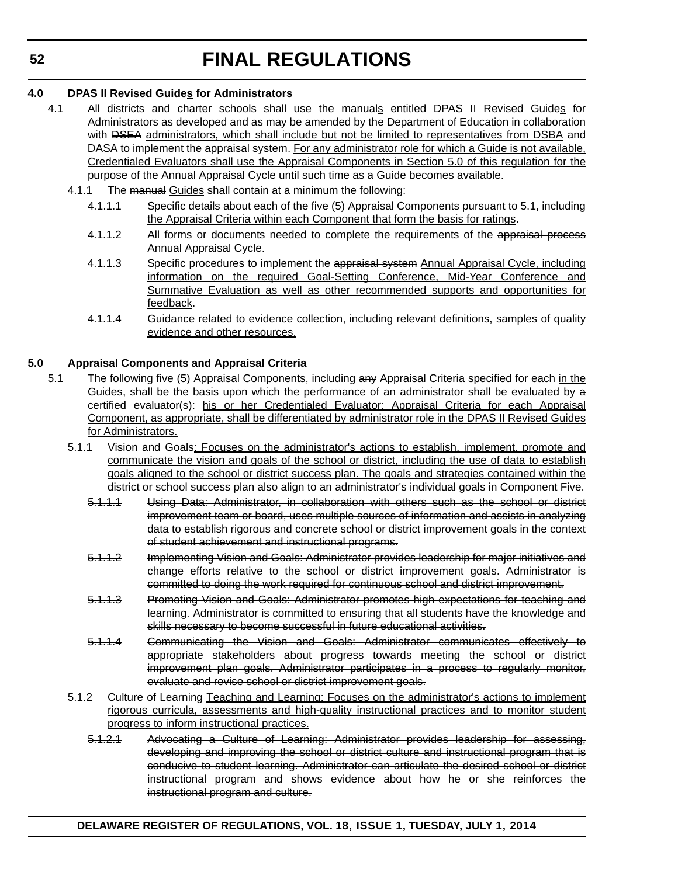# **4.0 DPAS II Revised Guides for Administrators**

- 4.1 All districts and charter schools shall use the manuals entitled DPAS II Revised Guides for Administrators as developed and as may be amended by the Department of Education in collaboration with DSEA administrators, which shall include but not be limited to representatives from DSBA and DASA to implement the appraisal system. For any administrator role for which a Guide is not available, Credentialed Evaluators shall use the Appraisal Components in Section 5.0 of this regulation for the purpose of the Annual Appraisal Cycle until such time as a Guide becomes available.
	- 4.1.1 The manual Guides shall contain at a minimum the following:
		- 4.1.1.1 Specific details about each of the five (5) Appraisal Components pursuant to 5.1, including the Appraisal Criteria within each Component that form the basis for ratings.
		- 4.1.1.2 All forms or documents needed to complete the requirements of the appraisal process Annual Appraisal Cycle.
		- 4.1.1.3 Specific procedures to implement the appraisal system Annual Appraisal Cycle, including information on the required Goal-Setting Conference, Mid-Year Conference and Summative Evaluation as well as other recommended supports and opportunities for feedback.
		- 4.1.1.4 Guidance related to evidence collection, including relevant definitions, samples of quality evidence and other resources.

# **5.0 Appraisal Components and Appraisal Criteria**

- 5.1 The following five (5) Appraisal Components, including any Appraisal Criteria specified for each in the Guides, shall be the basis upon which the performance of an administrator shall be evaluated by a certified evaluator(s): his or her Credentialed Evaluator; Appraisal Criteria for each Appraisal Component, as appropriate, shall be differentiated by administrator role in the DPAS II Revised Guides for Administrators.
	- 5.1.1 Vision and Goals: Focuses on the administrator's actions to establish, implement, promote and communicate the vision and goals of the school or district, including the use of data to establish goals aligned to the school or district success plan. The goals and strategies contained within the district or school success plan also align to an administrator's individual goals in Component Five.
		- 5.1.1.1 Using Data: Administrator, in collaboration with others such as the school or district improvement team or board, uses multiple sources of information and assists in analyzing data to establish rigorous and concrete school or district improvement goals in the context of student achievement and instructional programs.
		- 5.1.1.2 Implementing Vision and Goals: Administrator provides leadership for major initiatives and change efforts relative to the school or district improvement goals. Administrator is committed to doing the work required for continuous school and district improvement.
		- 5.1.1.3 Promoting Vision and Goals: Administrator promotes high expectations for teaching and learning. Administrator is committed to ensuring that all students have the knowledge and skills necessary to become successful in future educational activities.
		- 5.1.1.4 Communicating the Vision and Goals: Administrator communicates effectively to appropriate stakeholders about progress towards meeting the school or district improvement plan goals. Administrator participates in a process to regularly monitor, evaluate and revise school or district improvement goals.
	- 5.1.2 <del>Culture of Learning</del> Teaching and Learning: Focuses on the administrator's actions to implement rigorous curricula, assessments and high-quality instructional practices and to monitor student progress to inform instructional practices.
		- 5.1.2.1 Advocating a Culture of Learning: Administrator provides leadership for assessing, developing and improving the school or district culture and instructional program that is conducive to student learning. Administrator can articulate the desired school or district instructional program and shows evidence about how he or she reinforces the instructional program and culture.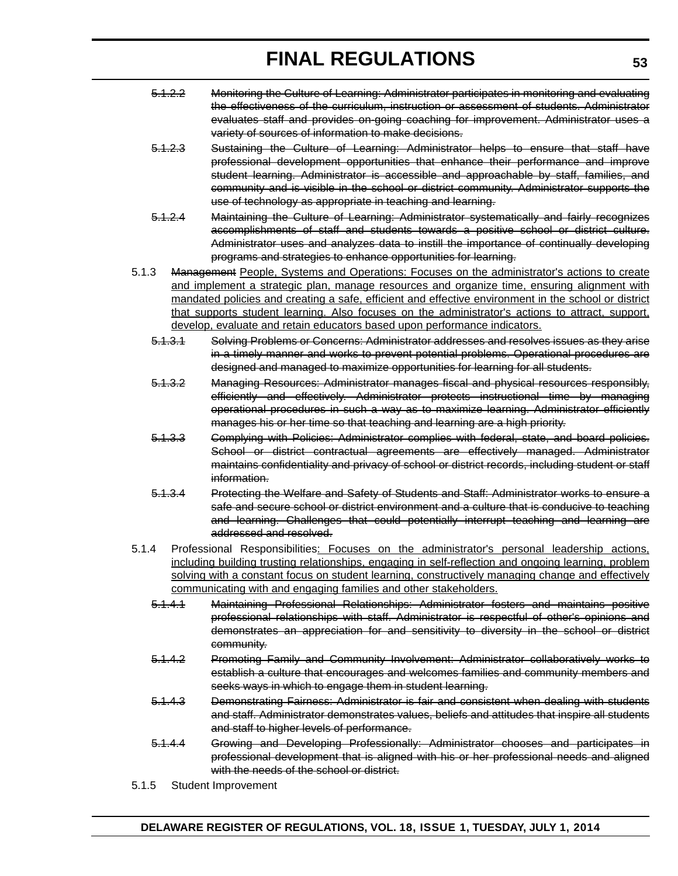- 5.1.2.2 Monitoring the Culture of Learning: Administrator participates in monitoring and evaluating the effectiveness of the curriculum, instruction or assessment of students. Administrator evaluates staff and provides on-going coaching for improvement. Administrator uses a variety of sources of information to make decisions.
- 5.1.2.3 Sustaining the Culture of Learning: Administrator helps to ensure that staff have professional development opportunities that enhance their performance and improve student learning. Administrator is accessible and approachable by staff, families, and community and is visible in the school or district community. Administrator supports the use of technology as appropriate in teaching and learning.
- 5.1.2.4 Maintaining the Culture of Learning: Administrator systematically and fairly recognizes accomplishments of staff and students towards a positive school or district culture. Administrator uses and analyzes data to instill the importance of continually developing programs and strategies to enhance opportunities for learning.
- 5.1.3 Management People, Systems and Operations: Focuses on the administrator's actions to create and implement a strategic plan, manage resources and organize time, ensuring alignment with mandated policies and creating a safe, efficient and effective environment in the school or district that supports student learning. Also focuses on the administrator's actions to attract, support, develop, evaluate and retain educators based upon performance indicators.
	- 5.1.3.1 Solving Problems or Concerns: Administrator addresses and resolves issues as they arise in a timely manner and works to prevent potential problems. Operational procedures are designed and managed to maximize opportunities for learning for all students.
	- 5.1.3.2 Managing Resources: Administrator manages fiscal and physical resources responsibly, efficiently and effectively. Administrator protects instructional time by managing operational procedures in such a way as to maximize learning. Administrator efficiently manages his or her time so that teaching and learning are a high priority.
	- 5.1.3.3 Complying with Policies: Administrator complies with federal, state, and board policies. School or district contractual agreements are effectively managed. Administrator maintains confidentiality and privacy of school or district records, including student or staff information.
	- 5.1.3.4 Protecting the Welfare and Safety of Students and Staff: Administrator works to ensure a safe and secure school or district environment and a culture that is conducive to teaching and learning. Challenges that could potentially interrupt teaching and learning are addressed and resolved.
- 5.1.4 Professional Responsibilities: Focuses on the administrator's personal leadership actions, including building trusting relationships, engaging in self-reflection and ongoing learning, problem solving with a constant focus on student learning, constructively managing change and effectively communicating with and engaging families and other stakeholders.
	- 5.1.4.1 Maintaining Professional Relationships: Administrator fosters and maintains positive professional relationships with staff. Administrator is respectful of other's opinions and demonstrates an appreciation for and sensitivity to diversity in the school or district community.
	- 5.1.4.2 Promoting Family and Community Involvement: Administrator collaboratively works to establish a culture that encourages and welcomes families and community members and seeks ways in which to engage them in student learning.
	- 5.1.4.3 Demonstrating Fairness: Administrator is fair and consistent when dealing with students and staff. Administrator demonstrates values, beliefs and attitudes that inspire all students and staff to higher levels of performance.
	- 5.1.4.4 Growing and Developing Professionally: Administrator chooses and participates in professional development that is aligned with his or her professional needs and aligned with the needs of the school or district.
- 5.1.5 Student Improvement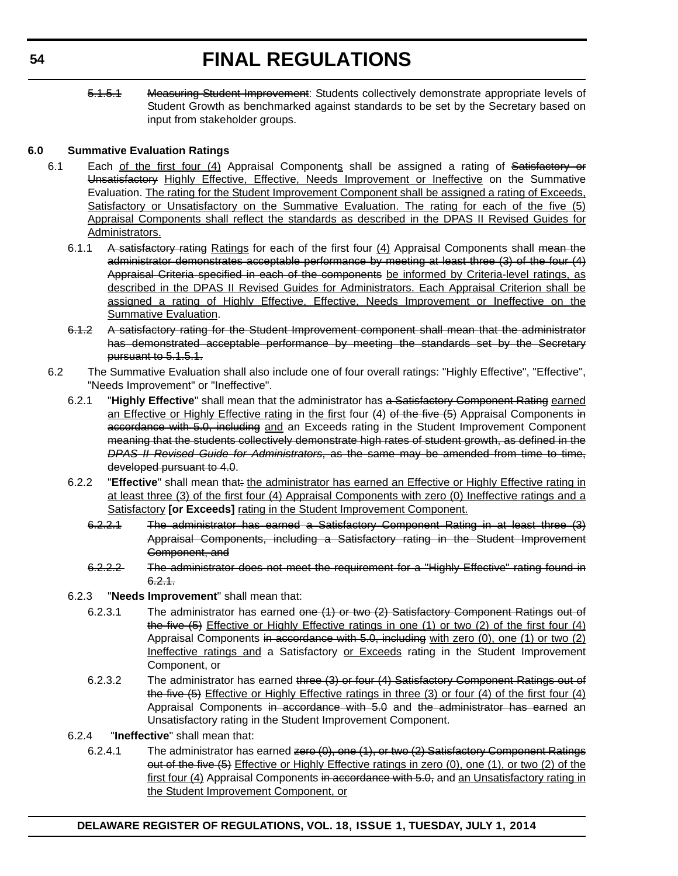5.1.5.1 Measuring Student Improvement: Students collectively demonstrate appropriate levels of Student Growth as benchmarked against standards to be set by the Secretary based on input from stakeholder groups.

# **6.0 Summative Evaluation Ratings**

- 6.1 Each of the first four (4) Appraisal Components shall be assigned a rating of Satisfactory or Unsatisfactory Highly Effective, Effective, Needs Improvement or Ineffective on the Summative Evaluation. The rating for the Student Improvement Component shall be assigned a rating of Exceeds, Satisfactory or Unsatisfactory on the Summative Evaluation. The rating for each of the five (5) Appraisal Components shall reflect the standards as described in the DPAS II Revised Guides for Administrators.
	- 6.1.1 A satisfactory rating Ratings for each of the first four  $(4)$  Appraisal Components shall mean the administrator demonstrates acceptable performance by meeting at least three (3) of the four (4) Appraisal Criteria specified in each of the components be informed by Criteria-level ratings, as described in the DPAS II Revised Guides for Administrators. Each Appraisal Criterion shall be assigned a rating of Highly Effective, Effective, Needs Improvement or Ineffective on the Summative Evaluation.
	- 6.1.2 A satisfactory rating for the Student Improvement component shall mean that the administrator has demonstrated acceptable performance by meeting the standards set by the Secretary pursuant to 5.1.5.1.
- 6.2 The Summative Evaluation shall also include one of four overall ratings: "Highly Effective", "Effective", "Needs Improvement" or "Ineffective".
	- 6.2.1 "**Highly Effective**" shall mean that the administrator has a Satisfactory Component Rating earned an Effective or Highly Effective rating in the first four (4) of the five (5) Appraisal Components in accordance with 5.0, including and an Exceeds rating in the Student Improvement Component meaning that the students collectively demonstrate high rates of student growth, as defined in the *DPAS II Revised Guide for Administrators*, as the same may be amended from time to time, developed pursuant to 4.0.
	- 6.2.2 "**Effective**" shall mean that: the administrator has earned an Effective or Highly Effective rating in at least three (3) of the first four (4) Appraisal Components with zero (0) Ineffective ratings and a Satisfactory **[or Exceeds]** rating in the Student Improvement Component.
		- 6.2.2.1 The administrator has earned a Satisfactory Component Rating in at least three (3) Appraisal Components, including a Satisfactory rating in the Student Improvement Component, and
		- 6.2.2.2 The administrator does not meet the requirement for a "Highly Effective" rating found in 6.2.1.

# 6.2.3 "**Needs Improvement**" shall mean that:

- 6.2.3.1 The administrator has earned one (1) or two (2) Satisfactory Component Ratings out of the five (5) Effective or Highly Effective ratings in one (1) or two (2) of the first four (4) Appraisal Components in accordance with 5.0, including with zero (0), one (1) or two (2) Ineffective ratings and a Satisfactory or Exceeds rating in the Student Improvement Component, or
- 6.2.3.2 The administrator has earned three (3) or four (4) Satisfactory Component Ratings out of the five (5) Effective or Highly Effective ratings in three (3) or four (4) of the first four (4) Appraisal Components in accordance with 5.0 and the administrator has earned an Unsatisfactory rating in the Student Improvement Component.
- 6.2.4 "**Ineffective**" shall mean that:
	- 6.2.4.1 The administrator has earned zero (0), one (1), or two (2) Satisfactory Component Ratings out of the five (5) Effective or Highly Effective ratings in zero (0), one (1), or two (2) of the first four (4) Appraisal Components in accordance with 5.0, and an Unsatisfactory rating in the Student Improvement Component, or

# **54**

## **DELAWARE REGISTER OF REGULATIONS, VOL. 18, ISSUE 1, TUESDAY, JULY 1, 2014**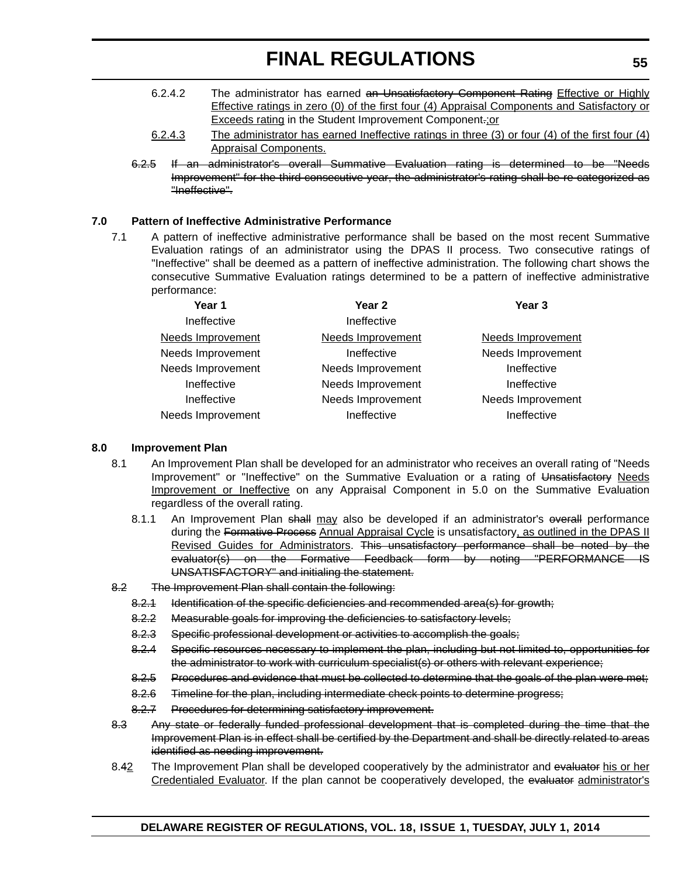- 6.2.4.2 The administrator has earned an Unsatisfactory Component Rating Effective or Highly Effective ratings in zero (0) of the first four (4) Appraisal Components and Satisfactory or Exceeds rating in the Student Improvement Component.;or
- 6.2.4.3 The administrator has earned Ineffective ratings in three (3) or four (4) of the first four (4) Appraisal Components.
- 6.2.5 If an administrator's overall Summative Evaluation rating is determined to be "Needs Improvement" for the third consecutive year, the administrator's rating shall be re-categorized as "Ineffective".

## **7.0 Pattern of Ineffective Administrative Performance**

7.1 A pattern of ineffective administrative performance shall be based on the most recent Summative Evaluation ratings of an administrator using the DPAS II process. Two consecutive ratings of "Ineffective" shall be deemed as a pattern of ineffective administration. The following chart shows the consecutive Summative Evaluation ratings determined to be a pattern of ineffective administrative performance:

| Year 1                   | Year <sub>2</sub>        | Year <sub>3</sub>        |  |
|--------------------------|--------------------------|--------------------------|--|
| Ineffective              | Ineffective              |                          |  |
| <b>Needs Improvement</b> | <b>Needs Improvement</b> | <b>Needs Improvement</b> |  |
| Needs Improvement        | Ineffective              | Needs Improvement        |  |
| Needs Improvement        | Needs Improvement        | Ineffective              |  |
| Ineffective              | Needs Improvement        | Ineffective              |  |
| Ineffective              | Needs Improvement        | Needs Improvement        |  |
| Needs Improvement        | Ineffective              | Ineffective              |  |

#### **8.0 Improvement Plan**

- 8.1 An Improvement Plan shall be developed for an administrator who receives an overall rating of "Needs Improvement" or "Ineffective" on the Summative Evaluation or a rating of Unsatisfactory Needs Improvement or Ineffective on any Appraisal Component in 5.0 on the Summative Evaluation regardless of the overall rating.
	- 8.1.1 An Improvement Plan shall may also be developed if an administrator's everall performance during the Formative Process Annual Appraisal Cycle is unsatisfactory, as outlined in the DPAS II Revised Guides for Administrators. This unsatisfactory performance shall be noted by the evaluator(s) on the Formative Feedback form by noting "PERFORMANCE IS UNSATISFACTORY" and initialing the statement.
- 8.2 The Improvement Plan shall contain the following:
	- 8.2.1 Identification of the specific deficiencies and recommended area(s) for growth;
	- 8.2.2 Measurable goals for improving the deficiencies to satisfactory levels;
	- 8.2.3 Specific professional development or activities to accomplish the goals;
	- 8.2.4 Specific resources necessary to implement the plan, including but not limited to, opportunities for the administrator to work with curriculum specialist(s) or others with relevant experience;
	- 8.2.5 Procedures and evidence that must be collected to determine that the goals of the plan were met;
	- 8.2.6 Timeline for the plan, including intermediate check points to determine progress;
	- 8.2.7 Procedures for determining satisfactory improvement.
- 8.3 Any state or federally funded professional development that is completed during the time that the Improvement Plan is in effect shall be certified by the Department and shall be directly related to areas identified as needing improvement.
- 8.42 The Improvement Plan shall be developed cooperatively by the administrator and evaluator his or her Credentialed Evaluator. If the plan cannot be cooperatively developed, the evaluator administrator's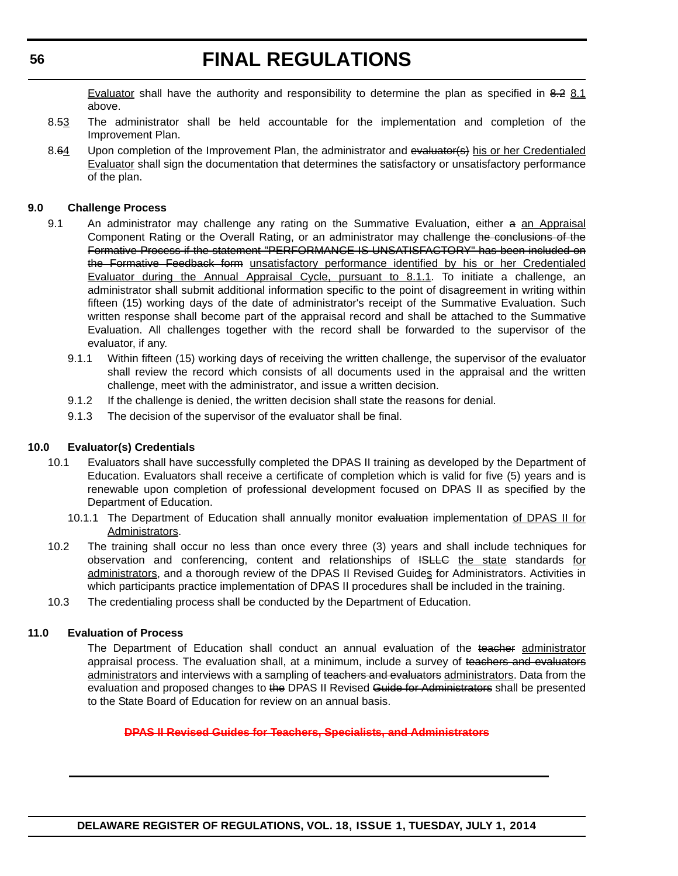Evaluator shall have the authority and responsibility to determine the plan as specified in 8.2 8.1 above.

- 8.53 The administrator shall be held accountable for the implementation and completion of the Improvement Plan.
- 8.64 Upon completion of the Improvement Plan, the administrator and evaluator(s) his or her Credentialed Evaluator shall sign the documentation that determines the satisfactory or unsatisfactory performance of the plan.

### **9.0 Challenge Process**

- 9.1 An administrator may challenge any rating on the Summative Evaluation, either a an Appraisal Component Rating or the Overall Rating, or an administrator may challenge the conclusions of the Formative Process if the statement "PERFORMANCE IS UNSATISFACTORY" has been included on the Formative Feedback form unsatisfactory performance identified by his or her Credentialed Evaluator during the Annual Appraisal Cycle, pursuant to 8.1.1. To initiate a challenge, an administrator shall submit additional information specific to the point of disagreement in writing within fifteen (15) working days of the date of administrator's receipt of the Summative Evaluation. Such written response shall become part of the appraisal record and shall be attached to the Summative Evaluation. All challenges together with the record shall be forwarded to the supervisor of the evaluator, if any.
	- 9.1.1 Within fifteen (15) working days of receiving the written challenge, the supervisor of the evaluator shall review the record which consists of all documents used in the appraisal and the written challenge, meet with the administrator, and issue a written decision.
	- 9.1.2 If the challenge is denied, the written decision shall state the reasons for denial.
	- 9.1.3 The decision of the supervisor of the evaluator shall be final.

## **10.0 Evaluator(s) Credentials**

- 10.1 Evaluators shall have successfully completed the DPAS II training as developed by the Department of Education. Evaluators shall receive a certificate of completion which is valid for five (5) years and is renewable upon completion of professional development focused on DPAS II as specified by the Department of Education.
	- 10.1.1 The Department of Education shall annually monitor evaluation implementation of DPAS II for Administrators.
- 10.2 The training shall occur no less than once every three (3) years and shall include techniques for observation and conferencing, content and relationships of ISLLG the state standards for administrators, and a thorough review of the DPAS II Revised Guides for Administrators. Activities in which participants practice implementation of DPAS II procedures shall be included in the training.
- 10.3 The credentialing process shall be conducted by the Department of Education.

#### **11.0 Evaluation of Process**

The Department of Education shall conduct an annual evaluation of the teacher administrator appraisal process. The evaluation shall, at a minimum, include a survey of teachers and evaluators administrators and interviews with a sampling of teachers and evaluators administrators. Data from the evaluation and proposed changes to the DPAS II Revised Guide for Administrators shall be presented to the State Board of Education for review on an annual basis.

**[DPAS II Revised Guides for Teachers, Specialists, and Administrators](http://regulations.delaware.gov/AdminCode/title14/100/DPASIIRevisedGuides.pdf)**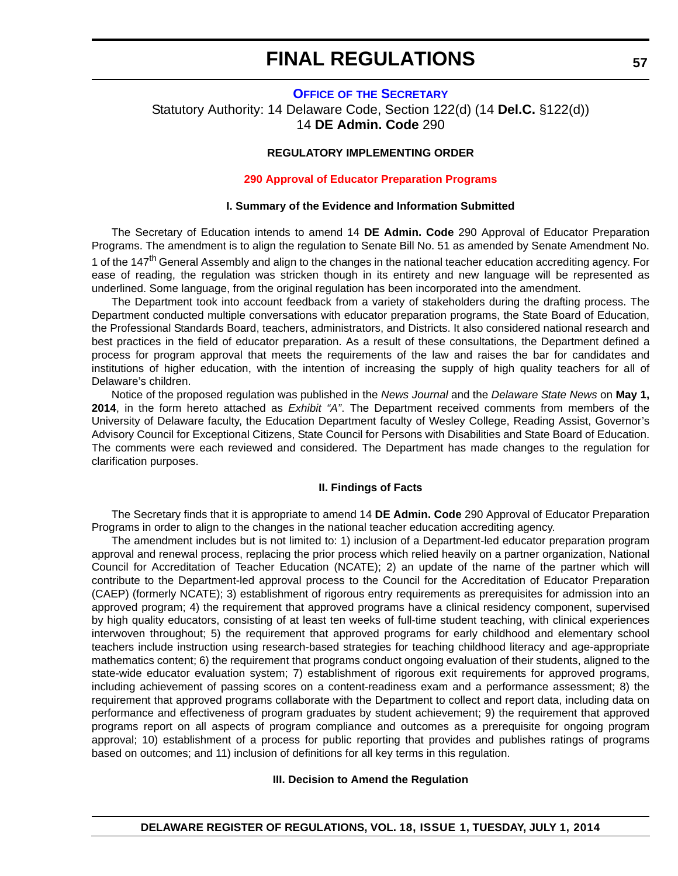#### **OFFICE OF [THE SECRETARY](http://www.doe.k12.de.us/)**

Statutory Authority: 14 Delaware Code, Section 122(d) (14 **Del.C.** §122(d)) 14 **DE Admin. Code** 290

#### **REGULATORY IMPLEMENTING ORDER**

#### **[290 Approval of Educator Preparation Programs](#page-3-0)**

#### **I. Summary of the Evidence and Information Submitted**

The Secretary of Education intends to amend 14 **DE Admin. Code** 290 Approval of Educator Preparation Programs. The amendment is to align the regulation to Senate Bill No. 51 as amended by Senate Amendment No. 1 of the 147<sup>th</sup> General Assembly and align to the changes in the national teacher education accrediting agency. For ease of reading, the regulation was stricken though in its entirety and new language will be represented as underlined. Some language, from the original regulation has been incorporated into the amendment.

The Department took into account feedback from a variety of stakeholders during the drafting process. The Department conducted multiple conversations with educator preparation programs, the State Board of Education, the Professional Standards Board, teachers, administrators, and Districts. It also considered national research and best practices in the field of educator preparation. As a result of these consultations, the Department defined a process for program approval that meets the requirements of the law and raises the bar for candidates and institutions of higher education, with the intention of increasing the supply of high quality teachers for all of Delaware's children.

Notice of the proposed regulation was published in the *News Journal* and the *Delaware State News* on **May 1, 2014**, in the form hereto attached as *Exhibit "A"*. The Department received comments from members of the University of Delaware faculty, the Education Department faculty of Wesley College, Reading Assist, Governor's Advisory Council for Exceptional Citizens, State Council for Persons with Disabilities and State Board of Education. The comments were each reviewed and considered. The Department has made changes to the regulation for clarification purposes.

#### **II. Findings of Facts**

The Secretary finds that it is appropriate to amend 14 **DE Admin. Code** 290 Approval of Educator Preparation Programs in order to align to the changes in the national teacher education accrediting agency.

The amendment includes but is not limited to: 1) inclusion of a Department-led educator preparation program approval and renewal process, replacing the prior process which relied heavily on a partner organization, National Council for Accreditation of Teacher Education (NCATE); 2) an update of the name of the partner which will contribute to the Department-led approval process to the Council for the Accreditation of Educator Preparation (CAEP) (formerly NCATE); 3) establishment of rigorous entry requirements as prerequisites for admission into an approved program; 4) the requirement that approved programs have a clinical residency component, supervised by high quality educators, consisting of at least ten weeks of full-time student teaching, with clinical experiences interwoven throughout; 5) the requirement that approved programs for early childhood and elementary school teachers include instruction using research-based strategies for teaching childhood literacy and age-appropriate mathematics content; 6) the requirement that programs conduct ongoing evaluation of their students, aligned to the state-wide educator evaluation system; 7) establishment of rigorous exit requirements for approved programs, including achievement of passing scores on a content-readiness exam and a performance assessment; 8) the requirement that approved programs collaborate with the Department to collect and report data, including data on performance and effectiveness of program graduates by student achievement; 9) the requirement that approved programs report on all aspects of program compliance and outcomes as a prerequisite for ongoing program approval; 10) establishment of a process for public reporting that provides and publishes ratings of programs based on outcomes; and 11) inclusion of definitions for all key terms in this regulation.

#### **III. Decision to Amend the Regulation**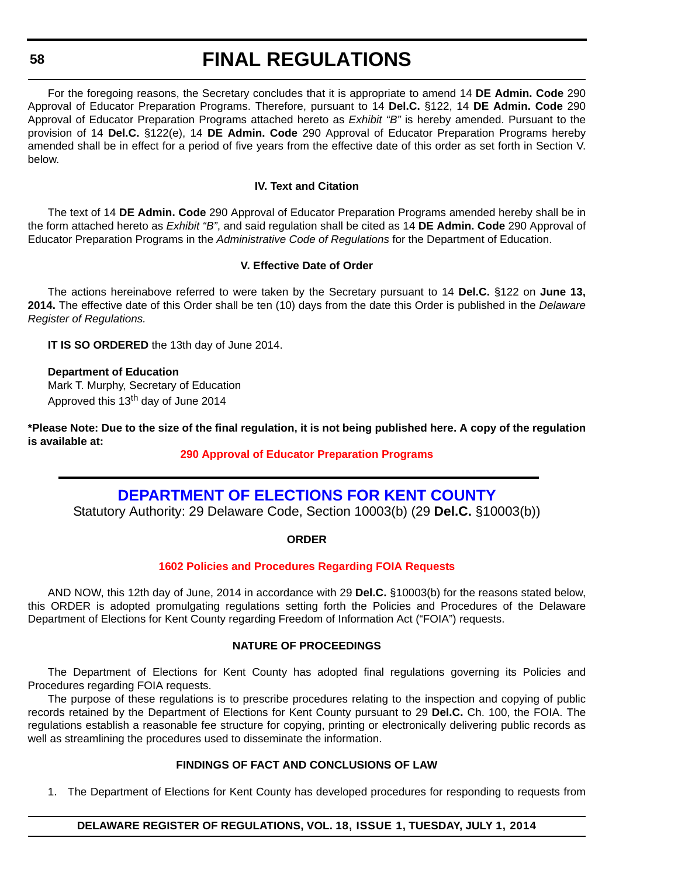#### **58**

# **FINAL REGULATIONS**

For the foregoing reasons, the Secretary concludes that it is appropriate to amend 14 **DE Admin. Code** 290 Approval of Educator Preparation Programs. Therefore, pursuant to 14 **Del.C.** §122, 14 **DE Admin. Code** 290 Approval of Educator Preparation Programs attached hereto as *Exhibit "B"* is hereby amended. Pursuant to the provision of 14 **Del.C.** §122(e), 14 **DE Admin. Code** 290 Approval of Educator Preparation Programs hereby amended shall be in effect for a period of five years from the effective date of this order as set forth in Section V. below.

#### **IV. Text and Citation**

The text of 14 **DE Admin. Code** 290 Approval of Educator Preparation Programs amended hereby shall be in the form attached hereto as *Exhibit "B"*, and said regulation shall be cited as 14 **DE Admin. Code** 290 Approval of Educator Preparation Programs in the *Administrative Code of Regulations* for the Department of Education.

#### **V. Effective Date of Order**

The actions hereinabove referred to were taken by the Secretary pursuant to 14 **Del.C.** §122 on **June 13, 2014.** The effective date of this Order shall be ten (10) days from the date this Order is published in the *Delaware Register of Regulations.*

**IT IS SO ORDERED** the 13th day of June 2014.

#### **Department of Education**

Mark T. Murphy, Secretary of Education Approved this 13<sup>th</sup> day of June 2014

**\*Please Note: Due to the size of the final regulation, it is not being published here. A copy of the regulation is available at:**

## **[290 Approval of Educator Preparation Programs](http://regulations.delaware.gov/register/july2014/final/18 DE Reg 57 07-01-14.htm)**

# **[DEPARTMENT OF ELECTIONS FOR KENT COUNTY](http://electionskc.delaware.gov/)**

Statutory Authority: 29 Delaware Code, Section 10003(b) (29 **Del.C.** §10003(b))

#### **ORDER**

#### **[1602 Policies and Procedures Regarding FOIA Requests](#page-3-0)**

AND NOW, this 12th day of June, 2014 in accordance with 29 **Del.C.** §10003(b) for the reasons stated below, this ORDER is adopted promulgating regulations setting forth the Policies and Procedures of the Delaware Department of Elections for Kent County regarding Freedom of Information Act ("FOIA") requests.

#### **NATURE OF PROCEEDINGS**

The Department of Elections for Kent County has adopted final regulations governing its Policies and Procedures regarding FOIA requests.

The purpose of these regulations is to prescribe procedures relating to the inspection and copying of public records retained by the Department of Elections for Kent County pursuant to 29 **Del.C.** Ch. 100, the FOIA. The regulations establish a reasonable fee structure for copying, printing or electronically delivering public records as well as streamlining the procedures used to disseminate the information.

#### **FINDINGS OF FACT AND CONCLUSIONS OF LAW**

1. The Department of Elections for Kent County has developed procedures for responding to requests from

#### **DELAWARE REGISTER OF REGULATIONS, VOL. 18, ISSUE 1, TUESDAY, JULY 1, 2014**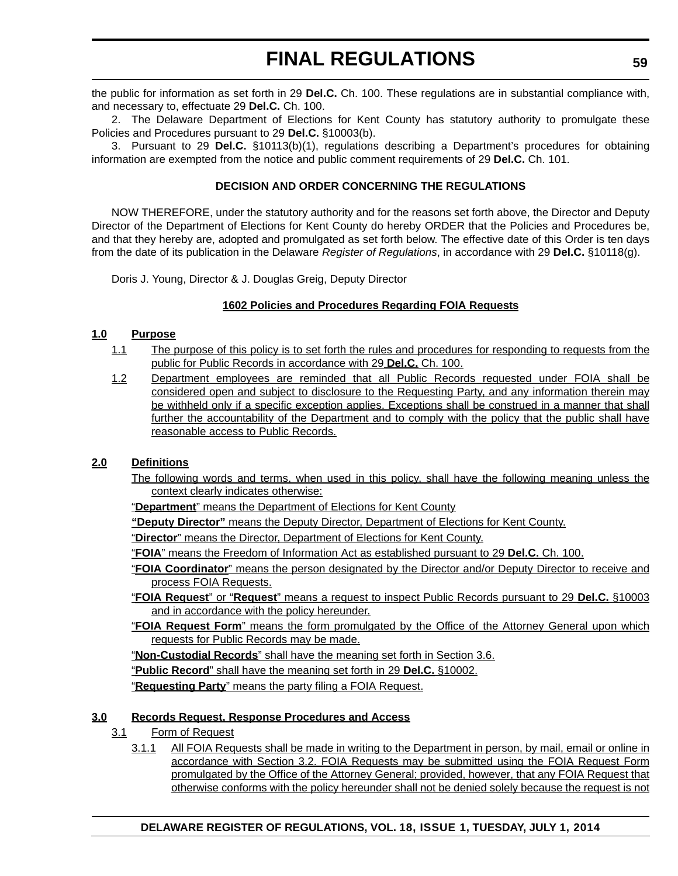the public for information as set forth in 29 **Del.C.** Ch. 100. These regulations are in substantial compliance with, and necessary to, effectuate 29 **Del.C.** Ch. 100.

2. The Delaware Department of Elections for Kent County has statutory authority to promulgate these Policies and Procedures pursuant to 29 **Del.C.** §10003(b).

3. Pursuant to 29 **Del.C.** §10113(b)(1), regulations describing a Department's procedures for obtaining information are exempted from the notice and public comment requirements of 29 **Del.C.** Ch. 101.

# **DECISION AND ORDER CONCERNING THE REGULATIONS**

NOW THEREFORE, under the statutory authority and for the reasons set forth above, the Director and Deputy Director of the Department of Elections for Kent County do hereby ORDER that the Policies and Procedures be, and that they hereby are, adopted and promulgated as set forth below. The effective date of this Order is ten days from the date of its publication in the Delaware *Register of Regulations*, in accordance with 29 **Del.C.** §10118(g).

Doris J. Young, Director & J. Douglas Greig, Deputy Director

## **1602 Policies and Procedures Regarding FOIA Requests**

## **1.0 Purpose**

- 1.1 The purpose of this policy is to set forth the rules and procedures for responding to requests from the public for Public Records in accordance with 29 **Del.C.** Ch. 100.
- 1.2 Department employees are reminded that all Public Records requested under FOIA shall be considered open and subject to disclosure to the Requesting Party, and any information therein may be withheld only if a specific exception applies. Exceptions shall be construed in a manner that shall further the accountability of the Department and to comply with the policy that the public shall have reasonable access to Public Records.

# **2.0 Definitions**

The following words and terms, when used in this policy, shall have the following meaning unless the context clearly indicates otherwise:

"**Department**" means the Department of Elections for Kent County

**"Deputy Director"** means the Deputy Director, Department of Elections for Kent County.

"**Director**" means the Director, Department of Elections for Kent County.

"**FOIA**" means the Freedom of Information Act as established pursuant to 29 **Del.C.** Ch. 100.

- "**FOIA Coordinator**" means the person designated by the Director and/or Deputy Director to receive and process FOIA Requests.
- "**FOIA Request**" or "**Request**" means a request to inspect Public Records pursuant to 29 **Del.C.** §10003 and in accordance with the policy hereunder.

"**FOIA Request Form**" means the form promulgated by the Office of the Attorney General upon which requests for Public Records may be made.

"**Non-Custodial Records**" shall have the meaning set forth in Section 3.6.

"**Public Record**" shall have the meaning set forth in 29 **Del.C.** §10002.

"**Requesting Party**" means the party filing a FOIA Request.

## **3.0 Records Request, Response Procedures and Access**

- 3.1 Form of Request
	- 3.1.1 All FOIA Requests shall be made in writing to the Department in person, by mail, email or online in accordance with Section 3.2. FOIA Requests may be submitted using the FOIA Request Form promulgated by the Office of the Attorney General; provided, however, that any FOIA Request that otherwise conforms with the policy hereunder shall not be denied solely because the request is not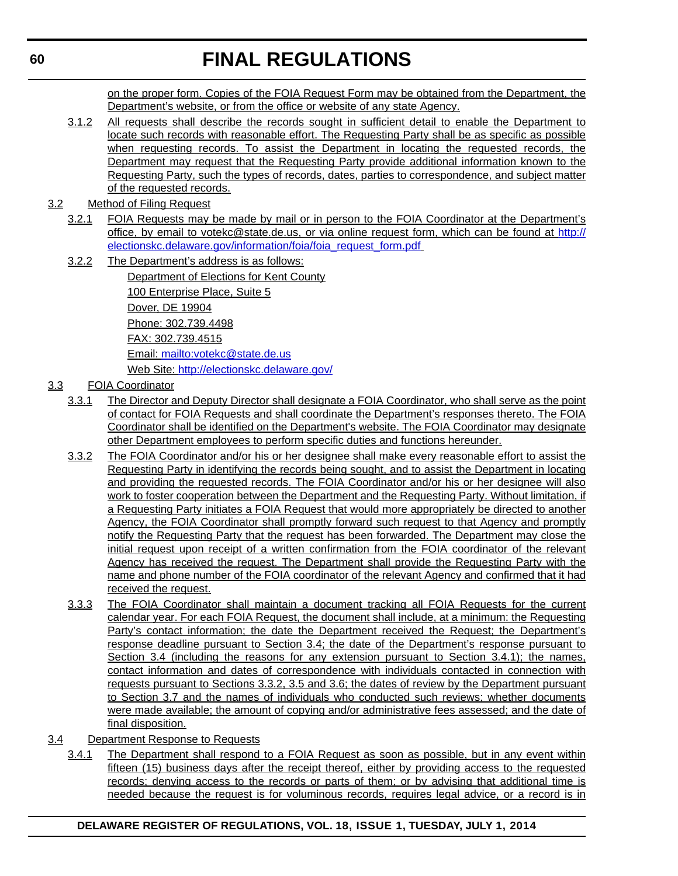on the proper form. Copies of the FOIA Request Form may be obtained from the Department, the Department's website, or from the office or website of any state Agency.

- 3.1.2 All requests shall describe the records sought in sufficient detail to enable the Department to locate such records with reasonable effort. The Requesting Party shall be as specific as possible when requesting records. To assist the Department in locating the requested records, the Department may request that the Requesting Party provide additional information known to the Requesting Party, such the types of records, dates, parties to correspondence, and subject matter of the requested records.
- 3.2 Method of Filing Request
	- 3.2.1 FOIA Requests may be made by mail or in person to the FOIA Coordinator at the Department's office, by email to votekc@state.de.us, or via online request form, which can be found at [http://](http://electionskc.delaware.gov/information/foia/foia_request_form.pdf) [electionskc.delaware.gov/information/foia/foia\\_request\\_form.pdf](http://electionskc.delaware.gov/information/foia/foia_request_form.pdf)
	- 3.2.2 The Department's address is as follows: Department of Elections for Kent County 100 Enterprise Place, Suite 5 Dover, DE 19904 Phone: 302.739.4498 FAX: 302.739.4515 Email: <mailto:votekc@state.de.us>

[Web Site:](http://electionskc.delaware.gov/) http://electionskc.delaware.gov/

- 3.3 FOIA Coordinator
	- 3.3.1 The Director and Deputy Director shall designate a FOIA Coordinator, who shall serve as the point of contact for FOIA Requests and shall coordinate the Department's responses thereto. The FOIA Coordinator shall be identified on the Department's website. The FOIA Coordinator may designate other Department employees to perform specific duties and functions hereunder.
	- 3.3.2 The FOIA Coordinator and/or his or her designee shall make every reasonable effort to assist the Requesting Party in identifying the records being sought, and to assist the Department in locating and providing the requested records. The FOIA Coordinator and/or his or her designee will also work to foster cooperation between the Department and the Requesting Party. Without limitation, if a Requesting Party initiates a FOIA Request that would more appropriately be directed to another Agency, the FOIA Coordinator shall promptly forward such request to that Agency and promptly notify the Requesting Party that the request has been forwarded. The Department may close the initial request upon receipt of a written confirmation from the FOIA coordinator of the relevant Agency has received the request. The Department shall provide the Requesting Party with the name and phone number of the FOIA coordinator of the relevant Agency and confirmed that it had received the request.
	- 3.3.3 The FOIA Coordinator shall maintain a document tracking all FOIA Requests for the current calendar year. For each FOIA Request, the document shall include, at a minimum: the Requesting Party's contact information; the date the Department received the Request; the Department's response deadline pursuant to Section 3.4; the date of the Department's response pursuant to Section 3.4 (including the reasons for any extension pursuant to Section 3.4.1); the names, contact information and dates of correspondence with individuals contacted in connection with requests pursuant to Sections 3.3.2, 3.5 and 3.6; the dates of review by the Department pursuant to Section 3.7 and the names of individuals who conducted such reviews; whether documents were made available; the amount of copying and/or administrative fees assessed; and the date of final disposition.
- 3.4 Department Response to Requests
	- 3.4.1 The Department shall respond to a FOIA Request as soon as possible, but in any event within fifteen (15) business days after the receipt thereof, either by providing access to the requested records; denying access to the records or parts of them; or by advising that additional time is needed because the request is for voluminous records, requires legal advice, or a record is in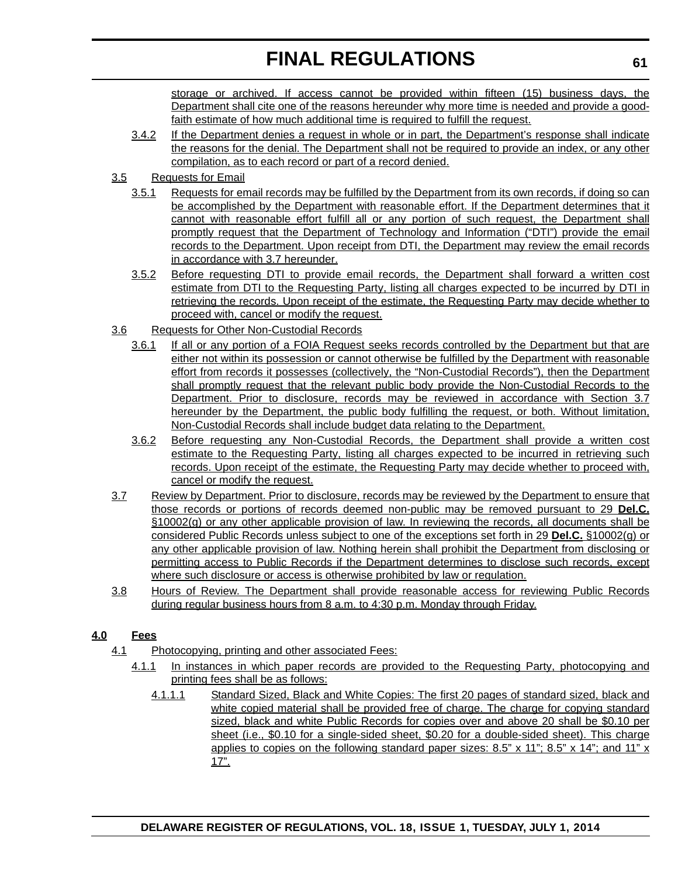storage or archived. If access cannot be provided within fifteen (15) business days, the Department shall cite one of the reasons hereunder why more time is needed and provide a goodfaith estimate of how much additional time is required to fulfill the request.

- 3.4.2 If the Department denies a request in whole or in part, the Department's response shall indicate the reasons for the denial. The Department shall not be required to provide an index, or any other compilation, as to each record or part of a record denied.
- 3.5 Requests for Email
	- 3.5.1 Requests for email records may be fulfilled by the Department from its own records, if doing so can be accomplished by the Department with reasonable effort. If the Department determines that it cannot with reasonable effort fulfill all or any portion of such request, the Department shall promptly request that the Department of Technology and Information ("DTI") provide the email records to the Department. Upon receipt from DTI, the Department may review the email records in accordance with 3.7 hereunder.
	- 3.5.2 Before requesting DTI to provide email records, the Department shall forward a written cost estimate from DTI to the Requesting Party, listing all charges expected to be incurred by DTI in retrieving the records. Upon receipt of the estimate, the Requesting Party may decide whether to proceed with, cancel or modify the request.
- 3.6 Requests for Other Non-Custodial Records
	- 3.6.1 If all or any portion of a FOIA Request seeks records controlled by the Department but that are either not within its possession or cannot otherwise be fulfilled by the Department with reasonable effort from records it possesses (collectively, the "Non-Custodial Records"), then the Department shall promptly request that the relevant public body provide the Non-Custodial Records to the Department. Prior to disclosure, records may be reviewed in accordance with Section 3.7 hereunder by the Department, the public body fulfilling the request, or both. Without limitation, Non-Custodial Records shall include budget data relating to the Department.
	- 3.6.2 Before requesting any Non-Custodial Records, the Department shall provide a written cost estimate to the Requesting Party, listing all charges expected to be incurred in retrieving such records. Upon receipt of the estimate, the Requesting Party may decide whether to proceed with, cancel or modify the request.
- 3.7 Review by Department. Prior to disclosure, records may be reviewed by the Department to ensure that those records or portions of records deemed non-public may be removed pursuant to 29 **Del.C.** §10002(g) or any other applicable provision of law. In reviewing the records, all documents shall be considered Public Records unless subject to one of the exceptions set forth in 29 **Del.C.** §10002(g) or any other applicable provision of law. Nothing herein shall prohibit the Department from disclosing or permitting access to Public Records if the Department determines to disclose such records, except where such disclosure or access is otherwise prohibited by law or regulation.
- 3.8 Hours of Review. The Department shall provide reasonable access for reviewing Public Records during regular business hours from 8 a.m. to 4:30 p.m. Monday through Friday.

# **4.0 Fees**

- 4.1 Photocopying, printing and other associated Fees:
	- 4.1.1 In instances in which paper records are provided to the Requesting Party, photocopying and printing fees shall be as follows:
		- 4.1.1.1 Standard Sized, Black and White Copies: The first 20 pages of standard sized, black and white copied material shall be provided free of charge. The charge for copying standard sized, black and white Public Records for copies over and above 20 shall be \$0.10 per sheet (i.e., \$0.10 for a single-sided sheet, \$0.20 for a double-sided sheet). This charge applies to copies on the following standard paper sizes:  $8.5$ " x  $11$ ";  $8.5$ " x  $14$ "; and  $11$ " x 17".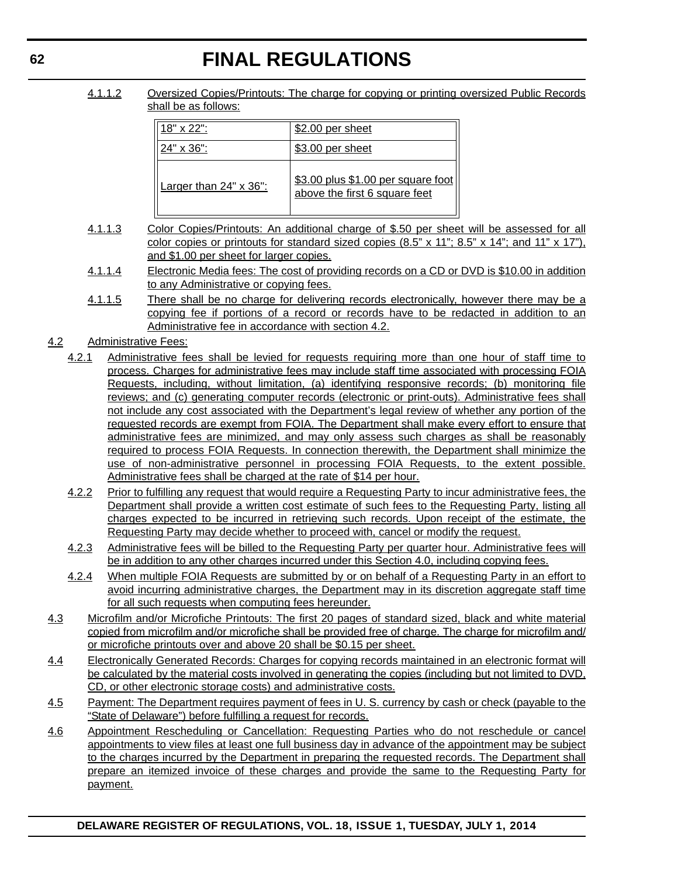4.1.1.2 Oversized Copies/Printouts: The charge for copying or printing oversized Public Records shall be as follows:

| $18" \times 22"$ :             | \$2.00 per sheet                                                    |
|--------------------------------|---------------------------------------------------------------------|
| 24" x 36":                     | \$3.00 per sheet                                                    |
| Larger than $24" \times 36"$ : | \$3.00 plus \$1.00 per square foot<br>above the first 6 square feet |

- 4.1.1.3 Color Copies/Printouts: An additional charge of \$.50 per sheet will be assessed for all color copies or printouts for standard sized copies  $(8.5" \times 11"$ ;  $8.5" \times 14"$ ; and  $11" \times 17"$ ), and \$1.00 per sheet for larger copies.
- 4.1.1.4 Electronic Media fees: The cost of providing records on a CD or DVD is \$10.00 in addition to any Administrative or copying fees.
- 4.1.1.5 There shall be no charge for delivering records electronically, however there may be a copying fee if portions of a record or records have to be redacted in addition to an Administrative fee in accordance with section 4.2.
- 4.2 Administrative Fees:
	- 4.2.1 Administrative fees shall be levied for requests requiring more than one hour of staff time to process. Charges for administrative fees may include staff time associated with processing FOIA Requests, including, without limitation, (a) identifying responsive records; (b) monitoring file reviews; and (c) generating computer records (electronic or print-outs). Administrative fees shall not include any cost associated with the Department's legal review of whether any portion of the requested records are exempt from FOIA. The Department shall make every effort to ensure that administrative fees are minimized, and may only assess such charges as shall be reasonably required to process FOIA Requests. In connection therewith, the Department shall minimize the use of non-administrative personnel in processing FOIA Requests, to the extent possible. Administrative fees shall be charged at the rate of \$14 per hour.
	- 4.2.2 Prior to fulfilling any request that would require a Requesting Party to incur administrative fees, the Department shall provide a written cost estimate of such fees to the Requesting Party, listing all charges expected to be incurred in retrieving such records. Upon receipt of the estimate, the Requesting Party may decide whether to proceed with, cancel or modify the request.
	- 4.2.3 Administrative fees will be billed to the Requesting Party per quarter hour. Administrative fees will be in addition to any other charges incurred under this Section 4.0, including copying fees.
	- 4.2.4 When multiple FOIA Requests are submitted by or on behalf of a Requesting Party in an effort to avoid incurring administrative charges, the Department may in its discretion aggregate staff time for all such requests when computing fees hereunder.
- 4.3 Microfilm and/or Microfiche Printouts: The first 20 pages of standard sized, black and white material copied from microfilm and/or microfiche shall be provided free of charge. The charge for microfilm and/ or microfiche printouts over and above 20 shall be \$0.15 per sheet.
- 4.4 Electronically Generated Records: Charges for copying records maintained in an electronic format will be calculated by the material costs involved in generating the copies (including but not limited to DVD, CD, or other electronic storage costs) and administrative costs.
- 4.5 Payment: The Department requires payment of fees in U. S. currency by cash or check (payable to the "State of Delaware") before fulfilling a request for records.
- 4.6 Appointment Rescheduling or Cancellation: Requesting Parties who do not reschedule or cancel appointments to view files at least one full business day in advance of the appointment may be subject to the charges incurred by the Department in preparing the requested records. The Department shall prepare an itemized invoice of these charges and provide the same to the Requesting Party for payment.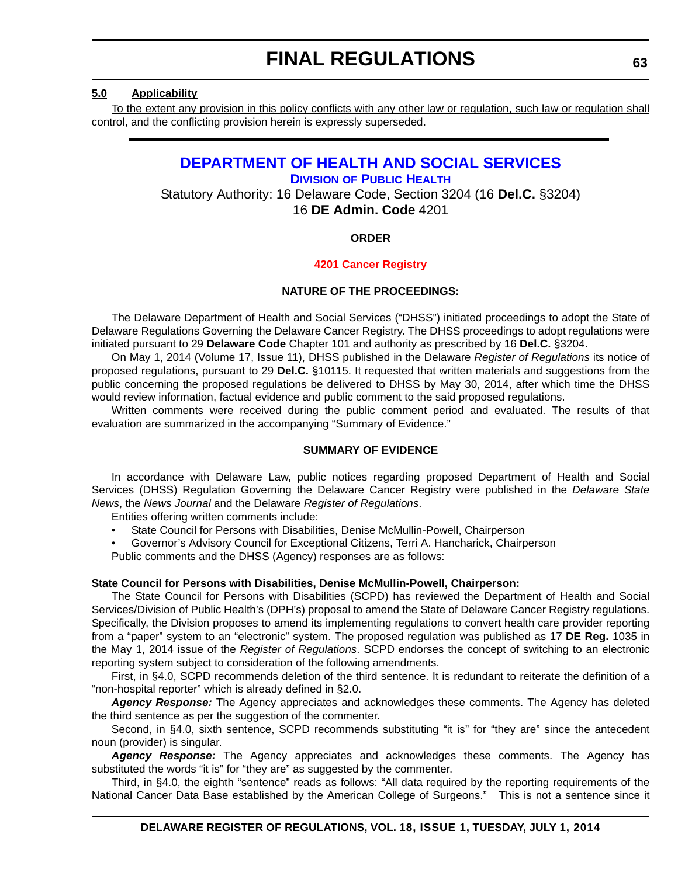## **5.0 Applicability**

To the extent any provision in this policy conflicts with any other law or regulation, such law or regulation shall control, and the conflicting provision herein is expressly superseded.

# **[DEPARTMENT OF HEALTH AND SOCIAL SERVICES](http://www.dhss.delaware.gov/dhss/dph/index.html)**

**DIVISION OF PUBLIC HEALTH**

Statutory Authority: 16 Delaware Code, Section 3204 (16 **Del.C.** §3204) 16 **DE Admin. Code** 4201

# **ORDER**

## **[4201 Cancer Registry](#page-3-0)**

## **NATURE OF THE PROCEEDINGS:**

The Delaware Department of Health and Social Services ("DHSS") initiated proceedings to adopt the State of Delaware Regulations Governing the Delaware Cancer Registry. The DHSS proceedings to adopt regulations were initiated pursuant to 29 **Delaware Code** Chapter 101 and authority as prescribed by 16 **Del.C.** §3204.

On May 1, 2014 (Volume 17, Issue 11), DHSS published in the Delaware *Register of Regulations* its notice of proposed regulations, pursuant to 29 **Del.C.** §10115. It requested that written materials and suggestions from the public concerning the proposed regulations be delivered to DHSS by May 30, 2014, after which time the DHSS would review information, factual evidence and public comment to the said proposed regulations.

Written comments were received during the public comment period and evaluated. The results of that evaluation are summarized in the accompanying "Summary of Evidence."

### **SUMMARY OF EVIDENCE**

In accordance with Delaware Law, public notices regarding proposed Department of Health and Social Services (DHSS) Regulation Governing the Delaware Cancer Registry were published in the *Delaware State News*, the *News Journal* and the Delaware *Register of Regulations*.

Entities offering written comments include:

- State Council for Persons with Disabilities, Denise McMullin-Powell, Chairperson
- Governor's Advisory Council for Exceptional Citizens, Terri A. Hancharick, Chairperson

Public comments and the DHSS (Agency) responses are as follows:

#### **State Council for Persons with Disabilities, Denise McMullin-Powell, Chairperson:**

The State Council for Persons with Disabilities (SCPD) has reviewed the Department of Health and Social Services/Division of Public Health's (DPH's) proposal to amend the State of Delaware Cancer Registry regulations. Specifically, the Division proposes to amend its implementing regulations to convert health care provider reporting from a "paper" system to an "electronic" system. The proposed regulation was published as 17 **DE Reg.** 1035 in the May 1, 2014 issue of the *Register of Regulations*. SCPD endorses the concept of switching to an electronic reporting system subject to consideration of the following amendments.

First, in §4.0, SCPD recommends deletion of the third sentence. It is redundant to reiterate the definition of a "non-hospital reporter" which is already defined in §2.0.

Agency Response: The Agency appreciates and acknowledges these comments. The Agency has deleted the third sentence as per the suggestion of the commenter.

Second, in §4.0, sixth sentence, SCPD recommends substituting "it is" for "they are" since the antecedent noun (provider) is singular.

*Agency Response:* The Agency appreciates and acknowledges these comments. The Agency has substituted the words "it is" for "they are" as suggested by the commenter.

Third, in §4.0, the eighth "sentence" reads as follows: "All data required by the reporting requirements of the National Cancer Data Base established by the American College of Surgeons." This is not a sentence since it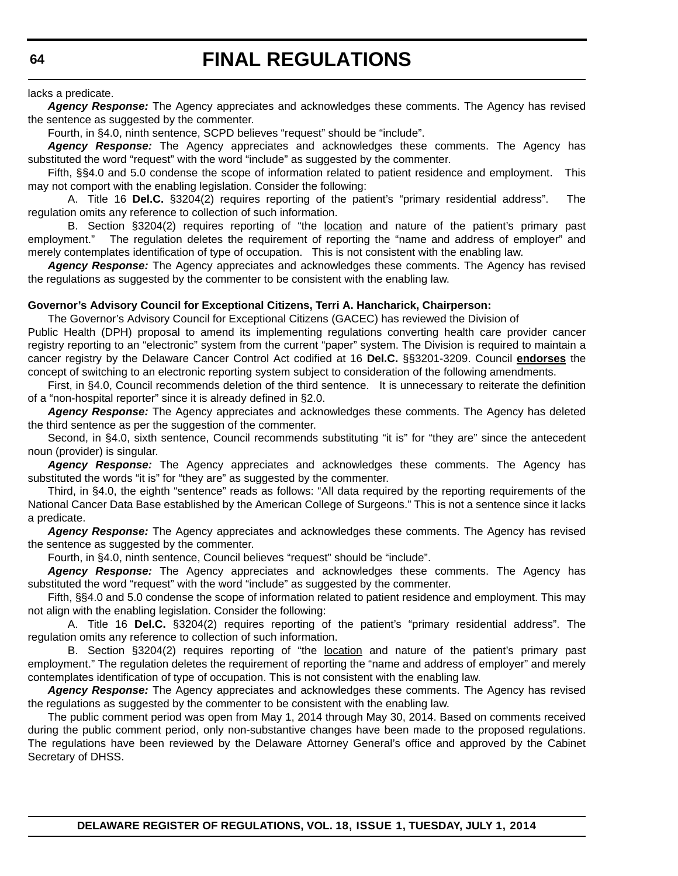lacks a predicate.

*Agency Response:* The Agency appreciates and acknowledges these comments. The Agency has revised the sentence as suggested by the commenter.

Fourth, in §4.0, ninth sentence, SCPD believes "request" should be "include".

*Agency Response:* The Agency appreciates and acknowledges these comments. The Agency has substituted the word "request" with the word "include" as suggested by the commenter.

Fifth, §§4.0 and 5.0 condense the scope of information related to patient residence and employment. This may not comport with the enabling legislation. Consider the following:

A. Title 16 **Del.C.** §3204(2) requires reporting of the patient's "primary residential address". The regulation omits any reference to collection of such information.

B. Section §3204(2) requires reporting of "the location and nature of the patient's primary past employment." The regulation deletes the requirement of reporting the "name and address of employer" and merely contemplates identification of type of occupation. This is not consistent with the enabling law.

*Agency Response:* The Agency appreciates and acknowledges these comments. The Agency has revised the regulations as suggested by the commenter to be consistent with the enabling law.

#### **Governor's Advisory Council for Exceptional Citizens, Terri A. Hancharick, Chairperson:**

The Governor's Advisory Council for Exceptional Citizens (GACEC) has reviewed the Division of

Public Health (DPH) proposal to amend its implementing regulations converting health care provider cancer registry reporting to an "electronic" system from the current "paper" system. The Division is required to maintain a cancer registry by the Delaware Cancer Control Act codified at 16 **Del.C.** §§3201-3209. Council **endorses** the concept of switching to an electronic reporting system subject to consideration of the following amendments.

First, in §4.0, Council recommends deletion of the third sentence. It is unnecessary to reiterate the definition of a "non-hospital reporter" since it is already defined in §2.0.

*Agency Response:* The Agency appreciates and acknowledges these comments. The Agency has deleted the third sentence as per the suggestion of the commenter.

Second, in §4.0, sixth sentence, Council recommends substituting "it is" for "they are" since the antecedent noun (provider) is singular.

*Agency Response:* The Agency appreciates and acknowledges these comments. The Agency has substituted the words "it is" for "they are" as suggested by the commenter.

Third, in §4.0, the eighth "sentence" reads as follows: "All data required by the reporting requirements of the National Cancer Data Base established by the American College of Surgeons." This is not a sentence since it lacks a predicate.

*Agency Response:* The Agency appreciates and acknowledges these comments. The Agency has revised the sentence as suggested by the commenter.

Fourth, in §4.0, ninth sentence, Council believes "request" should be "include".

*Agency Response:* The Agency appreciates and acknowledges these comments. The Agency has substituted the word "request" with the word "include" as suggested by the commenter.

Fifth, §§4.0 and 5.0 condense the scope of information related to patient residence and employment. This may not align with the enabling legislation. Consider the following:

A. Title 16 **Del.C.** §3204(2) requires reporting of the patient's "primary residential address". The regulation omits any reference to collection of such information.

B. Section §3204(2) requires reporting of "the location and nature of the patient's primary past employment." The regulation deletes the requirement of reporting the "name and address of employer" and merely contemplates identification of type of occupation. This is not consistent with the enabling law.

*Agency Response:* The Agency appreciates and acknowledges these comments. The Agency has revised the regulations as suggested by the commenter to be consistent with the enabling law.

The public comment period was open from May 1, 2014 through May 30, 2014. Based on comments received during the public comment period, only non-substantive changes have been made to the proposed regulations. The regulations have been reviewed by the Delaware Attorney General's office and approved by the Cabinet Secretary of DHSS.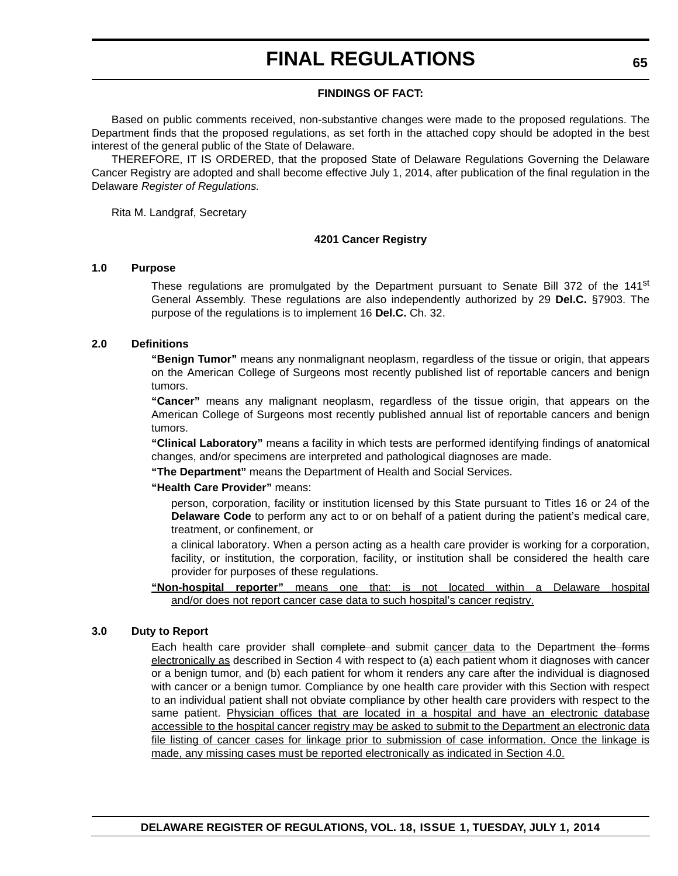#### **FINDINGS OF FACT:**

Based on public comments received, non-substantive changes were made to the proposed regulations. The Department finds that the proposed regulations, as set forth in the attached copy should be adopted in the best interest of the general public of the State of Delaware.

THEREFORE, IT IS ORDERED, that the proposed State of Delaware Regulations Governing the Delaware Cancer Registry are adopted and shall become effective July 1, 2014, after publication of the final regulation in the Delaware *Register of Regulations.*

Rita M. Landgraf, Secretary

#### **4201 Cancer Registry**

#### **1.0 Purpose**

These regulations are promulgated by the Department pursuant to Senate Bill 372 of the 141<sup>st</sup> General Assembly. These regulations are also independently authorized by 29 **Del.C.** §7903. The purpose of the regulations is to implement 16 **Del.C.** Ch. 32.

#### **2.0 Definitions**

**"Benign Tumor"** means any nonmalignant neoplasm, regardless of the tissue or origin, that appears on the American College of Surgeons most recently published list of reportable cancers and benign tumors.

**"Cancer"** means any malignant neoplasm, regardless of the tissue origin, that appears on the American College of Surgeons most recently published annual list of reportable cancers and benign tumors.

**"Clinical Laboratory"** means a facility in which tests are performed identifying findings of anatomical changes, and/or specimens are interpreted and pathological diagnoses are made.

**"The Department"** means the Department of Health and Social Services.

#### **"Health Care Provider"** means:

person, corporation, facility or institution licensed by this State pursuant to Titles 16 or 24 of the **Delaware Code** to perform any act to or on behalf of a patient during the patient's medical care, treatment, or confinement, or

a clinical laboratory. When a person acting as a health care provider is working for a corporation, facility, or institution, the corporation, facility, or institution shall be considered the health care provider for purposes of these regulations.

**"Non-hospital reporter"** means one that: is not located within a Delaware hospital and/or does not report cancer case data to such hospital's cancer registry.

#### **3.0 Duty to Report**

Each health care provider shall complete and submit cancer data to the Department the forms electronically as described in Section 4 with respect to (a) each patient whom it diagnoses with cancer or a benign tumor, and (b) each patient for whom it renders any care after the individual is diagnosed with cancer or a benign tumor. Compliance by one health care provider with this Section with respect to an individual patient shall not obviate compliance by other health care providers with respect to the same patient. Physician offices that are located in a hospital and have an electronic database accessible to the hospital cancer registry may be asked to submit to the Department an electronic data file listing of cancer cases for linkage prior to submission of case information. Once the linkage is made, any missing cases must be reported electronically as indicated in Section 4.0.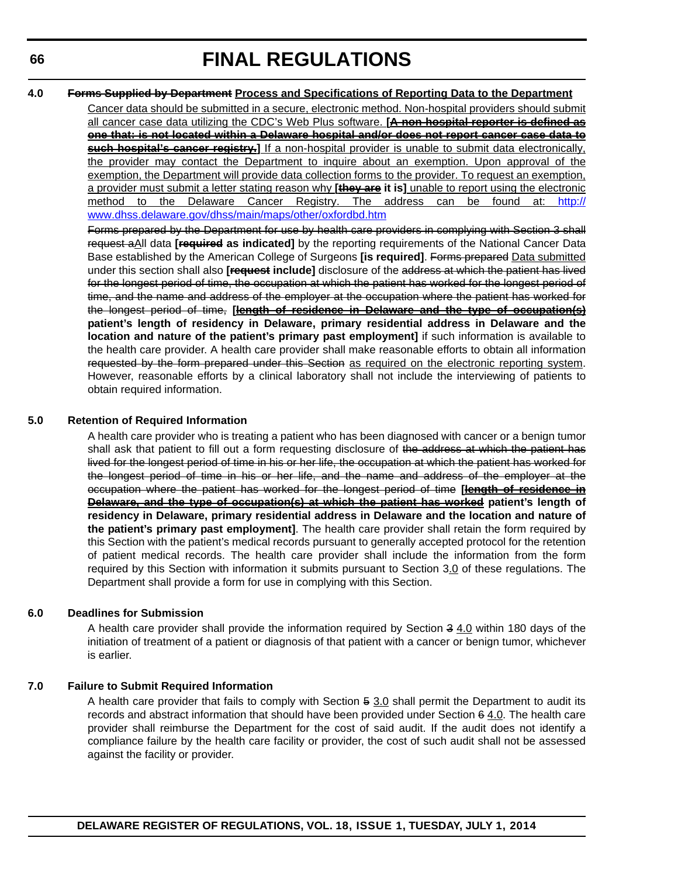#### **4.0 Forms Supplied by Department Process and Specifications of Reporting Data to the Department**

Cancer data should be submitted in a secure, electronic method. Non-hospital providers should submit all cancer case data utilizing the CDC's Web Plus software. **[A non-hospital reporter is defined as one that: is not located within a Delaware hospital and/or does not report cancer case data to such hospital's cancer registry.**] If a non-hospital provider is unable to submit data electronically, the provider may contact the Department to inquire about an exemption. Upon approval of the exemption, the Department will provide data collection forms to the provider. To request an exemption, a provider must submit a letter stating reason why **[they are it is]** unable to report using the electronic method to the Delaware Cancer Registry. The address can be found at: [http://](http://www.dhss.delaware.gov/dhss/main/maps/other/oxfordbd.htm) [www.dhss.delaware.gov/dhss/main/maps/other/oxfordbd.htm](http://www.dhss.delaware.gov/dhss/main/maps/other/oxfordbd.htm)

Forms prepared by the Department for use by health care providers in complying with Section 3 shall request aAll data **[required as indicated]** by the reporting requirements of the National Cancer Data Base established by the American College of Surgeons **[is required]**. Forms prepared Data submitted under this section shall also **[request include]** disclosure of the address at which the patient has lived for the longest period of time, the occupation at which the patient has worked for the longest period of time, and the name and address of the employer at the occupation where the patient has worked for the longest period of time, **[length of residence in Delaware and the type of occupation(s) patient's length of residency in Delaware, primary residential address in Delaware and the location and nature of the patient's primary past employment]** if such information is available to the health care provider. A health care provider shall make reasonable efforts to obtain all information requested by the form prepared under this Section as required on the electronic reporting system. However, reasonable efforts by a clinical laboratory shall not include the interviewing of patients to obtain required information.

## **5.0 Retention of Required Information**

A health care provider who is treating a patient who has been diagnosed with cancer or a benign tumor shall ask that patient to fill out a form requesting disclosure of the address at which the patient has lived for the longest period of time in his or her life, the occupation at which the patient has worked for the longest period of time in his or her life, and the name and address of the employer at the occupation where the patient has worked for the longest period of time **[length of residence in Delaware, and the type of occupation(s) at which the patient has worked patient's length of residency in Delaware, primary residential address in Delaware and the location and nature of the patient's primary past employment]**. The health care provider shall retain the form required by this Section with the patient's medical records pursuant to generally accepted protocol for the retention of patient medical records. The health care provider shall include the information from the form required by this Section with information it submits pursuant to Section 3.0 of these regulations. The Department shall provide a form for use in complying with this Section.

## **6.0 Deadlines for Submission**

A health care provider shall provide the information required by Section 3 4.0 within 180 days of the initiation of treatment of a patient or diagnosis of that patient with a cancer or benign tumor, whichever is earlier.

## **7.0 Failure to Submit Required Information**

A health care provider that fails to comply with Section 5 3.0 shall permit the Department to audit its records and abstract information that should have been provided under Section 6 4.0. The health care provider shall reimburse the Department for the cost of said audit. If the audit does not identify a compliance failure by the health care facility or provider, the cost of such audit shall not be assessed against the facility or provider.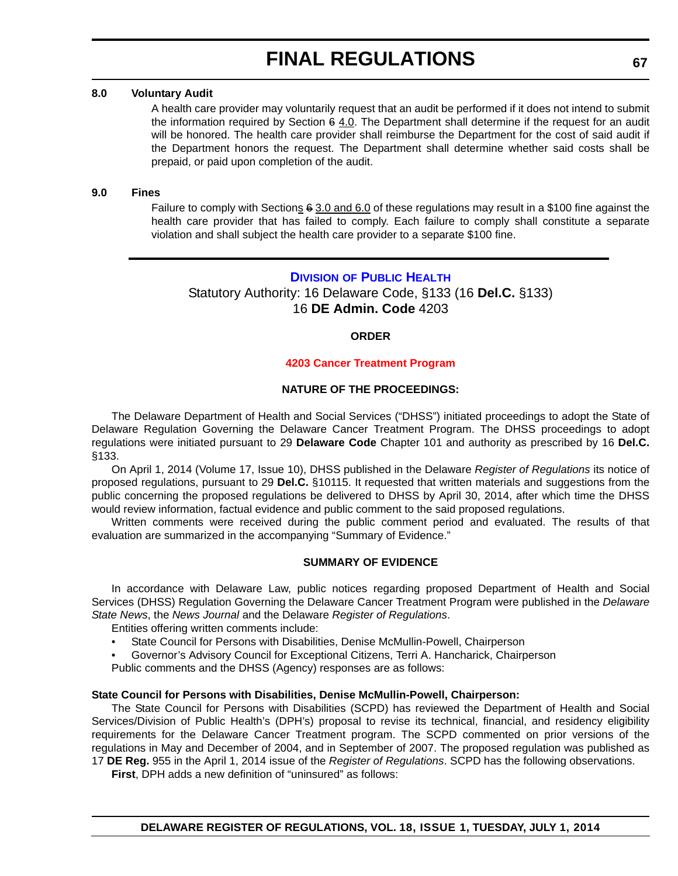#### **8.0 Voluntary Audit**

A health care provider may voluntarily request that an audit be performed if it does not intend to submit the information required by Section  $64.0$ . The Department shall determine if the request for an audit will be honored. The health care provider shall reimburse the Department for the cost of said audit if the Department honors the request. The Department shall determine whether said costs shall be prepaid, or paid upon completion of the audit.

#### **9.0 Fines**

Failure to comply with Sections 6 3.0 and 6.0 of these regulations may result in a \$100 fine against the health care provider that has failed to comply. Each failure to comply shall constitute a separate violation and shall subject the health care provider to a separate \$100 fine.

# **DIVISION [OF PUBLIC HEALTH](http://www.dhss.delaware.gov/dhss/dph/index.html)** Statutory Authority: 16 Delaware Code, §133 (16 **Del.C.** §133) 16 **DE Admin. Code** 4203

# **ORDER**

## **[4203 Cancer Treatment Program](#page-3-0)**

## **NATURE OF THE PROCEEDINGS:**

The Delaware Department of Health and Social Services ("DHSS") initiated proceedings to adopt the State of Delaware Regulation Governing the Delaware Cancer Treatment Program. The DHSS proceedings to adopt regulations were initiated pursuant to 29 **Delaware Code** Chapter 101 and authority as prescribed by 16 **Del.C.** §133.

On April 1, 2014 (Volume 17, Issue 10), DHSS published in the Delaware *Register of Regulations* its notice of proposed regulations, pursuant to 29 **Del.C.** §10115. It requested that written materials and suggestions from the public concerning the proposed regulations be delivered to DHSS by April 30, 2014, after which time the DHSS would review information, factual evidence and public comment to the said proposed regulations.

Written comments were received during the public comment period and evaluated. The results of that evaluation are summarized in the accompanying "Summary of Evidence."

### **SUMMARY OF EVIDENCE**

In accordance with Delaware Law, public notices regarding proposed Department of Health and Social Services (DHSS) Regulation Governing the Delaware Cancer Treatment Program were published in the *Delaware State News*, the *News Journal* and the Delaware *Register of Regulations*.

Entities offering written comments include:

- State Council for Persons with Disabilities, Denise McMullin-Powell, Chairperson
- Governor's Advisory Council for Exceptional Citizens, Terri A. Hancharick, Chairperson

Public comments and the DHSS (Agency) responses are as follows:

#### **State Council for Persons with Disabilities, Denise McMullin-Powell, Chairperson:**

The State Council for Persons with Disabilities (SCPD) has reviewed the Department of Health and Social Services/Division of Public Health's (DPH's) proposal to revise its technical, financial, and residency eligibility requirements for the Delaware Cancer Treatment program. The SCPD commented on prior versions of the regulations in May and December of 2004, and in September of 2007. The proposed regulation was published as 17 **DE Reg.** 955 in the April 1, 2014 issue of the *Register of Regulations*. SCPD has the following observations.

**First**, DPH adds a new definition of "uninsured" as follows: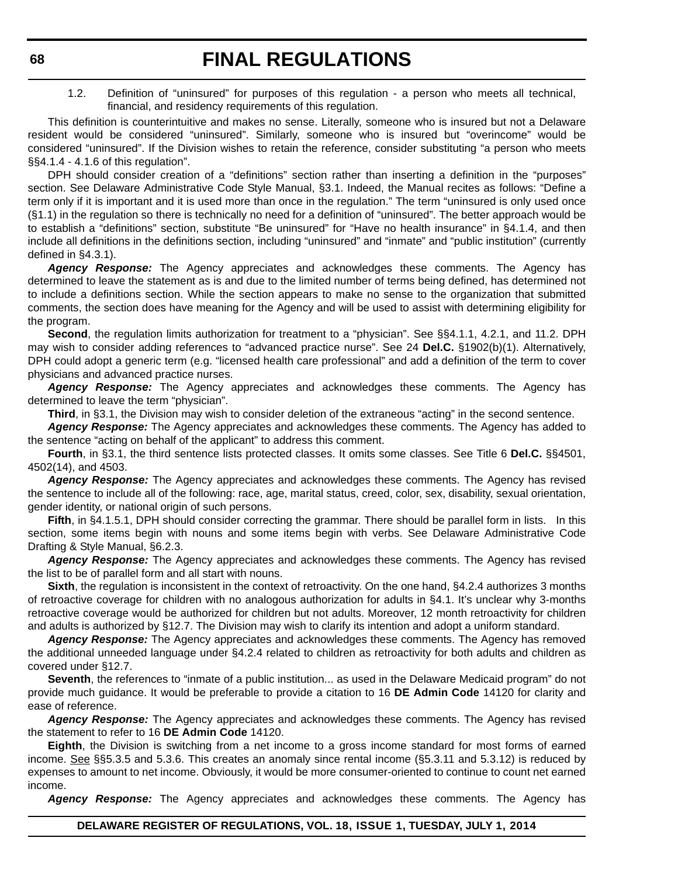1.2. Definition of "uninsured" for purposes of this regulation - a person who meets all technical, financial, and residency requirements of this regulation.

This definition is counterintuitive and makes no sense. Literally, someone who is insured but not a Delaware resident would be considered "uninsured". Similarly, someone who is insured but "overincome" would be considered "uninsured". If the Division wishes to retain the reference, consider substituting "a person who meets §§4.1.4 - 4.1.6 of this regulation".

DPH should consider creation of a "definitions" section rather than inserting a definition in the "purposes" section. See Delaware Administrative Code Style Manual, §3.1. Indeed, the Manual recites as follows: "Define a term only if it is important and it is used more than once in the regulation." The term "uninsured is only used once (§1.1) in the regulation so there is technically no need for a definition of "uninsured". The better approach would be to establish a "definitions" section, substitute "Be uninsured" for "Have no health insurance" in §4.1.4, and then include all definitions in the definitions section, including "uninsured" and "inmate" and "public institution" (currently defined in §4.3.1).

*Agency Response:* The Agency appreciates and acknowledges these comments. The Agency has determined to leave the statement as is and due to the limited number of terms being defined, has determined not to include a definitions section. While the section appears to make no sense to the organization that submitted comments, the section does have meaning for the Agency and will be used to assist with determining eligibility for the program.

**Second**, the regulation limits authorization for treatment to a "physician". See §§4.1.1, 4.2.1, and 11.2. DPH may wish to consider adding references to "advanced practice nurse". See 24 **Del.C.** §1902(b)(1). Alternatively, DPH could adopt a generic term (e.g. "licensed health care professional" and add a definition of the term to cover physicians and advanced practice nurses.

*Agency Response:* The Agency appreciates and acknowledges these comments. The Agency has determined to leave the term "physician".

**Third**, in §3.1, the Division may wish to consider deletion of the extraneous "acting" in the second sentence.

*Agency Response:* The Agency appreciates and acknowledges these comments. The Agency has added to the sentence "acting on behalf of the applicant" to address this comment.

**Fourth**, in §3.1, the third sentence lists protected classes. It omits some classes. See Title 6 **Del.C.** §§4501, 4502(14), and 4503.

*Agency Response:* The Agency appreciates and acknowledges these comments. The Agency has revised the sentence to include all of the following: race, age, marital status, creed, color, sex, disability, sexual orientation, gender identity, or national origin of such persons.

**Fifth**, in §4.1.5.1, DPH should consider correcting the grammar. There should be parallel form in lists. In this section, some items begin with nouns and some items begin with verbs. See Delaware Administrative Code Drafting & Style Manual, §6.2.3.

*Agency Response:* The Agency appreciates and acknowledges these comments. The Agency has revised the list to be of parallel form and all start with nouns.

**Sixth**, the regulation is inconsistent in the context of retroactivity. On the one hand, §4.2.4 authorizes 3 months of retroactive coverage for children with no analogous authorization for adults in §4.1. It's unclear why 3-months retroactive coverage would be authorized for children but not adults. Moreover, 12 month retroactivity for children and adults is authorized by §12.7. The Division may wish to clarify its intention and adopt a uniform standard.

*Agency Response:* The Agency appreciates and acknowledges these comments. The Agency has removed the additional unneeded language under §4.2.4 related to children as retroactivity for both adults and children as covered under §12.7.

**Seventh**, the references to "inmate of a public institution... as used in the Delaware Medicaid program" do not provide much guidance. It would be preferable to provide a citation to 16 **DE Admin Code** 14120 for clarity and ease of reference.

*Agency Response:* The Agency appreciates and acknowledges these comments. The Agency has revised the statement to refer to 16 **DE Admin Code** 14120.

**Eighth**, the Division is switching from a net income to a gross income standard for most forms of earned income. See §§5.3.5 and 5.3.6. This creates an anomaly since rental income (§5.3.11 and 5.3.12) is reduced by expenses to amount to net income. Obviously, it would be more consumer-oriented to continue to count net earned income.

*Agency Response:* The Agency appreciates and acknowledges these comments. The Agency has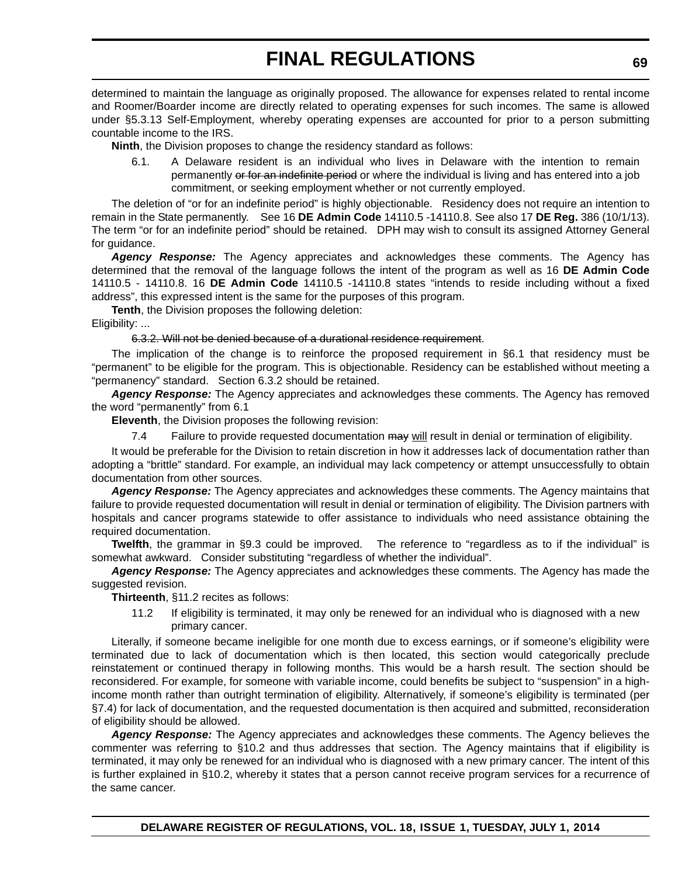determined to maintain the language as originally proposed. The allowance for expenses related to rental income and Roomer/Boarder income are directly related to operating expenses for such incomes. The same is allowed under §5.3.13 Self-Employment, whereby operating expenses are accounted for prior to a person submitting countable income to the IRS.

**Ninth**, the Division proposes to change the residency standard as follows:

6.1. A Delaware resident is an individual who lives in Delaware with the intention to remain permanently or for an indefinite period or where the individual is living and has entered into a job commitment, or seeking employment whether or not currently employed.

The deletion of "or for an indefinite period" is highly objectionable. Residency does not require an intention to remain in the State permanently. See 16 **DE Admin Code** 14110.5 -14110.8. See also 17 **DE Reg.** 386 (10/1/13). The term "or for an indefinite period" should be retained. DPH may wish to consult its assigned Attorney General for guidance.

*Agency Response:* The Agency appreciates and acknowledges these comments. The Agency has determined that the removal of the language follows the intent of the program as well as 16 **DE Admin Code** 14110.5 - 14110.8. 16 **DE Admin Code** 14110.5 -14110.8 states "intends to reside including without a fixed address", this expressed intent is the same for the purposes of this program.

**Tenth**, the Division proposes the following deletion:

Eligibility: ...

#### 6.3.2. Will not be denied because of a durational residence requirement.

The implication of the change is to reinforce the proposed requirement in §6.1 that residency must be "permanent" to be eligible for the program. This is objectionable. Residency can be established without meeting a "permanency" standard. Section 6.3.2 should be retained.

*Agency Response:* The Agency appreciates and acknowledges these comments. The Agency has removed the word "permanently" from 6.1

**Eleventh**, the Division proposes the following revision:

7.4 Failure to provide requested documentation may will result in denial or termination of eligibility.

It would be preferable for the Division to retain discretion in how it addresses lack of documentation rather than adopting a "brittle" standard. For example, an individual may lack competency or attempt unsuccessfully to obtain documentation from other sources.

*Agency Response:* The Agency appreciates and acknowledges these comments. The Agency maintains that failure to provide requested documentation will result in denial or termination of eligibility. The Division partners with hospitals and cancer programs statewide to offer assistance to individuals who need assistance obtaining the required documentation.

**Twelfth**, the grammar in §9.3 could be improved. The reference to "regardless as to if the individual" is somewhat awkward. Consider substituting "regardless of whether the individual".

*Agency Response:* The Agency appreciates and acknowledges these comments. The Agency has made the suggested revision.

**Thirteenth**, §11.2 recites as follows:

11.2 If eligibility is terminated, it may only be renewed for an individual who is diagnosed with a new primary cancer.

Literally, if someone became ineligible for one month due to excess earnings, or if someone's eligibility were terminated due to lack of documentation which is then located, this section would categorically preclude reinstatement or continued therapy in following months. This would be a harsh result. The section should be reconsidered. For example, for someone with variable income, could benefits be subject to "suspension" in a highincome month rather than outright termination of eligibility. Alternatively, if someone's eligibility is terminated (per §7.4) for lack of documentation, and the requested documentation is then acquired and submitted, reconsideration of eligibility should be allowed.

*Agency Response:* The Agency appreciates and acknowledges these comments. The Agency believes the commenter was referring to §10.2 and thus addresses that section. The Agency maintains that if eligibility is terminated, it may only be renewed for an individual who is diagnosed with a new primary cancer. The intent of this is further explained in §10.2, whereby it states that a person cannot receive program services for a recurrence of the same cancer.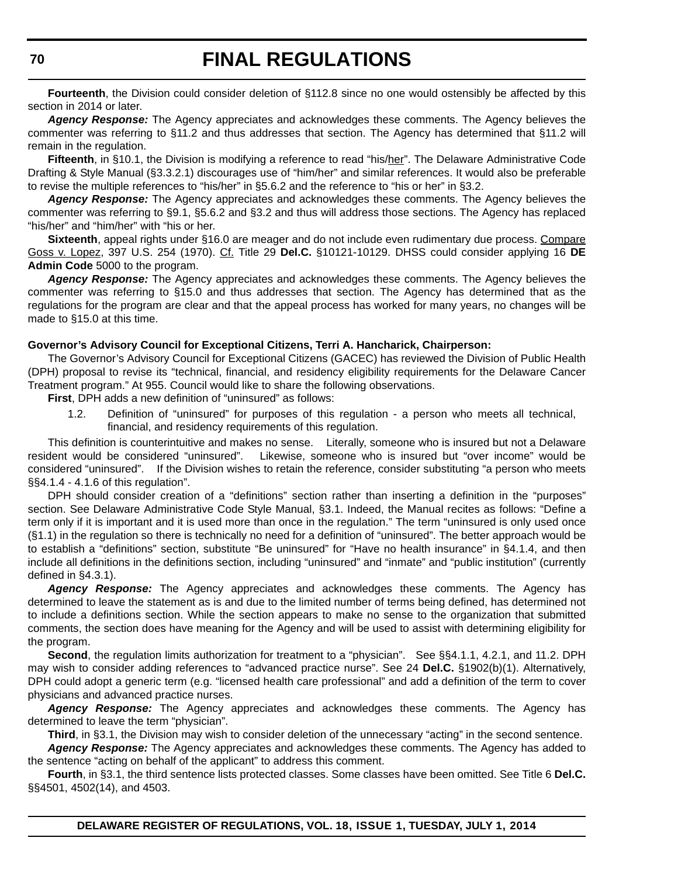**Fourteenth**, the Division could consider deletion of §112.8 since no one would ostensibly be affected by this section in 2014 or later.

*Agency Response:* The Agency appreciates and acknowledges these comments. The Agency believes the commenter was referring to §11.2 and thus addresses that section. The Agency has determined that §11.2 will remain in the regulation.

**Fifteenth**, in §10.1, the Division is modifying a reference to read "his/her". The Delaware Administrative Code Drafting & Style Manual (§3.3.2.1) discourages use of "him/her" and similar references. It would also be preferable to revise the multiple references to "his/her" in §5.6.2 and the reference to "his or her" in §3.2.

*Agency Response:* The Agency appreciates and acknowledges these comments. The Agency believes the commenter was referring to §9.1, §5.6.2 and §3.2 and thus will address those sections. The Agency has replaced "his/her" and "him/her" with "his or her.

**Sixteenth**, appeal rights under §16.0 are meager and do not include even rudimentary due process. Compare Goss v. Lopez, 397 U.S. 254 (1970). Cf. Title 29 **Del.C.** §10121-10129. DHSS could consider applying 16 **DE Admin Code** 5000 to the program.

*Agency Response:* The Agency appreciates and acknowledges these comments. The Agency believes the commenter was referring to §15.0 and thus addresses that section. The Agency has determined that as the regulations for the program are clear and that the appeal process has worked for many years, no changes will be made to §15.0 at this time.

#### **Governor's Advisory Council for Exceptional Citizens, Terri A. Hancharick, Chairperson:**

The Governor's Advisory Council for Exceptional Citizens (GACEC) has reviewed the Division of Public Health (DPH) proposal to revise its "technical, financial, and residency eligibility requirements for the Delaware Cancer Treatment program." At 955. Council would like to share the following observations.

**First**, DPH adds a new definition of "uninsured" as follows:

1.2. Definition of "uninsured" for purposes of this regulation - a person who meets all technical, financial, and residency requirements of this regulation.

This definition is counterintuitive and makes no sense. Literally, someone who is insured but not a Delaware resident would be considered "uninsured". Likewise, someone who is insured but "over income" would be considered "uninsured". If the Division wishes to retain the reference, consider substituting "a person who meets §§4.1.4 - 4.1.6 of this regulation".

DPH should consider creation of a "definitions" section rather than inserting a definition in the "purposes" section. See Delaware Administrative Code Style Manual, §3.1. Indeed, the Manual recites as follows: "Define a term only if it is important and it is used more than once in the regulation." The term "uninsured is only used once (§1.1) in the regulation so there is technically no need for a definition of "uninsured". The better approach would be to establish a "definitions" section, substitute "Be uninsured" for "Have no health insurance" in §4.1.4, and then include all definitions in the definitions section, including "uninsured" and "inmate" and "public institution" (currently defined in §4.3.1).

Agency Response: The Agency appreciates and acknowledges these comments. The Agency has determined to leave the statement as is and due to the limited number of terms being defined, has determined not to include a definitions section. While the section appears to make no sense to the organization that submitted comments, the section does have meaning for the Agency and will be used to assist with determining eligibility for the program.

Second, the regulation limits authorization for treatment to a "physician". See §§4.1.1, 4.2.1, and 11.2. DPH may wish to consider adding references to "advanced practice nurse". See 24 **Del.C.** §1902(b)(1). Alternatively, DPH could adopt a generic term (e.g. "licensed health care professional" and add a definition of the term to cover physicians and advanced practice nurses.

*Agency Response:* The Agency appreciates and acknowledges these comments. The Agency has determined to leave the term "physician".

**Third**, in §3.1, the Division may wish to consider deletion of the unnecessary "acting" in the second sentence.

*Agency Response:* The Agency appreciates and acknowledges these comments. The Agency has added to the sentence "acting on behalf of the applicant" to address this comment.

**Fourth**, in §3.1, the third sentence lists protected classes. Some classes have been omitted. See Title 6 **Del.C.**  §§4501, 4502(14), and 4503.

**DELAWARE REGISTER OF REGULATIONS, VOL. 18, ISSUE 1, TUESDAY, JULY 1, 2014**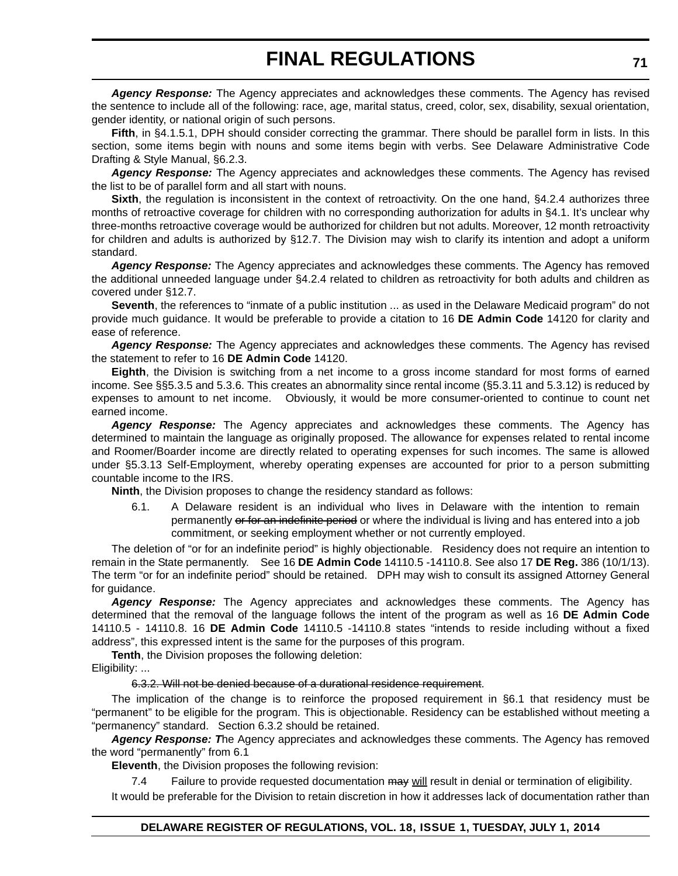Agency Response: The Agency appreciates and acknowledges these comments. The Agency has revised the sentence to include all of the following: race, age, marital status, creed, color, sex, disability, sexual orientation, gender identity, or national origin of such persons.

**Fifth**, in §4.1.5.1, DPH should consider correcting the grammar. There should be parallel form in lists. In this section, some items begin with nouns and some items begin with verbs. See Delaware Administrative Code Drafting & Style Manual, §6.2.3.

*Agency Response:* The Agency appreciates and acknowledges these comments. The Agency has revised the list to be of parallel form and all start with nouns.

**Sixth**, the regulation is inconsistent in the context of retroactivity. On the one hand, §4.2.4 authorizes three months of retroactive coverage for children with no corresponding authorization for adults in §4.1. It's unclear why three-months retroactive coverage would be authorized for children but not adults. Moreover, 12 month retroactivity for children and adults is authorized by §12.7. The Division may wish to clarify its intention and adopt a uniform standard.

*Agency Response:* The Agency appreciates and acknowledges these comments. The Agency has removed the additional unneeded language under §4.2.4 related to children as retroactivity for both adults and children as covered under §12.7.

**Seventh**, the references to "inmate of a public institution ... as used in the Delaware Medicaid program" do not provide much guidance. It would be preferable to provide a citation to 16 **DE Admin Code** 14120 for clarity and ease of reference.

*Agency Response:* The Agency appreciates and acknowledges these comments. The Agency has revised the statement to refer to 16 **DE Admin Code** 14120.

**Eighth**, the Division is switching from a net income to a gross income standard for most forms of earned income. See §§5.3.5 and 5.3.6. This creates an abnormality since rental income (§5.3.11 and 5.3.12) is reduced by expenses to amount to net income. Obviously, it would be more consumer-oriented to continue to count net earned income.

*Agency Response:* The Agency appreciates and acknowledges these comments. The Agency has determined to maintain the language as originally proposed. The allowance for expenses related to rental income and Roomer/Boarder income are directly related to operating expenses for such incomes. The same is allowed under §5.3.13 Self-Employment, whereby operating expenses are accounted for prior to a person submitting countable income to the IRS.

**Ninth**, the Division proposes to change the residency standard as follows:

6.1. A Delaware resident is an individual who lives in Delaware with the intention to remain permanently or for an indefinite period or where the individual is living and has entered into a job commitment, or seeking employment whether or not currently employed.

The deletion of "or for an indefinite period" is highly objectionable. Residency does not require an intention to remain in the State permanently. See 16 **DE Admin Code** 14110.5 -14110.8. See also 17 **DE Reg.** 386 (10/1/13). The term "or for an indefinite period" should be retained. DPH may wish to consult its assigned Attorney General for guidance.

*Agency Response:* The Agency appreciates and acknowledges these comments. The Agency has determined that the removal of the language follows the intent of the program as well as 16 **DE Admin Code** 14110.5 - 14110.8. 16 **DE Admin Code** 14110.5 -14110.8 states "intends to reside including without a fixed address", this expressed intent is the same for the purposes of this program.

**Tenth**, the Division proposes the following deletion:

Eligibility: ...

6.3.2. Will not be denied because of a durational residence requirement.

The implication of the change is to reinforce the proposed requirement in §6.1 that residency must be "permanent" to be eligible for the program. This is objectionable. Residency can be established without meeting a "permanency" standard. Section 6.3.2 should be retained.

*Agency Response: T*he Agency appreciates and acknowledges these comments. The Agency has removed the word "permanently" from 6.1

**Eleventh**, the Division proposes the following revision:

7.4 Failure to provide requested documentation may will result in denial or termination of eligibility.

It would be preferable for the Division to retain discretion in how it addresses lack of documentation rather than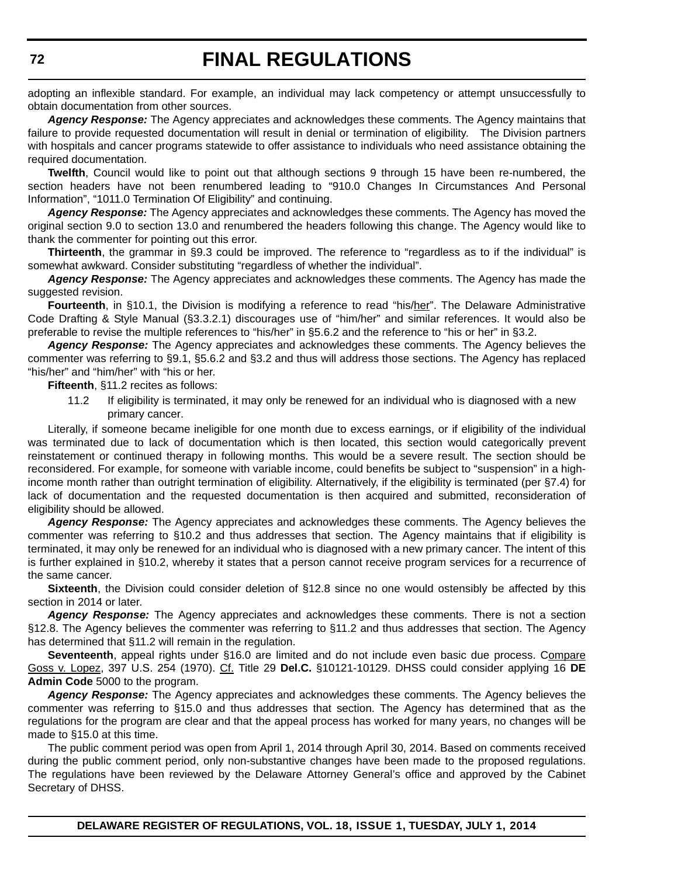adopting an inflexible standard. For example, an individual may lack competency or attempt unsuccessfully to obtain documentation from other sources.

*Agency Response:* The Agency appreciates and acknowledges these comments. The Agency maintains that failure to provide requested documentation will result in denial or termination of eligibility. The Division partners with hospitals and cancer programs statewide to offer assistance to individuals who need assistance obtaining the required documentation.

**Twelfth**, Council would like to point out that although sections 9 through 15 have been re-numbered, the section headers have not been renumbered leading to "910.0 Changes In Circumstances And Personal Information", "1011.0 Termination Of Eligibility" and continuing.

*Agency Response:* The Agency appreciates and acknowledges these comments. The Agency has moved the original section 9.0 to section 13.0 and renumbered the headers following this change. The Agency would like to thank the commenter for pointing out this error.

**Thirteenth**, the grammar in §9.3 could be improved. The reference to "regardless as to if the individual" is somewhat awkward. Consider substituting "regardless of whether the individual".

*Agency Response:* The Agency appreciates and acknowledges these comments. The Agency has made the suggested revision.

**Fourteenth**, in §10.1, the Division is modifying a reference to read "his/her". The Delaware Administrative Code Drafting & Style Manual (§3.3.2.1) discourages use of "him/her" and similar references. It would also be preferable to revise the multiple references to "his/her" in §5.6.2 and the reference to "his or her" in §3.2.

*Agency Response:* The Agency appreciates and acknowledges these comments. The Agency believes the commenter was referring to §9.1, §5.6.2 and §3.2 and thus will address those sections. The Agency has replaced "his/her" and "him/her" with "his or her.

**Fifteenth**, §11.2 recites as follows:

11.2 If eligibility is terminated, it may only be renewed for an individual who is diagnosed with a new primary cancer.

Literally, if someone became ineligible for one month due to excess earnings, or if eligibility of the individual was terminated due to lack of documentation which is then located, this section would categorically prevent reinstatement or continued therapy in following months. This would be a severe result. The section should be reconsidered. For example, for someone with variable income, could benefits be subject to "suspension" in a highincome month rather than outright termination of eligibility. Alternatively, if the eligibility is terminated (per §7.4) for lack of documentation and the requested documentation is then acquired and submitted, reconsideration of eligibility should be allowed.

*Agency Response:* The Agency appreciates and acknowledges these comments. The Agency believes the commenter was referring to §10.2 and thus addresses that section. The Agency maintains that if eligibility is terminated, it may only be renewed for an individual who is diagnosed with a new primary cancer. The intent of this is further explained in §10.2, whereby it states that a person cannot receive program services for a recurrence of the same cancer.

**Sixteenth**, the Division could consider deletion of §12.8 since no one would ostensibly be affected by this section in 2014 or later.

*Agency Response:* The Agency appreciates and acknowledges these comments. There is not a section §12.8. The Agency believes the commenter was referring to §11.2 and thus addresses that section. The Agency has determined that §11.2 will remain in the regulation.

Seventeenth, appeal rights under §16.0 are limited and do not include even basic due process. Compare Goss v. Lopez, 397 U.S. 254 (1970). Cf. Title 29 **Del.C.** §10121-10129. DHSS could consider applying 16 **DE Admin Code** 5000 to the program.

*Agency Response:* The Agency appreciates and acknowledges these comments. The Agency believes the commenter was referring to §15.0 and thus addresses that section. The Agency has determined that as the regulations for the program are clear and that the appeal process has worked for many years, no changes will be made to §15.0 at this time.

The public comment period was open from April 1, 2014 through April 30, 2014. Based on comments received during the public comment period, only non-substantive changes have been made to the proposed regulations. The regulations have been reviewed by the Delaware Attorney General's office and approved by the Cabinet Secretary of DHSS.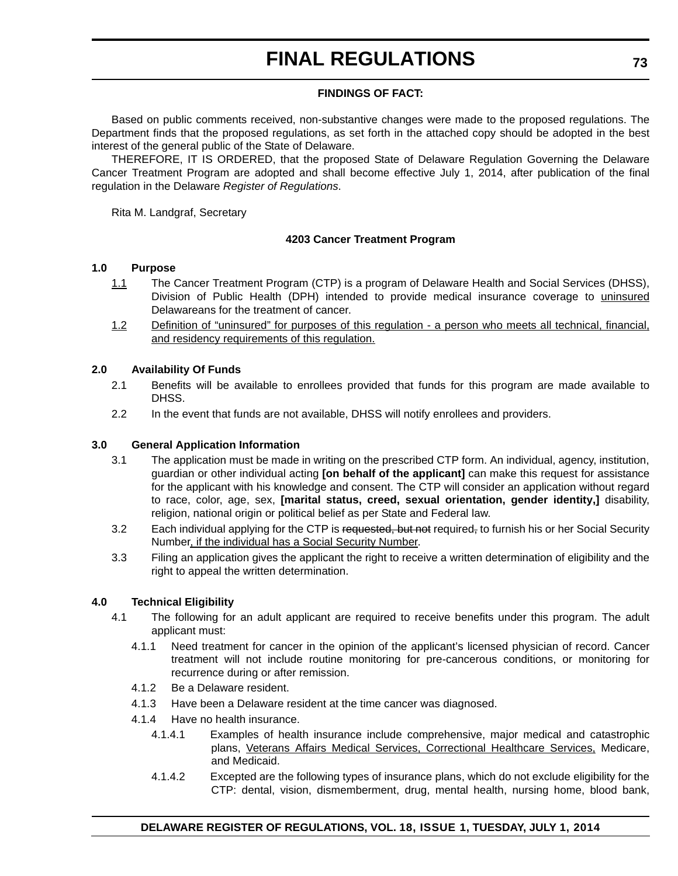#### **FINDINGS OF FACT:**

Based on public comments received, non-substantive changes were made to the proposed regulations. The Department finds that the proposed regulations, as set forth in the attached copy should be adopted in the best interest of the general public of the State of Delaware.

THEREFORE, IT IS ORDERED, that the proposed State of Delaware Regulation Governing the Delaware Cancer Treatment Program are adopted and shall become effective July 1, 2014, after publication of the final regulation in the Delaware *Register of Regulations*.

Rita M. Landgraf, Secretary

#### **4203 Cancer Treatment Program**

#### **1.0 Purpose**

- 1.1 The Cancer Treatment Program (CTP) is a program of Delaware Health and Social Services (DHSS), Division of Public Health (DPH) intended to provide medical insurance coverage to uninsured Delawareans for the treatment of cancer.
- 1.2 Definition of "uninsured" for purposes of this regulation a person who meets all technical, financial, and residency requirements of this regulation.

#### **2.0 Availability Of Funds**

- 2.1 Benefits will be available to enrollees provided that funds for this program are made available to DHSS.
- 2.2 In the event that funds are not available, DHSS will notify enrollees and providers.

#### **3.0 General Application Information**

- 3.1 The application must be made in writing on the prescribed CTP form. An individual, agency, institution, guardian or other individual acting **[on behalf of the applicant]** can make this request for assistance for the applicant with his knowledge and consent. The CTP will consider an application without regard to race, color, age, sex, **[marital status, creed, sexual orientation, gender identity,]** disability, religion, national origin or political belief as per State and Federal law.
- 3.2 Each individual applying for the CTP is requested, but not required, to furnish his or her Social Security Number, if the individual has a Social Security Number.
- 3.3 Filing an application gives the applicant the right to receive a written determination of eligibility and the right to appeal the written determination.

#### **4.0 Technical Eligibility**

- 4.1 The following for an adult applicant are required to receive benefits under this program. The adult applicant must:
	- 4.1.1 Need treatment for cancer in the opinion of the applicant's licensed physician of record. Cancer treatment will not include routine monitoring for pre-cancerous conditions, or monitoring for recurrence during or after remission.
	- 4.1.2 Be a Delaware resident.
	- 4.1.3 Have been a Delaware resident at the time cancer was diagnosed.
	- 4.1.4 Have no health insurance.
		- 4.1.4.1 Examples of health insurance include comprehensive, major medical and catastrophic plans, Veterans Affairs Medical Services, Correctional Healthcare Services, Medicare, and Medicaid.
		- 4.1.4.2 Excepted are the following types of insurance plans, which do not exclude eligibility for the CTP: dental, vision, dismemberment, drug, mental health, nursing home, blood bank,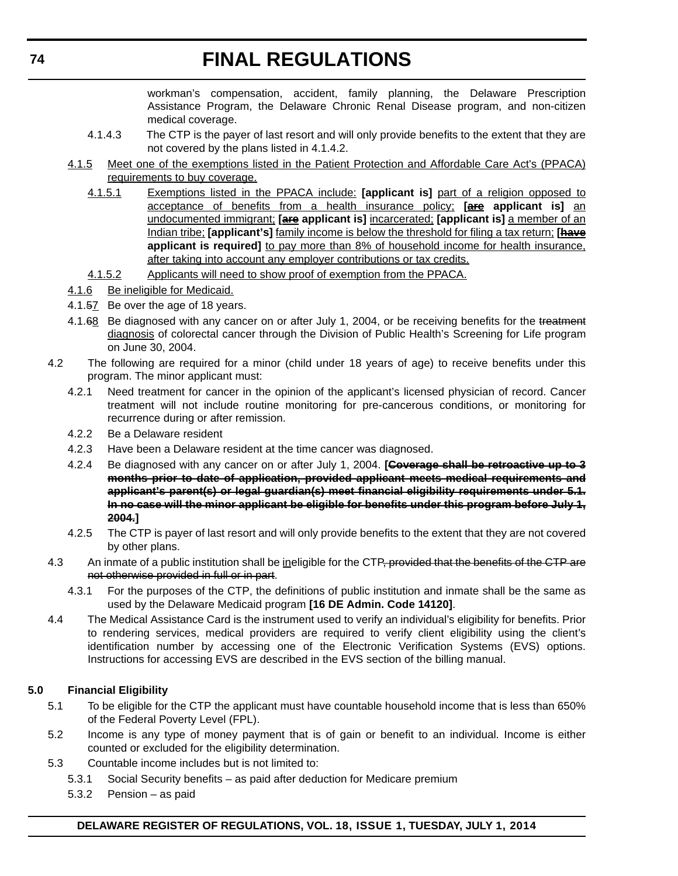workman's compensation, accident, family planning, the Delaware Prescription Assistance Program, the Delaware Chronic Renal Disease program, and non-citizen medical coverage.

- 4.1.4.3 The CTP is the payer of last resort and will only provide benefits to the extent that they are not covered by the plans listed in 4.1.4.2.
- 4.1.5 Meet one of the exemptions listed in the Patient Protection and Affordable Care Act's (PPACA) requirements to buy coverage.
	- 4.1.5.1 Exemptions listed in the PPACA include: **[applicant is]** part of a religion opposed to acceptance of benefits from a health insurance policy; **[are applicant is]** an undocumented immigrant; **[are applicant is]** incarcerated; **[applicant is]** a member of an Indian tribe; **[applicant's]** family income is below the threshold for filing a tax return; **[have applicant is required]** to pay more than 8% of household income for health insurance, after taking into account any employer contributions or tax credits.
	- 4.1.5.2 Applicants will need to show proof of exemption from the PPACA.
- 4.1.6 Be ineligible for Medicaid.
- 4.1.57 Be over the age of 18 years.
- 4.1.68 Be diagnosed with any cancer on or after July 1, 2004, or be receiving benefits for the treatment diagnosis of colorectal cancer through the Division of Public Health's Screening for Life program on June 30, 2004.
- 4.2 The following are required for a minor (child under 18 years of age) to receive benefits under this program. The minor applicant must:
	- 4.2.1 Need treatment for cancer in the opinion of the applicant's licensed physician of record. Cancer treatment will not include routine monitoring for pre-cancerous conditions, or monitoring for recurrence during or after remission.
	- 4.2.2 Be a Delaware resident
	- 4.2.3 Have been a Delaware resident at the time cancer was diagnosed.
	- 4.2.4 Be diagnosed with any cancer on or after July 1, 2004. **[Coverage shall be retroactive up to 3 months prior to date of application, provided applicant meets medical requirements and applicant's parent(s) or legal guardian(s) meet financial eligibility requirements under 5.1. In no case will the minor applicant be eligible for benefits under this program before July 1, 2004.]**
	- 4.2.5 The CTP is payer of last resort and will only provide benefits to the extent that they are not covered by other plans.
- 4.3 An inmate of a public institution shall be ineligible for the CTP, provided that the benefits of the CTP are not otherwise provided in full or in part.
	- 4.3.1 For the purposes of the CTP, the definitions of public institution and inmate shall be the same as used by the Delaware Medicaid program **[16 DE Admin. Code 14120]**.
- 4.4 The Medical Assistance Card is the instrument used to verify an individual's eligibility for benefits. Prior to rendering services, medical providers are required to verify client eligibility using the client's identification number by accessing one of the Electronic Verification Systems (EVS) options. Instructions for accessing EVS are described in the EVS section of the billing manual.

### **5.0 Financial Eligibility**

- 5.1 To be eligible for the CTP the applicant must have countable household income that is less than 650% of the Federal Poverty Level (FPL).
- 5.2 Income is any type of money payment that is of gain or benefit to an individual. Income is either counted or excluded for the eligibility determination.
- 5.3 Countable income includes but is not limited to:
	- 5.3.1 Social Security benefits as paid after deduction for Medicare premium
	- 5.3.2 Pension as paid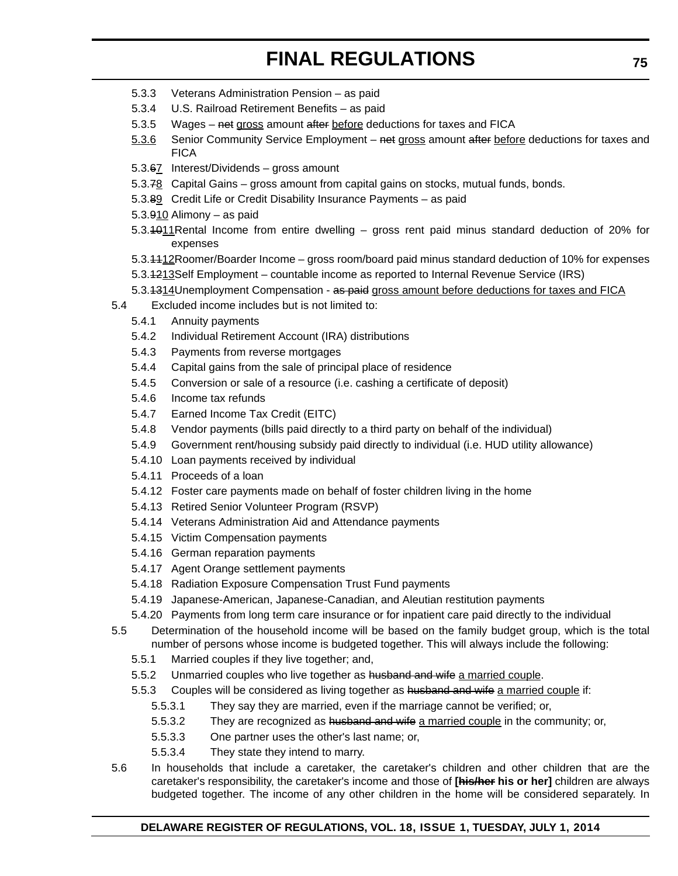- 5.3.3 Veterans Administration Pension as paid
- 5.3.4 U.S. Railroad Retirement Benefits as paid
- 5.3.5 Wages net gross amount after before deductions for taxes and FICA
- 5.3.6 Senior Community Service Employment net gross amount after before deductions for taxes and **FICA**
- 5.3.67 Interest/Dividends gross amount
- 5.3.78 Capital Gains gross amount from capital gains on stocks, mutual funds, bonds.
- 5.3.89 Credit Life or Credit Disability Insurance Payments as paid
- 5.3.910 Alimony as paid
- 5.3.1011Rental Income from entire dwelling gross rent paid minus standard deduction of 20% for expenses
- 5.3.1112Roomer/Boarder Income gross room/board paid minus standard deduction of 10% for expenses
- 5.3.1213Self Employment countable income as reported to Internal Revenue Service (IRS)
- 5.3.4314Unemployment Compensation as paid gross amount before deductions for taxes and FICA
- 5.4 Excluded income includes but is not limited to:
	- 5.4.1 Annuity payments
	- 5.4.2 Individual Retirement Account (IRA) distributions
	- 5.4.3 Payments from reverse mortgages
	- 5.4.4 Capital gains from the sale of principal place of residence
	- 5.4.5 Conversion or sale of a resource (i.e. cashing a certificate of deposit)
	- 5.4.6 Income tax refunds
	- 5.4.7 Earned Income Tax Credit (EITC)
	- 5.4.8 Vendor payments (bills paid directly to a third party on behalf of the individual)
	- 5.4.9 Government rent/housing subsidy paid directly to individual (i.e. HUD utility allowance)
	- 5.4.10 Loan payments received by individual
	- 5.4.11 Proceeds of a loan
	- 5.4.12 Foster care payments made on behalf of foster children living in the home
	- 5.4.13 Retired Senior Volunteer Program (RSVP)
	- 5.4.14 Veterans Administration Aid and Attendance payments
	- 5.4.15 Victim Compensation payments
	- 5.4.16 German reparation payments
	- 5.4.17 Agent Orange settlement payments
	- 5.4.18 Radiation Exposure Compensation Trust Fund payments
	- 5.4.19 Japanese-American, Japanese-Canadian, and Aleutian restitution payments
	- 5.4.20 Payments from long term care insurance or for inpatient care paid directly to the individual
- 5.5 Determination of the household income will be based on the family budget group, which is the total number of persons whose income is budgeted together. This will always include the following:
	- 5.5.1 Married couples if they live together; and,
	- 5.5.2 Unmarried couples who live together as husband and wife a married couple.
	- 5.5.3 Couples will be considered as living together as husband and wife a married couple if:
		- 5.5.3.1 They say they are married, even if the marriage cannot be verified; or,
		- 5.5.3.2 They are recognized as husband and wife a married couple in the community; or,
		- 5.5.3.3 One partner uses the other's last name; or,
		- 5.5.3.4 They state they intend to marry.
- 5.6 In households that include a caretaker, the caretaker's children and other children that are the caretaker's responsibility, the caretaker's income and those of **[his/her his or her]** children are always budgeted together. The income of any other children in the home will be considered separately. In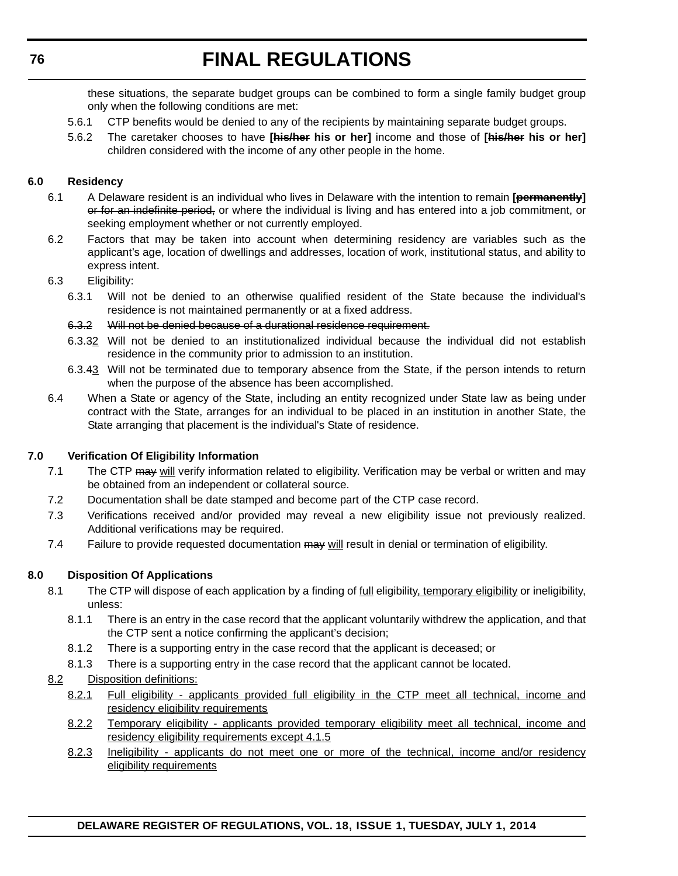these situations, the separate budget groups can be combined to form a single family budget group only when the following conditions are met:

- 5.6.1 CTP benefits would be denied to any of the recipients by maintaining separate budget groups.
- 5.6.2 The caretaker chooses to have **[his/her his or her]** income and those of **[his/her his or her]** children considered with the income of any other people in the home.

#### **6.0 Residency**

- 6.1 A Delaware resident is an individual who lives in Delaware with the intention to remain **[permanently]** or for an indefinite period, or where the individual is living and has entered into a job commitment, or seeking employment whether or not currently employed.
- 6.2 Factors that may be taken into account when determining residency are variables such as the applicant's age, location of dwellings and addresses, location of work, institutional status, and ability to express intent.

#### 6.3 Eligibility:

- 6.3.1 Will not be denied to an otherwise qualified resident of the State because the individual's residence is not maintained permanently or at a fixed address.
- 6.3.2 Will not be denied because of a durational residence requirement.
- 6.3.32 Will not be denied to an institutionalized individual because the individual did not establish residence in the community prior to admission to an institution.
- 6.3.43 Will not be terminated due to temporary absence from the State, if the person intends to return when the purpose of the absence has been accomplished.
- 6.4 When a State or agency of the State, including an entity recognized under State law as being under contract with the State, arranges for an individual to be placed in an institution in another State, the State arranging that placement is the individual's State of residence.

#### **7.0 Verification Of Eligibility Information**

- 7.1 The CTP may will verify information related to eligibility. Verification may be verbal or written and may be obtained from an independent or collateral source.
- 7.2 Documentation shall be date stamped and become part of the CTP case record.
- 7.3 Verifications received and/or provided may reveal a new eligibility issue not previously realized. Additional verifications may be required.
- 7.4 Failure to provide requested documentation  $\frac{m}{w}$  will result in denial or termination of eligibility.

#### **8.0 Disposition Of Applications**

- 8.1 The CTP will dispose of each application by a finding of full eligibility, temporary eligibility or ineligibility, unless:
	- 8.1.1 There is an entry in the case record that the applicant voluntarily withdrew the application, and that the CTP sent a notice confirming the applicant's decision;
	- 8.1.2 There is a supporting entry in the case record that the applicant is deceased; or
	- 8.1.3 There is a supporting entry in the case record that the applicant cannot be located.

#### 8.2 Disposition definitions:

- 8.2.1 Full eligibility applicants provided full eligibility in the CTP meet all technical, income and residency eligibility requirements
- 8.2.2 Temporary eligibility applicants provided temporary eligibility meet all technical, income and residency eligibility requirements except 4.1.5
- 8.2.3 Ineligibility applicants do not meet one or more of the technical, income and/or residency eligibility requirements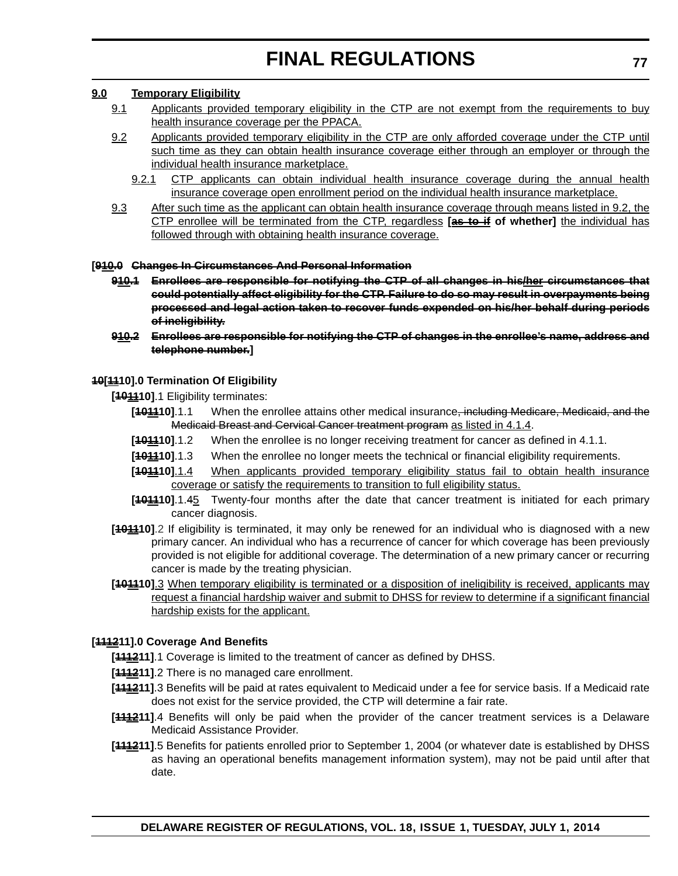#### **9.0 Temporary Eligibility**

- 9.1 Applicants provided temporary eligibility in the CTP are not exempt from the requirements to buy health insurance coverage per the PPACA.
- 9.2 Applicants provided temporary eligibility in the CTP are only afforded coverage under the CTP until such time as they can obtain health insurance coverage either through an employer or through the individual health insurance marketplace.
	- 9.2.1 CTP applicants can obtain individual health insurance coverage during the annual health insurance coverage open enrollment period on the individual health insurance marketplace.
- 9.3 After such time as the applicant can obtain health insurance coverage through means listed in 9.2, the CTP enrollee will be terminated from the CTP, regardless **[as to if of whether]** the individual has followed through with obtaining health insurance coverage.

#### **[910.0 Changes In Circumstances And Personal Information**

- **910.1 Enrollees are responsible for notifying the CTP of all changes in his/her circumstances that could potentially affect eligibility for the CTP. Failure to do so may result in overpayments being processed and legal action taken to recover funds expended on his/her behalf during periods of ineligibility.**
- **910.2 Enrollees are responsible for notifying the CTP of changes in the enrollee's name, address and telephone number.]**

#### **10[1110].0 Termination Of Eligibility**

**[101110]**.1 Eligibility terminates:

- **[101110]**.1.1 When the enrollee attains other medical insurance, including Medicare, Medicaid, and the Medicaid Breast and Cervical Cancer treatment program as listed in 4.1.4.
- **[101110]**.1.2 When the enrollee is no longer receiving treatment for cancer as defined in 4.1.1.
- **[101110]**.1.3 When the enrollee no longer meets the technical or financial eligibility requirements.
- **[101110]**.1.4 When applicants provided temporary eligibility status fail to obtain health insurance coverage or satisfy the requirements to transition to full eligibility status.
- **[101110]**.1.45 Twenty-four months after the date that cancer treatment is initiated for each primary cancer diagnosis.
- [40110].2 If eligibility is terminated, it may only be renewed for an individual who is diagnosed with a new primary cancer. An individual who has a recurrence of cancer for which coverage has been previously provided is not eligible for additional coverage. The determination of a new primary cancer or recurring cancer is made by the treating physician.
- **[101110]**.3 When temporary eligibility is terminated or a disposition of ineligibility is received, applicants may request a financial hardship waiver and submit to DHSS for review to determine if a significant financial hardship exists for the applicant.

#### **[111211].0 Coverage And Benefits**

- [441211].1 Coverage is limited to the treatment of cancer as defined by DHSS.
- **[111211]**.2 There is no managed care enrollment.
- **[111211]**.3 Benefits will be paid at rates equivalent to Medicaid under a fee for service basis. If a Medicaid rate does not exist for the service provided, the CTP will determine a fair rate.
- **[111211]**.4 Benefits will only be paid when the provider of the cancer treatment services is a Delaware Medicaid Assistance Provider.
- **[111211]**.5 Benefits for patients enrolled prior to September 1, 2004 (or whatever date is established by DHSS as having an operational benefits management information system), may not be paid until after that date.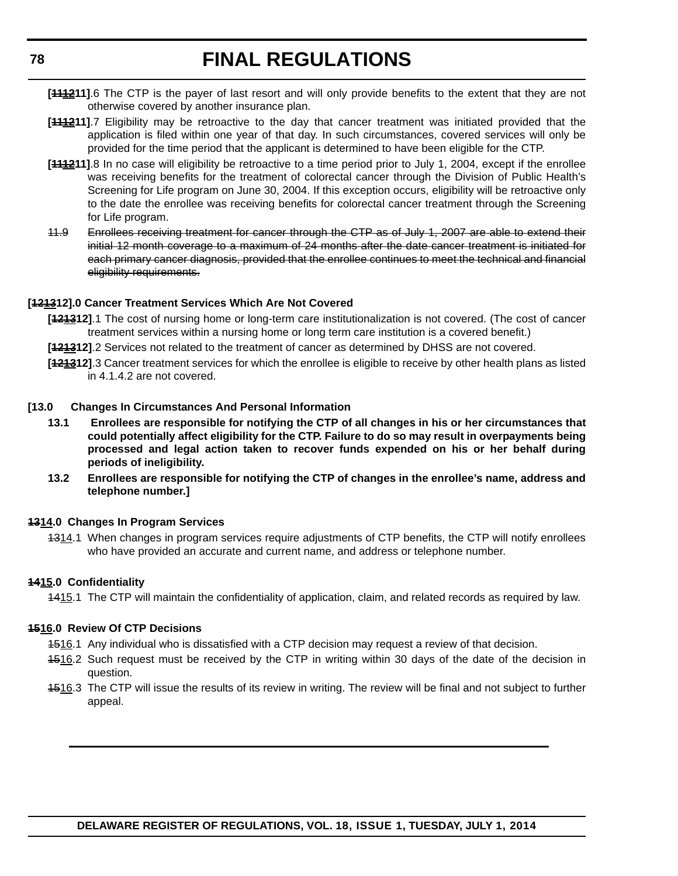- **[111211]**.6 The CTP is the payer of last resort and will only provide benefits to the extent that they are not otherwise covered by another insurance plan.
- **[111211]**.7 Eligibility may be retroactive to the day that cancer treatment was initiated provided that the application is filed within one year of that day. In such circumstances, covered services will only be provided for the time period that the applicant is determined to have been eligible for the CTP.
- [441211].8 In no case will eligibility be retroactive to a time period prior to July 1, 2004, except if the enrollee was receiving benefits for the treatment of colorectal cancer through the Division of Public Health's Screening for Life program on June 30, 2004. If this exception occurs, eligibility will be retroactive only to the date the enrollee was receiving benefits for colorectal cancer treatment through the Screening for Life program.
- 11.9 Enrollees receiving treatment for cancer through the CTP as of July 1, 2007 are able to extend their initial 12 month coverage to a maximum of 24 months after the date cancer treatment is initiated for each primary cancer diagnosis, provided that the enrollee continues to meet the technical and financial eligibility requirements.

#### **[121312].0 Cancer Treatment Services Which Are Not Covered**

- **[121312]**.1 The cost of nursing home or long-term care institutionalization is not covered. (The cost of cancer treatment services within a nursing home or long term care institution is a covered benefit.)
- **[121312]**.2 Services not related to the treatment of cancer as determined by DHSS are not covered.
- **[121312]**.3 Cancer treatment services for which the enrollee is eligible to receive by other health plans as listed in 4.1.4.2 are not covered.

#### **[13.0 Changes In Circumstances And Personal Information**

- **13.1 Enrollees are responsible for notifying the CTP of all changes in his or her circumstances that could potentially affect eligibility for the CTP. Failure to do so may result in overpayments being processed and legal action taken to recover funds expended on his or her behalf during periods of ineligibility.**
- **13.2 Enrollees are responsible for notifying the CTP of changes in the enrollee's name, address and telephone number.]**

#### **1314.0 Changes In Program Services**

4314.1 When changes in program services require adjustments of CTP benefits, the CTP will notify enrollees who have provided an accurate and current name, and address or telephone number.

#### **1415.0 Confidentiality**

1415.1 The CTP will maintain the confidentiality of application, claim, and related records as required by law.

#### **1516.0 Review Of CTP Decisions**

- 4516.1 Any individual who is dissatisfied with a CTP decision may request a review of that decision.
- 4516.2 Such request must be received by the CTP in writing within 30 days of the date of the decision in question.
- 4516.3 The CTP will issue the results of its review in writing. The review will be final and not subject to further appeal.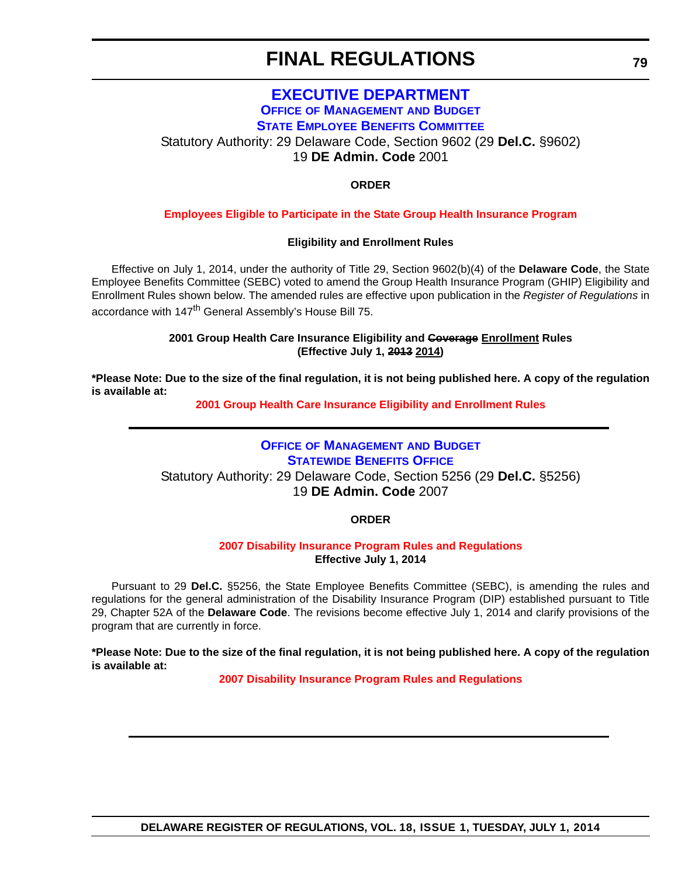## **[EXECUTIVE DEPARTMENT](http://omb.delaware.gov/) OFFICE OF MANAGEMENT AND BUDGET STATE EMPLOYEE BENEFITS COMMITTEE**

Statutory Authority: 29 Delaware Code, Section 9602 (29 **Del.C.** §9602) 19 **DE Admin. Code** 2001

#### **ORDER**

#### **[Employees Eligible to Participate in the State Group Health Insurance Program](#page-3-0)**

#### **Eligibility and Enrollment Rules**

Effective on July 1, 2014, under the authority of Title 29, Section 9602(b)(4) of the **Delaware Code**, the State Employee Benefits Committee (SEBC) voted to amend the Group Health Insurance Program (GHIP) Eligibility and Enrollment Rules shown below. The amended rules are effective upon publication in the *Register of Regulations* in accordance with 147<sup>th</sup> General Assembly's House Bill 75.

#### **2001 Group Health Care Insurance Eligibility and Coverage Enrollment Rules (Effective July 1, 2013 2014)**

**\*Please Note: Due to the size of the final regulation, it is not being published here. A copy of the regulation is available at:**

**[2001 Group Health Care Insurance Eligibility and Enrollment Rules](http://regulations.delaware.gov/register/july2014/final/18 DE Reg 79 07-01-14.htm)**

## **OFFICE OF MANAGEMENT AND BUDGET [STATEWIDE BENEFITS OFFICE](http://www.ben.omb.delaware.gov/)** Statutory Authority: 29 Delaware Code, Section 5256 (29 **Del.C.** §5256) 19 **DE Admin. Code** 2007

#### **ORDER**

#### **[2007 Disability Insurance Program Rules and Regulations](#page-3-0) Effective July 1, 2014**

Pursuant to 29 **Del.C.** §5256, the State Employee Benefits Committee (SEBC), is amending the rules and regulations for the general administration of the Disability Insurance Program (DIP) established pursuant to Title 29, Chapter 52A of the **Delaware Code**. The revisions become effective July 1, 2014 and clarify provisions of the program that are currently in force.

**\*Please Note: Due to the size of the final regulation, it is not being published here. A copy of the regulation is available at:**

**[2007 Disability Insurance Program Rules and Regulations](http://regulations.delaware.gov/register/july2014/final/18 DE Reg 79a 07-01-14.htm)**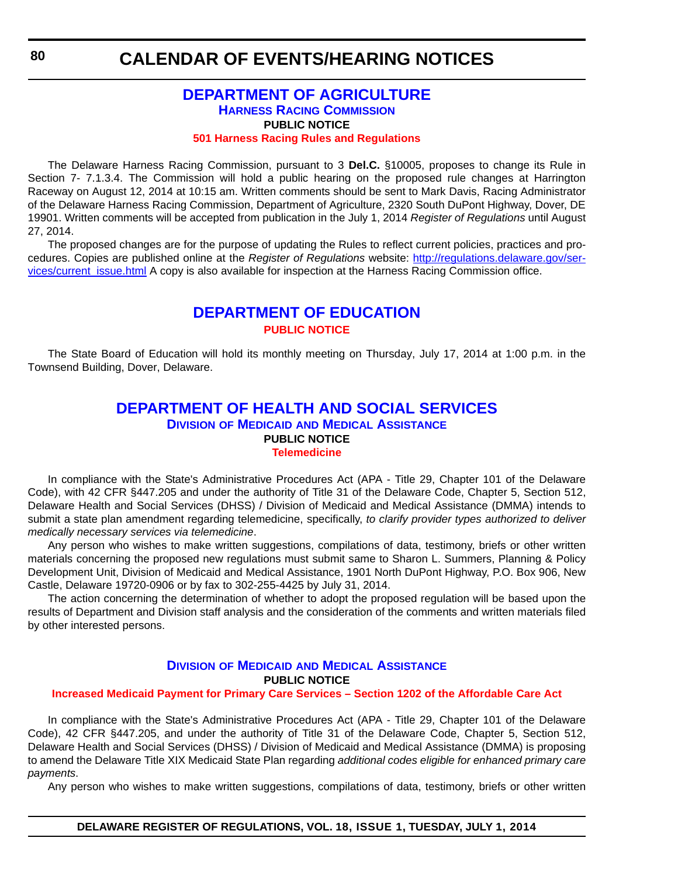## **[DEPARTMENT OF AGRICULTURE](http://dda.delaware.gov/harness/) HARNESS RACING COMMISSION PUBLIC NOTICE [501 Harness Racing Rules and Regulations](#page-4-0)**

The Delaware Harness Racing Commission, pursuant to 3 **Del.C.** §10005, proposes to change its Rule in Section 7- 7.1.3.4. The Commission will hold a public hearing on the proposed rule changes at Harrington Raceway on August 12, 2014 at 10:15 am. Written comments should be sent to Mark Davis, Racing Administrator of the Delaware Harness Racing Commission, Department of Agriculture, 2320 South DuPont Highway, Dover, DE 19901. Written comments will be accepted from publication in the July 1, 2014 *Register of Regulations* until August 27, 2014.

The proposed changes are for the purpose of updating the Rules to reflect current policies, practices and procedures. Copies are published online at the *Register of Regulations* website: [http://regulations.delaware.gov/ser](http://regulations.delaware.gov/services/current_issue.html)[vices/current\\_issue.html](http://regulations.delaware.gov/services/current_issue.html) A copy is also available for inspection at the Harness Racing Commission office.

# **[DEPARTMENT OF EDUCATION](http://www.doe.k12.de.us/) [PUBLIC NOTICE](#page-4-0)**

The State Board of Education will hold its monthly meeting on Thursday, July 17, 2014 at 1:00 p.m. in the Townsend Building, Dover, Delaware.

### **[DEPARTMENT OF HEALTH AND SOCIAL SERVICES](http://www.dhss.delaware.gov/dhss/dmma/) DIVISION OF MEDICAID AND MEDICAL ASSISTANCE PUBLIC NOTICE [Telemedicine](#page-4-0)**

In compliance with the State's Administrative Procedures Act (APA - Title 29, Chapter 101 of the Delaware Code), with 42 CFR §447.205 and under the authority of Title 31 of the Delaware Code, Chapter 5, Section 512, Delaware Health and Social Services (DHSS) / Division of Medicaid and Medical Assistance (DMMA) intends to submit a state plan amendment regarding telemedicine, specifically, *to clarify provider types authorized to deliver medically necessary services via telemedicine*.

Any person who wishes to make written suggestions, compilations of data, testimony, briefs or other written materials concerning the proposed new regulations must submit same to Sharon L. Summers, Planning & Policy Development Unit, Division of Medicaid and Medical Assistance, 1901 North DuPont Highway, P.O. Box 906, New Castle, Delaware 19720-0906 or by fax to 302-255-4425 by July 31, 2014.

The action concerning the determination of whether to adopt the proposed regulation will be based upon the results of Department and Division staff analysis and the consideration of the comments and written materials filed by other interested persons.

## **DIVISION OF MEDICAID [AND MEDICAL ASSISTANCE](http://www.dhss.delaware.gov/dhss/dmma/) PUBLIC NOTICE**

#### **[Increased Medicaid Payment for Primary Care Services – Section 1202 of the Affordable Care Act](#page-4-0)**

In compliance with the State's Administrative Procedures Act (APA - Title 29, Chapter 101 of the Delaware Code), 42 CFR §447.205, and under the authority of Title 31 of the Delaware Code, Chapter 5, Section 512, Delaware Health and Social Services (DHSS) / Division of Medicaid and Medical Assistance (DMMA) is proposing to amend the Delaware Title XIX Medicaid State Plan regarding *additional codes eligible for enhanced primary care payments*.

Any person who wishes to make written suggestions, compilations of data, testimony, briefs or other written

**80**

#### **DELAWARE REGISTER OF REGULATIONS, VOL. 18, ISSUE 1, TUESDAY, JULY 1, 2014**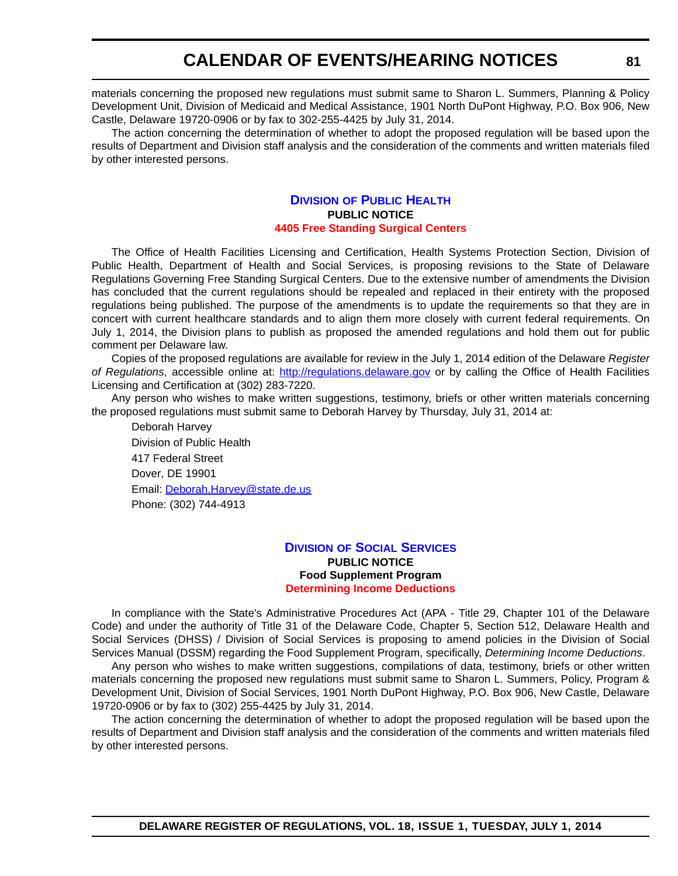materials concerning the proposed new regulations must submit same to Sharon L. Summers, Planning & Policy Development Unit, Division of Medicaid and Medical Assistance, 1901 North DuPont Highway, P.O. Box 906, New Castle, Delaware 19720-0906 or by fax to 302-255-4425 by July 31, 2014.

The action concerning the determination of whether to adopt the proposed regulation will be based upon the results of Department and Division staff analysis and the consideration of the comments and written materials filed by other interested persons.

### **DIVISION [OF PUBLIC HEALTH](http://www.dhss.delaware.gov/dhss/dph/index.html) PUBLIC NOTICE [4405 Free Standing Surgical Centers](#page-4-0)**

The Office of Health Facilities Licensing and Certification, Health Systems Protection Section, Division of Public Health, Department of Health and Social Services, is proposing revisions to the State of Delaware Regulations Governing Free Standing Surgical Centers. Due to the extensive number of amendments the Division has concluded that the current regulations should be repealed and replaced in their entirety with the proposed regulations being published. The purpose of the amendments is to update the requirements so that they are in concert with current healthcare standards and to align them more closely with current federal requirements. On July 1, 2014, the Division plans to publish as proposed the amended regulations and hold them out for public comment per Delaware law.

Copies of the proposed regulations are available for review in the July 1, 2014 edition of the Delaware *Register of Regulations*, accessible online at: <http://regulations.delaware.gov>or by calling the Office of Health Facilities Licensing and Certification at (302) 283-7220.

Any person who wishes to make written suggestions, testimony, briefs or other written materials concerning the proposed regulations must submit same to Deborah Harvey by Thursday, July 31, 2014 at:

Deborah Harvey Division of Public Health 417 Federal Street Dover, DE 19901 Email: [Deborah.Harvey@state.de.us](mailto:Deborah.Harvey@state.de.us) Phone: (302) 744-4913

#### **DIVISION [OF SOCIAL SERVICES](http://www.dhss.delaware.gov/dhss/dss/) PUBLIC NOTICE Food Supplement Program [Determining Income Deductions](#page-4-0)**

In compliance with the State's Administrative Procedures Act (APA - Title 29, Chapter 101 of the Delaware Code) and under the authority of Title 31 of the Delaware Code, Chapter 5, Section 512, Delaware Health and Social Services (DHSS) / Division of Social Services is proposing to amend policies in the Division of Social Services Manual (DSSM) regarding the Food Supplement Program, specifically, *Determining Income Deductions*.

Any person who wishes to make written suggestions, compilations of data, testimony, briefs or other written materials concerning the proposed new regulations must submit same to Sharon L. Summers, Policy, Program & Development Unit, Division of Social Services, 1901 North DuPont Highway, P.O. Box 906, New Castle, Delaware 19720-0906 or by fax to (302) 255-4425 by July 31, 2014.

The action concerning the determination of whether to adopt the proposed regulation will be based upon the results of Department and Division staff analysis and the consideration of the comments and written materials filed by other interested persons.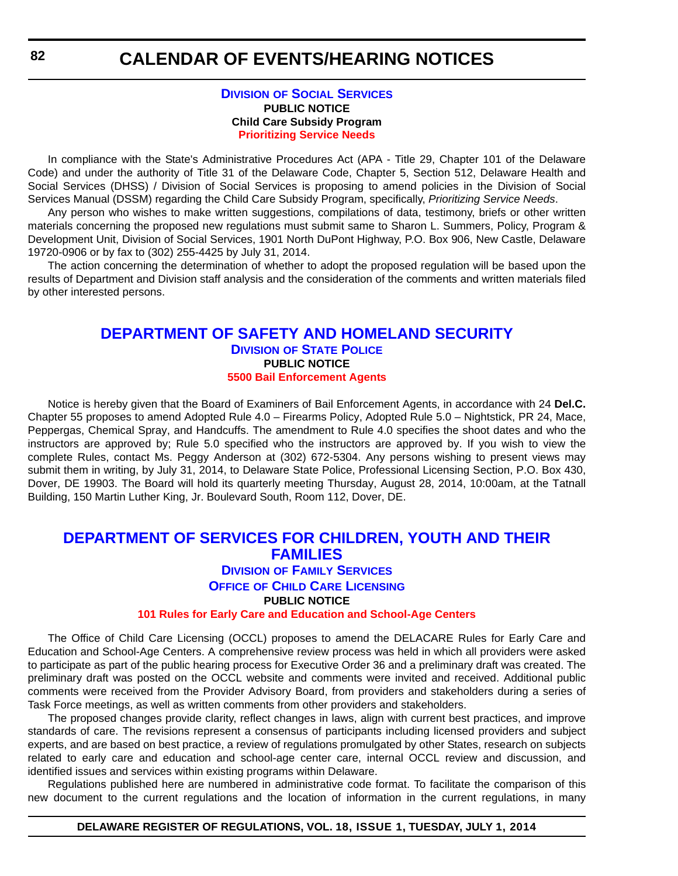#### **DIVISION [OF SOCIAL SERVICES](http://www.dhss.delaware.gov/dhss/dss/) PUBLIC NOTICE Child Care Subsidy Program [Prioritizing Service Needs](#page-4-0)**

In compliance with the State's Administrative Procedures Act (APA - Title 29, Chapter 101 of the Delaware Code) and under the authority of Title 31 of the Delaware Code, Chapter 5, Section 512, Delaware Health and Social Services (DHSS) / Division of Social Services is proposing to amend policies in the Division of Social Services Manual (DSSM) regarding the Child Care Subsidy Program, specifically, *Prioritizing Service Needs*.

Any person who wishes to make written suggestions, compilations of data, testimony, briefs or other written materials concerning the proposed new regulations must submit same to Sharon L. Summers, Policy, Program & Development Unit, Division of Social Services, 1901 North DuPont Highway, P.O. Box 906, New Castle, Delaware 19720-0906 or by fax to (302) 255-4425 by July 31, 2014.

The action concerning the determination of whether to adopt the proposed regulation will be based upon the results of Department and Division staff analysis and the consideration of the comments and written materials filed by other interested persons.

### **[DEPARTMENT OF SAFETY AND HOMELAND SECURITY](http://dsp.delaware.gov/) DIVISION OF STATE POLICE PUBLIC NOTICE [5500 Bail Enforcement Agents](#page-4-0)**

Notice is hereby given that the Board of Examiners of Bail Enforcement Agents, in accordance with 24 **Del.C.** Chapter 55 proposes to amend Adopted Rule 4.0 – Firearms Policy, Adopted Rule 5.0 – Nightstick, PR 24, Mace, Peppergas, Chemical Spray, and Handcuffs. The amendment to Rule 4.0 specifies the shoot dates and who the instructors are approved by; Rule 5.0 specified who the instructors are approved by. If you wish to view the complete Rules, contact Ms. Peggy Anderson at (302) 672-5304. Any persons wishing to present views may submit them in writing, by July 31, 2014, to Delaware State Police, Professional Licensing Section, P.O. Box 430, Dover, DE 19903. The Board will hold its quarterly meeting Thursday, August 28, 2014, 10:00am, at the Tatnall Building, 150 Martin Luther King, Jr. Boulevard South, Room 112, Dover, DE.

## **[DEPARTMENT OF SERVICES FOR CHILDREN, YOUTH AND THEIR](http://kids.delaware.gov/)  FAMILIES DIVISION OF FAMILY SERVICES OFFICE OF CHILD CARE LICENSING**

## **PUBLIC NOTICE**

#### **[101 Rules for Early Care and Education and School-Age Centers](#page-4-0)**

The Office of Child Care Licensing (OCCL) proposes to amend the DELACARE Rules for Early Care and Education and School-Age Centers. A comprehensive review process was held in which all providers were asked to participate as part of the public hearing process for Executive Order 36 and a preliminary draft was created. The preliminary draft was posted on the OCCL website and comments were invited and received. Additional public comments were received from the Provider Advisory Board, from providers and stakeholders during a series of Task Force meetings, as well as written comments from other providers and stakeholders.

The proposed changes provide clarity, reflect changes in laws, align with current best practices, and improve standards of care. The revisions represent a consensus of participants including licensed providers and subject experts, and are based on best practice, a review of regulations promulgated by other States, research on subjects related to early care and education and school-age center care, internal OCCL review and discussion, and identified issues and services within existing programs within Delaware.

Regulations published here are numbered in administrative code format. To facilitate the comparison of this new document to the current regulations and the location of information in the current regulations, in many

#### **DELAWARE REGISTER OF REGULATIONS, VOL. 18, ISSUE 1, TUESDAY, JULY 1, 2014**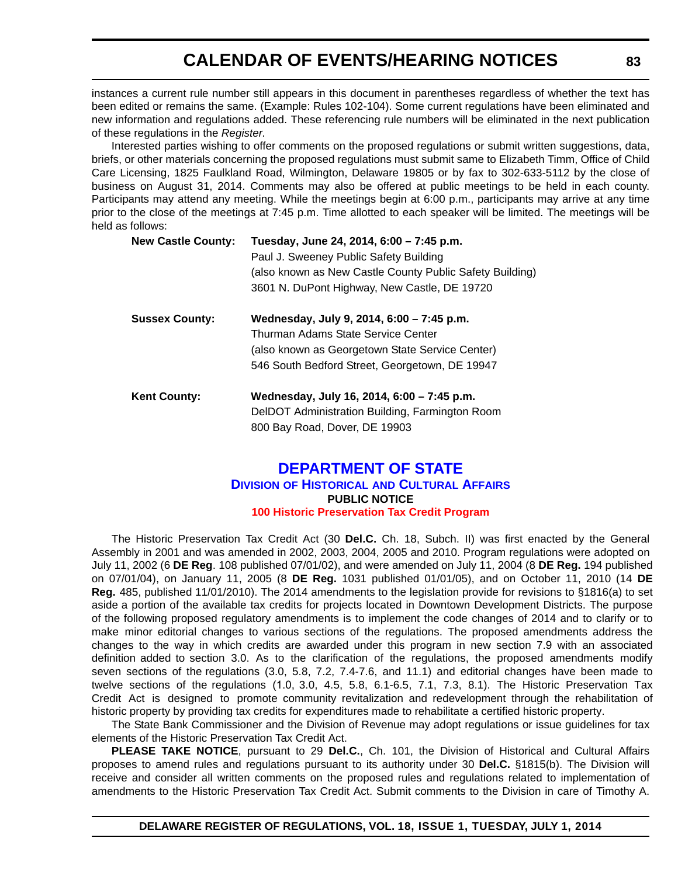instances a current rule number still appears in this document in parentheses regardless of whether the text has been edited or remains the same. (Example: Rules 102-104). Some current regulations have been eliminated and new information and regulations added. These referencing rule numbers will be eliminated in the next publication of these regulations in the *Register*.

Interested parties wishing to offer comments on the proposed regulations or submit written suggestions, data, briefs, or other materials concerning the proposed regulations must submit same to Elizabeth Timm, Office of Child Care Licensing, 1825 Faulkland Road, Wilmington, Delaware 19805 or by fax to 302-633-5112 by the close of business on August 31, 2014. Comments may also be offered at public meetings to be held in each county. Participants may attend any meeting. While the meetings begin at 6:00 p.m., participants may arrive at any time prior to the close of the meetings at 7:45 p.m. Time allotted to each speaker will be limited. The meetings will be held as follows:

| <b>New Castle County:</b> | Tuesday, June 24, 2014, 6:00 - 7:45 p.m.<br>Paul J. Sweeney Public Safety Building<br>(also known as New Castle County Public Safety Building)<br>3601 N. DuPont Highway, New Castle, DE 19720 |
|---------------------------|------------------------------------------------------------------------------------------------------------------------------------------------------------------------------------------------|
| <b>Sussex County:</b>     | Wednesday, July 9, 2014, 6:00 - 7:45 p.m.<br>Thurman Adams State Service Center<br>(also known as Georgetown State Service Center)<br>546 South Bedford Street, Georgetown, DE 19947           |
| <b>Kent County:</b>       | Wednesday, July 16, 2014, 6:00 - 7:45 p.m.<br>DelDOT Administration Building, Farmington Room<br>800 Bay Road, Dover, DE 19903                                                                 |

### **[DEPARTMENT OF STATE](http://history.delaware.gov/) DIVISION OF HISTORICAL AND CULTURAL AFFAIRS PUBLIC NOTICE [100 Historic Preservation Tax Credit Program](#page-4-0)**

The Historic Preservation Tax Credit Act (30 **Del.C.** Ch. 18, Subch. II) was first enacted by the General Assembly in 2001 and was amended in 2002, 2003, 2004, 2005 and 2010. Program regulations were adopted on July 11, 2002 (6 **DE Reg**. 108 published 07/01/02), and were amended on July 11, 2004 (8 **DE Reg.** 194 published on 07/01/04), on January 11, 2005 (8 **DE Reg.** 1031 published 01/01/05), and on October 11, 2010 (14 **DE Reg.** 485, published 11/01/2010). The 2014 amendments to the legislation provide for revisions to §1816(a) to set aside a portion of the available tax credits for projects located in Downtown Development Districts. The purpose of the following proposed regulatory amendments is to implement the code changes of 2014 and to clarify or to make minor editorial changes to various sections of the regulations. The proposed amendments address the changes to the way in which credits are awarded under this program in new section 7.9 with an associated definition added to section 3.0. As to the clarification of the regulations, the proposed amendments modify seven sections of the regulations (3.0, 5.8, 7.2, 7.4-7.6, and 11.1) and editorial changes have been made to twelve sections of the regulations (1.0, 3.0, 4.5, 5.8, 6.1-6.5, 7.1, 7.3, 8.1). The Historic Preservation Tax Credit Act is designed to promote community revitalization and redevelopment through the rehabilitation of historic property by providing tax credits for expenditures made to rehabilitate a certified historic property.

The State Bank Commissioner and the Division of Revenue may adopt regulations or issue guidelines for tax elements of the Historic Preservation Tax Credit Act.

**PLEASE TAKE NOTICE**, pursuant to 29 **Del.C.**, Ch. 101, the Division of Historical and Cultural Affairs proposes to amend rules and regulations pursuant to its authority under 30 **Del.C.** §1815(b). The Division will receive and consider all written comments on the proposed rules and regulations related to implementation of amendments to the Historic Preservation Tax Credit Act. Submit comments to the Division in care of Timothy A.